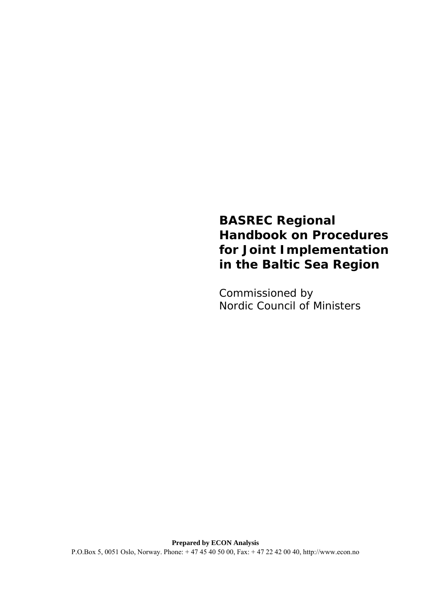# **BASREC Regional Handbook on Procedures for Joint Implementation in the Baltic Sea Region**

Commissioned by Nordic Council of Ministers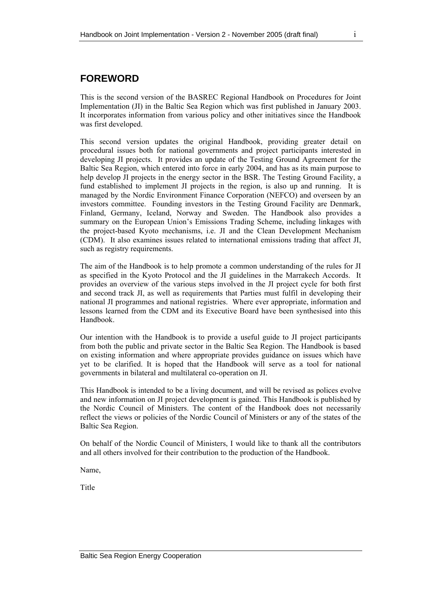# <span id="page-1-0"></span>**FOREWORD**

This is the second version of the BASREC Regional Handbook on Procedures for Joint Implementation (JI) in the Baltic Sea Region which was first published in January 2003. It incorporates information from various policy and other initiatives since the Handbook was first developed.

This second version updates the original Handbook, providing greater detail on procedural issues both for national governments and project participants interested in developing JI projects. It provides an update of the Testing Ground Agreement for the Baltic Sea Region, which entered into force in early 2004, and has as its main purpose to help develop JI projects in the energy sector in the BSR. The Testing Ground Facility, a fund established to implement JI projects in the region, is also up and running. It is managed by the Nordic Environment Finance Corporation (NEFCO) and overseen by an investors committee. Founding investors in the Testing Ground Facility are Denmark, Finland, Germany, Iceland, Norway and Sweden. The Handbook also provides a summary on the European Union's Emissions Trading Scheme, including linkages with the project-based Kyoto mechanisms, i.e. JI and the Clean Development Mechanism (CDM). It also examines issues related to international emissions trading that affect JI, such as registry requirements.

The aim of the Handbook is to help promote a common understanding of the rules for JI as specified in the Kyoto Protocol and the JI guidelines in the Marrakech Accords. It provides an overview of the various steps involved in the JI project cycle for both first and second track JI, as well as requirements that Parties must fulfil in developing their national JI programmes and national registries. Where ever appropriate, information and lessons learned from the CDM and its Executive Board have been synthesised into this Handbook.

Our intention with the Handbook is to provide a useful guide to JI project participants from both the public and private sector in the Baltic Sea Region. The Handbook is based on existing information and where appropriate provides guidance on issues which have yet to be clarified. It is hoped that the Handbook will serve as a tool for national governments in bilateral and multilateral co-operation on JI.

This Handbook is intended to be a living document, and will be revised as polices evolve and new information on JI project development is gained. This Handbook is published by the Nordic Council of Ministers. The content of the Handbook does not necessarily reflect the views or policies of the Nordic Council of Ministers or any of the states of the Baltic Sea Region.

On behalf of the Nordic Council of Ministers, I would like to thank all the contributors and all others involved for their contribution to the production of the Handbook.

Name,

Title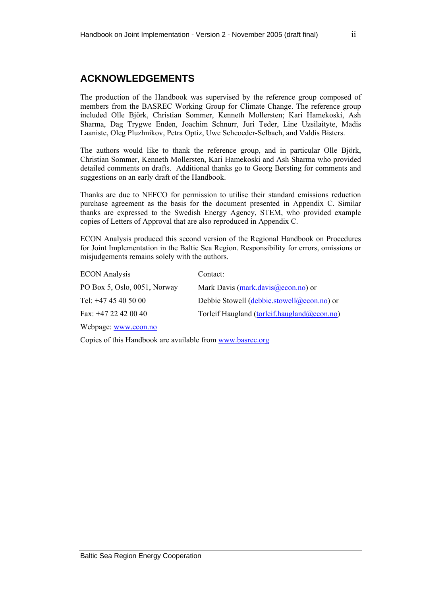# <span id="page-2-0"></span>**ACKNOWLEDGEMENTS**

The production of the Handbook was supervised by the reference group composed of members from the BASREC Working Group for Climate Change. The reference group included Olle Björk, Christian Sommer, Kenneth Mollersten; Kari Hamekoski, Ash Sharma, Dag Trygwe Enden, Joachim Schnurr, Juri Teder, Line Uzsilaityte, Madis Laaniste, Oleg Pluzhnikov, Petra Optiz, Uwe Scheoeder-Selbach, and Valdis Bisters.

The authors would like to thank the reference group, and in particular Olle Björk, Christian Sommer, Kenneth Mollersten, Kari Hamekoski and Ash Sharma who provided detailed comments on drafts. Additional thanks go to Georg Børsting for comments and suggestions on an early draft of the Handbook.

Thanks are due to NEFCO for permission to utilise their standard emissions reduction purchase agreement as the basis for the document presented in Appendix C. Similar thanks are expressed to the Swedish Energy Agency, STEM, who provided example copies of Letters of Approval that are also reproduced in Appendix C.

ECON Analysis produced this second version of the Regional Handbook on Procedures for Joint Implementation in the Baltic Sea Region. Responsibility for errors, omissions or misjudgements remains solely with the authors.

| <b>ECON</b> Analysis         | Contact:                                    |
|------------------------------|---------------------------------------------|
| PO Box 5, Oslo, 0051, Norway | Mark Davis (mark.davis@econ.no) or          |
| Tel: $+4745405000$           | Debbie Stowell (debbie.stowell@econ.no) or  |
| Fax: $+47$ 22 42 00 40       | Torleif Haugland (torleif.haugland@econ.no) |
|                              |                                             |

Webpage: [www.econ.no](http://www.ecosecurities.com/)

Copies of this Handbook are available from [www.basrec.org](http://www.basrec.org/)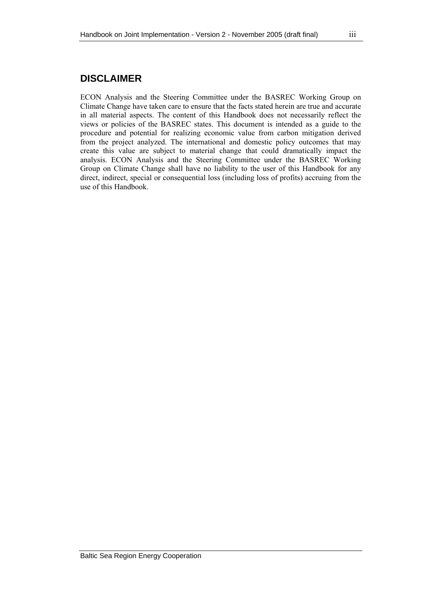# <span id="page-3-0"></span>**DISCLAIMER**

ECON Analysis and the Steering Committee under the BASREC Working Group on Climate Change have taken care to ensure that the facts stated herein are true and accurate in all material aspects. The content of this Handbook does not necessarily reflect the views or policies of the BASREC states. This document is intended as a guide to the procedure and potential for realizing economic value from carbon mitigation derived from the project analyzed. The international and domestic policy outcomes that may create this value are subject to material change that could dramatically impact the analysis. ECON Analysis and the Steering Committee under the BASREC Working Group on Climate Change shall have no liability to the user of this Handbook for any direct, indirect, special or consequential loss (including loss of profits) accruing from the use of this Handbook.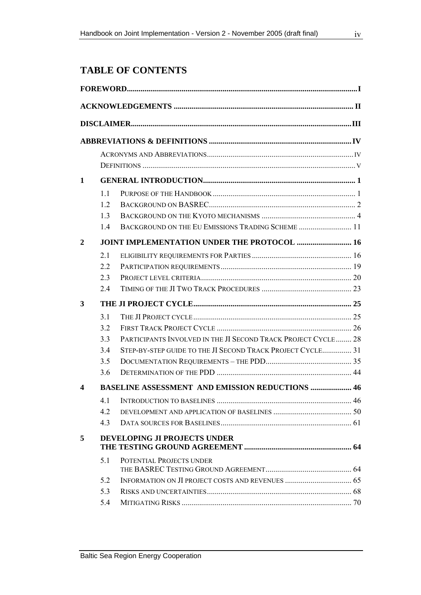# **TABLE OF CONTENTS**

| 1              |     |                                                               |  |
|----------------|-----|---------------------------------------------------------------|--|
|                | 1.1 |                                                               |  |
|                | 12  |                                                               |  |
|                | 1.3 |                                                               |  |
|                | 1.4 | BACKGROUND ON THE EU EMISSIONS TRADING SCHEME  11             |  |
| $\overline{2}$ |     | <b>JOINT IMPLEMENTATION UNDER THE PROTOCOL  16</b>            |  |
|                | 2.1 |                                                               |  |
|                | 2.2 |                                                               |  |
|                | 2.3 |                                                               |  |
|                | 2.4 |                                                               |  |
| 3              |     |                                                               |  |
|                | 3.1 |                                                               |  |
|                | 3.2 |                                                               |  |
|                | 3.3 | PARTICIPANTS INVOLVED IN THE JI SECOND TRACK PROJECT CYCLE 28 |  |
|                | 3.4 | STEP-BY-STEP GUIDE TO THE JI SECOND TRACK PROJECT CYCLE 31    |  |
|                | 3.5 |                                                               |  |
|                | 3.6 |                                                               |  |
| 4              |     | <b>BASELINE ASSESSMENT AND EMISSION REDUCTIONS  46</b>        |  |
|                |     |                                                               |  |
|                | 4.2 |                                                               |  |
|                | 4.3 |                                                               |  |
| 5              |     | <b>DEVELOPING JI PROJECTS UNDER</b>                           |  |
|                | 5.1 | POTENTIAL PROJECTS UNDER                                      |  |
|                | 5.2 |                                                               |  |
|                | 5.3 |                                                               |  |
|                | 5.4 |                                                               |  |
|                |     |                                                               |  |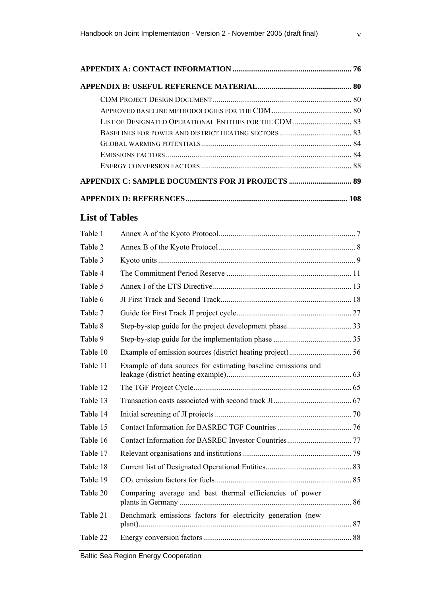|                       | LIST OF DESIGNATED OPERATIONAL ENTITIES FOR THE CDM  83 |    |
|-----------------------|---------------------------------------------------------|----|
|                       |                                                         |    |
|                       |                                                         |    |
|                       |                                                         |    |
|                       |                                                         |    |
|                       |                                                         |    |
|                       |                                                         |    |
| <b>List of Tables</b> |                                                         |    |
| Table 1               |                                                         |    |
| Table 2               |                                                         |    |
| Table 3               |                                                         |    |
| Table 4               |                                                         |    |
| Table 5               |                                                         |    |
| Table 6               |                                                         |    |
| Table 7               | Guide for First Track II project cycle                  | 27 |

| Tavit J  |                                                               |  |
|----------|---------------------------------------------------------------|--|
| Table 4  |                                                               |  |
| Table 5  |                                                               |  |
| Table 6  |                                                               |  |
| Table 7  |                                                               |  |
| Table 8  |                                                               |  |
| Table 9  |                                                               |  |
| Table 10 |                                                               |  |
| Table 11 | Example of data sources for estimating baseline emissions and |  |
| Table 12 |                                                               |  |
| Table 13 |                                                               |  |
| Table 14 |                                                               |  |
| Table 15 |                                                               |  |
| Table 16 |                                                               |  |
| Table 17 |                                                               |  |
| Table 18 |                                                               |  |
| Table 19 |                                                               |  |
| Table 20 | Comparing average and best thermal efficiencies of power      |  |
| Table 21 | Benchmark emissions factors for electricity generation (new   |  |
| Table 22 |                                                               |  |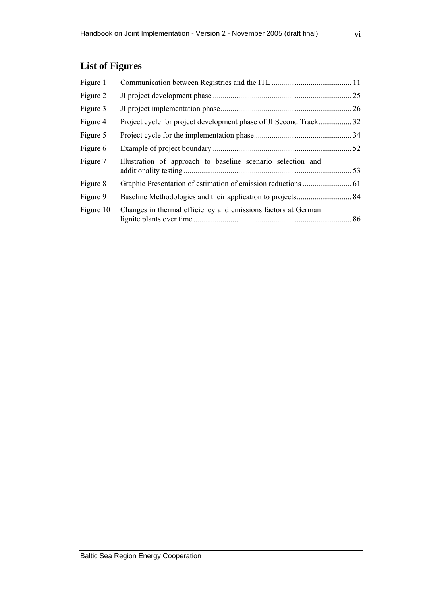| Figure 1  |                                                               |  |
|-----------|---------------------------------------------------------------|--|
| Figure 2  |                                                               |  |
| Figure 3  |                                                               |  |
| Figure 4  |                                                               |  |
| Figure 5  |                                                               |  |
| Figure 6  |                                                               |  |
| Figure 7  | Illustration of approach to baseline scenario selection and   |  |
| Figure 8  |                                                               |  |
| Figure 9  |                                                               |  |
| Figure 10 | Changes in thermal efficiency and emissions factors at German |  |
|           |                                                               |  |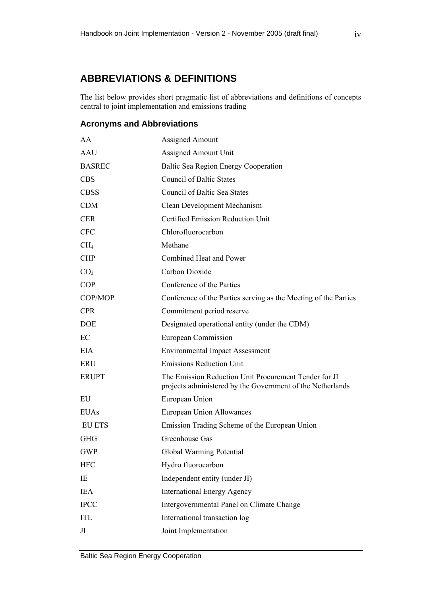# <span id="page-7-0"></span>**ABBREVIATIONS & DEFINITIONS**

The list below provides short pragmatic list of abbreviations and definitions of concepts central to joint implementation and emissions trading

### **Acronyms and Abbreviations**

| AA              | <b>Assigned Amount</b>                                                                                              |  |
|-----------------|---------------------------------------------------------------------------------------------------------------------|--|
| AAU             | Assigned Amount Unit                                                                                                |  |
| <b>BASREC</b>   | Baltic Sea Region Energy Cooperation                                                                                |  |
| <b>CBS</b>      | <b>Council of Baltic States</b>                                                                                     |  |
| <b>CBSS</b>     | Council of Baltic Sea States                                                                                        |  |
| <b>CDM</b>      | Clean Development Mechanism                                                                                         |  |
| <b>CER</b>      | <b>Certified Emission Reduction Unit</b>                                                                            |  |
| <b>CFC</b>      | Chlorofluorocarbon                                                                                                  |  |
| CH <sub>4</sub> | Methane                                                                                                             |  |
| <b>CHP</b>      | Combined Heat and Power                                                                                             |  |
| CO <sub>2</sub> | Carbon Dioxide                                                                                                      |  |
| <b>COP</b>      | Conference of the Parties                                                                                           |  |
| COP/MOP         | Conference of the Parties serving as the Meeting of the Parties                                                     |  |
| <b>CPR</b>      | Commitment period reserve                                                                                           |  |
| <b>DOE</b>      | Designated operational entity (under the CDM)                                                                       |  |
| EC              | European Commission                                                                                                 |  |
| EIA             | <b>Environmental Impact Assessment</b>                                                                              |  |
| <b>ERU</b>      | <b>Emissions Reduction Unit</b>                                                                                     |  |
| <b>ERUPT</b>    | The Emission Reduction Unit Procurement Tender for JI<br>projects administered by the Government of the Netherlands |  |
| EU              | European Union                                                                                                      |  |
| <b>EUAs</b>     | <b>European Union Allowances</b>                                                                                    |  |
| <b>EU ETS</b>   | Emission Trading Scheme of the European Union                                                                       |  |
| <b>GHG</b>      | Greenhouse Gas                                                                                                      |  |
| <b>GWP</b>      | Global Warming Potential                                                                                            |  |
| <b>HFC</b>      | Hydro fluorocarbon                                                                                                  |  |
| IE              | Independent entity (under JI)                                                                                       |  |
| <b>IEA</b>      | <b>International Energy Agency</b>                                                                                  |  |
| <b>IPCC</b>     | Intergovernmental Panel on Climate Change                                                                           |  |
| <b>ITL</b>      | International transaction log                                                                                       |  |
| Л               | Joint Implementation                                                                                                |  |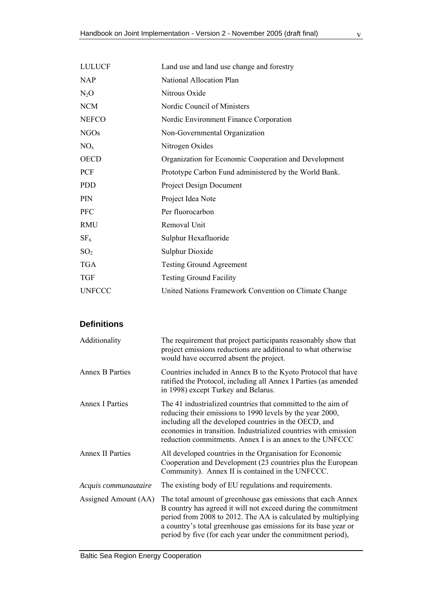<span id="page-8-0"></span>

| <b>LULUCF</b>   | Land use and land use change and forestry             |  |  |
|-----------------|-------------------------------------------------------|--|--|
| <b>NAP</b>      | National Allocation Plan                              |  |  |
| $N_2O$          | Nitrous Oxide                                         |  |  |
| <b>NCM</b>      | Nordic Council of Ministers                           |  |  |
| <b>NEFCO</b>    | Nordic Environment Finance Corporation                |  |  |
| <b>NGOs</b>     | Non-Governmental Organization                         |  |  |
| $NO_{x}$        | Nitrogen Oxides                                       |  |  |
| <b>OECD</b>     | Organization for Economic Cooperation and Development |  |  |
| <b>PCF</b>      | Prototype Carbon Fund administered by the World Bank. |  |  |
| <b>PDD</b>      | <b>Project Design Document</b>                        |  |  |
| <b>PIN</b>      | Project Idea Note                                     |  |  |
| <b>PFC</b>      | Per fluorocarbon                                      |  |  |
| <b>RMU</b>      | Removal Unit                                          |  |  |
| SF <sub>6</sub> | Sulphur Hexafluoride                                  |  |  |
| SO <sub>2</sub> | <b>Sulphur Dioxide</b>                                |  |  |
| <b>TGA</b>      | <b>Testing Ground Agreement</b>                       |  |  |
| <b>TGF</b>      | <b>Testing Ground Facility</b>                        |  |  |
| <b>UNFCCC</b>   | United Nations Framework Convention on Climate Change |  |  |

# **Definitions**

| Additionality           | The requirement that project participants reasonably show that<br>project emissions reductions are additional to what otherwise<br>would have occurred absent the project.                                                                                                                                                       |  |
|-------------------------|----------------------------------------------------------------------------------------------------------------------------------------------------------------------------------------------------------------------------------------------------------------------------------------------------------------------------------|--|
| <b>Annex B Parties</b>  | Countries included in Annex B to the Kyoto Protocol that have<br>ratified the Protocol, including all Annex I Parties (as amended<br>in 1998) except Turkey and Belarus.                                                                                                                                                         |  |
| <b>Annex I Parties</b>  | The 41 industrialized countries that committed to the aim of<br>reducing their emissions to 1990 levels by the year 2000,<br>including all the developed countries in the OECD, and<br>economies in transition. Industrialized countries with emission<br>reduction commitments. Annex I is an annex to the UNFCCC               |  |
| <b>Annex II Parties</b> | All developed countries in the Organisation for Economic<br>Cooperation and Development (23 countries plus the European<br>Community). Annex II is contained in the UNFCCC.                                                                                                                                                      |  |
| Acquis communautaire    | The existing body of EU regulations and requirements.                                                                                                                                                                                                                                                                            |  |
| Assigned Amount (AA)    | The total amount of greenhouse gas emissions that each Annex<br>B country has agreed it will not exceed during the commitment<br>period from 2008 to 2012. The AA is calculated by multiplying<br>a country's total greenhouse gas emissions for its base year or<br>period by five (for each year under the commitment period), |  |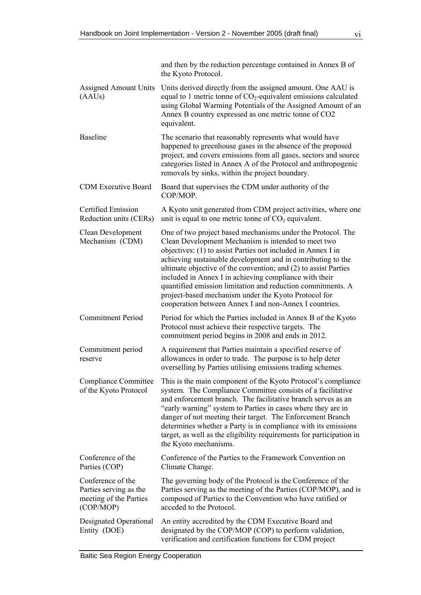|                                                                                    | and then by the reduction percentage contained in Annex B of<br>the Kyoto Protocol.                                                                                                                                                                                                                                                                                                                                                                                                                                                                              |
|------------------------------------------------------------------------------------|------------------------------------------------------------------------------------------------------------------------------------------------------------------------------------------------------------------------------------------------------------------------------------------------------------------------------------------------------------------------------------------------------------------------------------------------------------------------------------------------------------------------------------------------------------------|
| <b>Assigned Amount Units</b><br>(AAUs)                                             | Units derived directly from the assigned amount. One AAU is<br>equal to 1 metric tonne of $CO2$ -equivalent emissions calculated<br>using Global Warming Potentials of the Assigned Amount of an<br>Annex B country expressed as one metric tonne of CO2<br>equivalent.                                                                                                                                                                                                                                                                                          |
| <b>Baseline</b>                                                                    | The scenario that reasonably represents what would have<br>happened to greenhouse gases in the absence of the proposed<br>project, and covers emissions from all gases, sectors and source<br>categories listed in Annex A of the Protocol and anthropogenic<br>removals by sinks, within the project boundary.                                                                                                                                                                                                                                                  |
| <b>CDM Executive Board</b>                                                         | Board that supervises the CDM under authority of the<br>COP/MOP.                                                                                                                                                                                                                                                                                                                                                                                                                                                                                                 |
| Certified Emission<br>Reduction units (CERs)                                       | A Kyoto unit generated from CDM project activities, where one<br>unit is equal to one metric tonne of $CO2$ equivalent.                                                                                                                                                                                                                                                                                                                                                                                                                                          |
| Clean Development<br>Mechanism (CDM)                                               | One of two project based mechanisms under the Protocol. The<br>Clean Development Mechanism is intended to meet two<br>objectives: (1) to assist Parties not included in Annex I in<br>achieving sustainable development and in contributing to the<br>ultimate objective of the convention; and (2) to assist Parties<br>included in Annex I in achieving compliance with their<br>quantified emission limitation and reduction commitments. A<br>project-based mechanism under the Kyoto Protocol for<br>cooperation between Annex I and non-Annex I countries. |
| <b>Commitment Period</b>                                                           | Period for which the Parties included in Annex B of the Kyoto<br>Protocol must achieve their respective targets. The<br>commitment period begins in 2008 and ends in 2012.                                                                                                                                                                                                                                                                                                                                                                                       |
| Commitment period<br>reserve                                                       | A requirement that Parties maintain a specified reserve of<br>allowances in order to trade. The purpose is to help deter<br>overselling by Parties utilising emissions trading schemes.                                                                                                                                                                                                                                                                                                                                                                          |
| Compliance Committee<br>of the Kyoto Protocol                                      | This is the main component of the Kyoto Protocol's compliance<br>system. The Compliance Committee consists of a facilitative<br>and enforcement branch. The facilitative branch serves as an<br>"early warning" system to Parties in cases where they are in<br>danger of not meeting their target. The Enforcement Branch<br>determines whether a Party is in compliance with its emissions<br>target, as well as the eligibility requirements for participation in<br>the Kyoto mechanisms.                                                                    |
| Conference of the<br>Parties (COP)                                                 | Conference of the Parties to the Framework Convention on<br>Climate Change.                                                                                                                                                                                                                                                                                                                                                                                                                                                                                      |
| Conference of the<br>Parties serving as the<br>meeting of the Parties<br>(COP/MOP) | The governing body of the Protocol is the Conference of the<br>Parties serving as the meeting of the Parties (COP/MOP), and is<br>composed of Parties to the Convention who have ratified or<br>acceded to the Protocol.                                                                                                                                                                                                                                                                                                                                         |
| Designated Operational<br>Entity (DOE)                                             | An entity accredited by the CDM Executive Board and<br>designated by the COP/MOP (COP) to perform validation,<br>verification and certification functions for CDM project                                                                                                                                                                                                                                                                                                                                                                                        |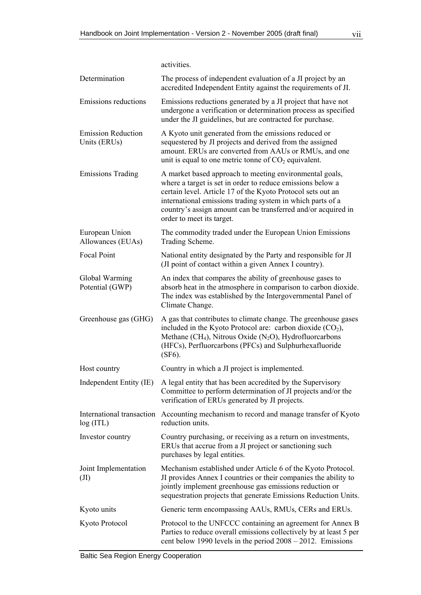|                                           | activities.                                                                                                                                                                                                                                                                                                                                      |
|-------------------------------------------|--------------------------------------------------------------------------------------------------------------------------------------------------------------------------------------------------------------------------------------------------------------------------------------------------------------------------------------------------|
| Determination                             | The process of independent evaluation of a JI project by an<br>accredited Independent Entity against the requirements of JI.                                                                                                                                                                                                                     |
| Emissions reductions                      | Emissions reductions generated by a JI project that have not<br>undergone a verification or determination process as specified<br>under the JI guidelines, but are contracted for purchase.                                                                                                                                                      |
| <b>Emission Reduction</b><br>Units (ERUs) | A Kyoto unit generated from the emissions reduced or<br>sequestered by JI projects and derived from the assigned<br>amount. ERUs are converted from AAUs or RMUs, and one<br>unit is equal to one metric tonne of $CO2$ equivalent.                                                                                                              |
| <b>Emissions Trading</b>                  | A market based approach to meeting environmental goals,<br>where a target is set in order to reduce emissions below a<br>certain level. Article 17 of the Kyoto Protocol sets out an<br>international emissions trading system in which parts of a<br>country's assign amount can be transferred and/or acquired in<br>order to meet its target. |
| European Union<br>Allowances (EUAs)       | The commodity traded under the European Union Emissions<br>Trading Scheme.                                                                                                                                                                                                                                                                       |
| <b>Focal Point</b>                        | National entity designated by the Party and responsible for JI<br>(JI point of contact within a given Annex I country).                                                                                                                                                                                                                          |
| Global Warming<br>Potential (GWP)         | An index that compares the ability of greenhouse gases to<br>absorb heat in the atmosphere in comparison to carbon dioxide.<br>The index was established by the Intergovernmental Panel of<br>Climate Change.                                                                                                                                    |
| Greenhouse gas (GHG)                      | A gas that contributes to climate change. The greenhouse gases<br>included in the Kyoto Protocol are: carbon dioxide $(CO2)$ ,<br>Methane (CH <sub>4</sub> ), Nitrous Oxide (N <sub>2</sub> O), Hydrofluorcarbons<br>(HFCs), Perfluorcarbons (PFCs) and Sulphurhexafluoride<br>$(SF6)$ .                                                         |
| Host country                              | Country in which a JI project is implemented.                                                                                                                                                                                                                                                                                                    |
| Independent Entity (IE)                   | A legal entity that has been accredited by the Supervisory<br>Committee to perform determination of JI projects and/or the<br>verification of ERUs generated by JI projects.                                                                                                                                                                     |
| log (ITL)                                 | International transaction Accounting mechanism to record and manage transfer of Kyoto<br>reduction units.                                                                                                                                                                                                                                        |
| Investor country                          | Country purchasing, or receiving as a return on investments,<br>ERUs that accrue from a JI project or sanctioning such<br>purchases by legal entities.                                                                                                                                                                                           |
| Joint Implementation<br>(JI)              | Mechanism established under Article 6 of the Kyoto Protocol.<br>JI provides Annex I countries or their companies the ability to<br>jointly implement greenhouse gas emissions reduction or<br>sequestration projects that generate Emissions Reduction Units.                                                                                    |
| Kyoto units                               | Generic term encompassing AAUs, RMUs, CERs and ERUs.                                                                                                                                                                                                                                                                                             |
| Kyoto Protocol                            | Protocol to the UNFCCC containing an agreement for Annex B<br>Parties to reduce overall emissions collectively by at least 5 per<br>cent below 1990 levels in the period $2008 - 2012$ . Emissions                                                                                                                                               |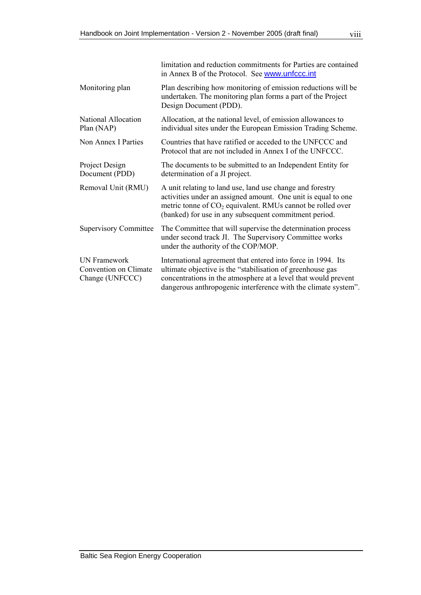|                                                                 | limitation and reduction commitments for Parties are contained<br>in Annex B of the Protocol. See www.unfccc.int                                                                                                                                               |
|-----------------------------------------------------------------|----------------------------------------------------------------------------------------------------------------------------------------------------------------------------------------------------------------------------------------------------------------|
| Monitoring plan                                                 | Plan describing how monitoring of emission reductions will be<br>undertaken. The monitoring plan forms a part of the Project<br>Design Document (PDD).                                                                                                         |
| National Allocation<br>Plan (NAP)                               | Allocation, at the national level, of emission allowances to<br>individual sites under the European Emission Trading Scheme.                                                                                                                                   |
| Non Annex I Parties                                             | Countries that have ratified or acceded to the UNFCCC and<br>Protocol that are not included in Annex I of the UNFCCC.                                                                                                                                          |
| Project Design<br>Document (PDD)                                | The documents to be submitted to an Independent Entity for<br>determination of a JI project.                                                                                                                                                                   |
| Removal Unit (RMU)                                              | A unit relating to land use, land use change and forestry<br>activities under an assigned amount. One unit is equal to one<br>metric tonne of $CO2$ equivalent. RMUs cannot be rolled over<br>(banked) for use in any subsequent commitment period.            |
| <b>Supervisory Committee</b>                                    | The Committee that will supervise the determination process<br>under second track JI. The Supervisory Committee works<br>under the authority of the COP/MOP.                                                                                                   |
| <b>UN</b> Framework<br>Convention on Climate<br>Change (UNFCCC) | International agreement that entered into force in 1994. Its<br>ultimate objective is the "stabilisation of greenhouse gas<br>concentrations in the atmosphere at a level that would prevent<br>dangerous anthropogenic interference with the climate system". |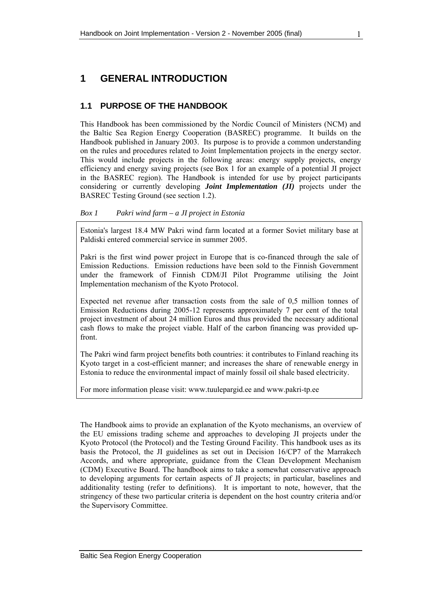# <span id="page-12-0"></span>**1 GENERAL INTRODUCTION**

### **1.1 PURPOSE OF THE HANDBOOK**

This Handbook has been commissioned by the Nordic Council of Ministers (NCM) and the Baltic Sea Region Energy Cooperation (BASREC) programme. It builds on the Handbook published in January 2003. Its purpose is to provide a common understanding on the rules and procedures related to Joint Implementation projects in the energy sector. This would include projects in the following areas: energy supply projects, energy efficiency and energy saving projects (see [Box 1](#page-12-0) for an example of a potential JI project in the BASREC region). The Handbook is intended for use by project participants considering or currently developing *Joint Implementation (JI)* projects under the BASREC Testing Ground (see section [1.2](#page-13-0)).

### *Box 1 Pakri wind farm – a JI project in Estonia*

Estonia's largest 18.4 MW Pakri wind farm located at a former Soviet military base at Paldiski entered commercial service in summer 2005.

Pakri is the first wind power project in Europe that is co-financed through the sale of Emission Reductions. Emission reductions have been sold to the Finnish Government under the framework of Finnish CDM/JI Pilot Programme utilising the Joint Implementation mechanism of the Kyoto Protocol.

Expected net revenue after transaction costs from the sale of 0,5 million tonnes of Emission Reductions during 2005-12 represents approximately 7 per cent of the total project investment of about 24 million Euros and thus provided the necessary additional cash flows to make the project viable. Half of the carbon financing was provided upfront.

The Pakri wind farm project benefits both countries: it contributes to Finland reaching its Kyoto target in a cost-efficient manner; and increases the share of renewable energy in Estonia to reduce the environmental impact of mainly fossil oil shale based electricity.

For more information please visit: www.tuulepargid.ee and www.pakri-tp.ee

The Handbook aims to provide an explanation of the Kyoto mechanisms, an overview of the EU emissions trading scheme and approaches to developing JI projects under the Kyoto Protocol (the Protocol) and the Testing Ground Facility. This handbook uses as its basis the Protocol, the JI guidelines as set out in Decision 16/CP7 of the Marrakech Accords, and where appropriate, guidance from the Clean Development Mechanism (CDM) Executive Board. The handbook aims to take a somewhat conservative approach to developing arguments for certain aspects of JI projects; in particular, baselines and additionality testing (refer to definitions). It is important to note, however, that the stringency of these two particular criteria is dependent on the host country criteria and/or the Supervisory Committee.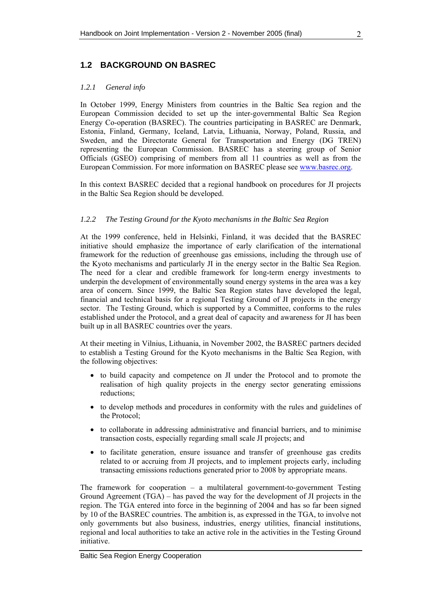# <span id="page-13-0"></span>**1.2 BACKGROUND ON BASREC**

### *1.2.1 General info*

In October 1999, Energy Ministers from countries in the Baltic Sea region and the European Commission decided to set up the inter-governmental Baltic Sea Region Energy Co-operation (BASREC). The countries participating in BASREC are Denmark, Estonia, Finland, Germany, Iceland, Latvia, Lithuania, Norway, Poland, Russia, and Sweden, and the Directorate General for Transportation and Energy (DG TREN) representing the European Commission. BASREC has a steering group of Senior Officials (GSEO) comprising of members from all 11 countries as well as from the European Commission. For more information on BASREC please see [www.basrec.org.](http://www.basrec.org/)

In this context BASREC decided that a regional handbook on procedures for JI projects in the Baltic Sea Region should be developed.

### *1.2.2 The Testing Ground for the Kyoto mechanisms in the Baltic Sea Region*

At the 1999 conference, held in Helsinki, Finland, it was decided that the BASREC initiative should emphasize the importance of early clarification of the international framework for the reduction of greenhouse gas emissions, including the through use of the Kyoto mechanisms and particularly JI in the energy sector in the Baltic Sea Region. The need for a clear and credible framework for long-term energy investments to underpin the development of environmentally sound energy systems in the area was a key area of concern. Since 1999, the Baltic Sea Region states have developed the legal, financial and technical basis for a regional Testing Ground of JI projects in the energy sector. The Testing Ground, which is supported by a Committee, conforms to the rules established under the Protocol, and a great deal of capacity and awareness for JI has been built up in all BASREC countries over the years.

At their meeting in Vilnius, Lithuania, in November 2002, the BASREC partners decided to establish a Testing Ground for the Kyoto mechanisms in the Baltic Sea Region, with the following objectives:

- to build capacity and competence on JI under the Protocol and to promote the realisation of high quality projects in the energy sector generating emissions reductions;
- to develop methods and procedures in conformity with the rules and guidelines of the Protocol;
- to collaborate in addressing administrative and financial barriers, and to minimise transaction costs, especially regarding small scale JI projects; and
- to facilitate generation, ensure issuance and transfer of greenhouse gas credits related to or accruing from JI projects, and to implement projects early, including transacting emissions reductions generated prior to 2008 by appropriate means.

The framework for cooperation – a multilateral government-to-government Testing Ground Agreement (TGA) – has paved the way for the development of JI projects in the region. The TGA entered into force in the beginning of 2004 and has so far been signed by 10 of the BASREC countries. The ambition is, as expressed in the TGA, to involve not only governments but also business, industries, energy utilities, financial institutions, regional and local authorities to take an active role in the activities in the Testing Ground initiative.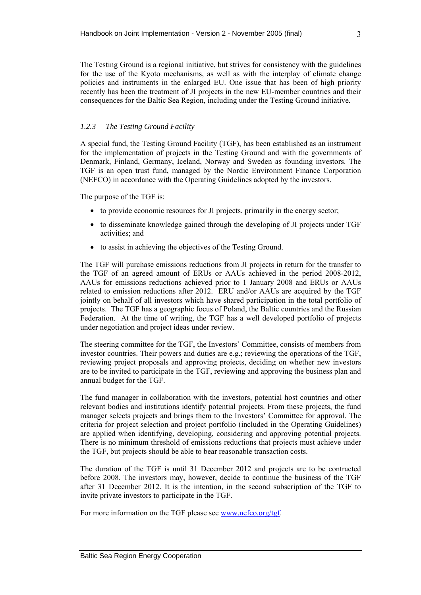The Testing Ground is a regional initiative, but strives for consistency with the guidelines for the use of the Kyoto mechanisms, as well as with the interplay of climate change policies and instruments in the enlarged EU. One issue that has been of high priority recently has been the treatment of JI projects in the new EU-member countries and their consequences for the Baltic Sea Region, including under the Testing Ground initiative.

### *1.2.3 The Testing Ground Facility*

A special fund, the Testing Ground Facility (TGF), has been established as an instrument for the implementation of projects in the Testing Ground and with the governments of Denmark, Finland, Germany, Iceland, Norway and Sweden as founding investors. The TGF is an open trust fund, managed by the Nordic Environment Finance Corporation (NEFCO) in accordance with the Operating Guidelines adopted by the investors.

The purpose of the TGF is:

- to provide economic resources for JI projects, primarily in the energy sector;
- to disseminate knowledge gained through the developing of JI projects under TGF activities; and
- to assist in achieving the objectives of the Testing Ground.

The TGF will purchase emissions reductions from JI projects in return for the transfer to the TGF of an agreed amount of ERUs or AAUs achieved in the period 2008-2012, AAUs for emissions reductions achieved prior to 1 January 2008 and ERUs or AAUs related to emission reductions after 2012. ERU and/or AAUs are acquired by the TGF jointly on behalf of all investors which have shared participation in the total portfolio of projects. The TGF has a geographic focus of Poland, the Baltic countries and the Russian Federation. At the time of writing, the TGF has a well developed portfolio of projects under negotiation and project ideas under review.

The steering committee for the TGF, the Investors' Committee, consists of members from investor countries. Their powers and duties are e.g.; reviewing the operations of the TGF, reviewing project proposals and approving projects, deciding on whether new investors are to be invited to participate in the TGF, reviewing and approving the business plan and annual budget for the TGF.

The fund manager in collaboration with the investors, potential host countries and other relevant bodies and institutions identify potential projects. From these projects, the fund manager selects projects and brings them to the Investors' Committee for approval. The criteria for project selection and project portfolio (included in the Operating Guidelines) are applied when identifying, developing, considering and approving potential projects. There is no minimum threshold of emissions reductions that projects must achieve under the TGF, but projects should be able to bear reasonable transaction costs.

The duration of the TGF is until 31 December 2012 and projects are to be contracted before 2008. The investors may, however, decide to continue the business of the TGF after 31 December 2012. It is the intention, in the second subscription of the TGF to invite private investors to participate in the TGF.

For more information on the TGF please see [www.nefco.org/tgf.](http://www.nefco.org/tgf)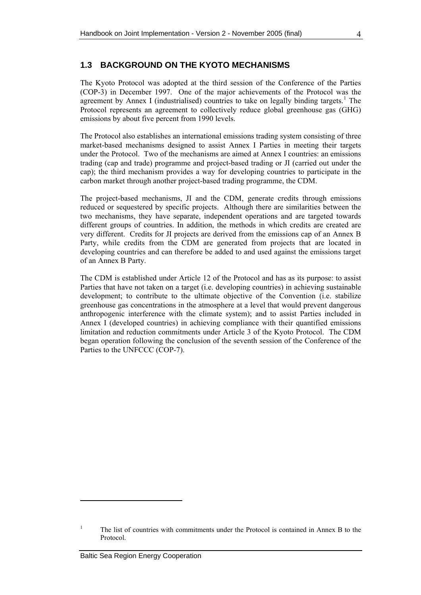### <span id="page-15-0"></span>**1.3 BACKGROUND ON THE KYOTO MECHANISMS**

The Kyoto Protocol was adopted at the third session of the Conference of the Parties (COP-3) in December 1997. One of the major achievements of the Protocol was the agreement by Annex I (industrialised) countries to take on legally binding targets.<sup>[1](#page-15-1)</sup> The Protocol represents an agreement to collectively reduce global greenhouse gas (GHG) emissions by about five percent from 1990 levels.

The Protocol also establishes an international emissions trading system consisting of three market-based mechanisms designed to assist Annex I Parties in meeting their targets under the Protocol. Two of the mechanisms are aimed at Annex I countries: an emissions trading (cap and trade) programme and project-based trading or JI (carried out under the cap); the third mechanism provides a way for developing countries to participate in the carbon market through another project-based trading programme, the CDM.

The project-based mechanisms, JI and the CDM, generate credits through emissions reduced or sequestered by specific projects. Although there are similarities between the two mechanisms, they have separate, independent operations and are targeted towards different groups of countries. In addition, the methods in which credits are created are very different. Credits for JI projects are derived from the emissions cap of an Annex B Party, while credits from the CDM are generated from projects that are located in developing countries and can therefore be added to and used against the emissions target of an Annex B Party.

The CDM is established under Article 12 of the Protocol and has as its purpose: to assist Parties that have not taken on a target (i.e. developing countries) in achieving sustainable development; to contribute to the ultimate objective of the Convention (i.e. stabilize greenhouse gas concentrations in the atmosphere at a level that would prevent dangerous anthropogenic interference with the climate system); and to assist Parties included in Annex I (developed countries) in achieving compliance with their quantified emissions limitation and reduction commitments under Article 3 of the Kyoto Protocol. The CDM began operation following the conclusion of the seventh session of the Conference of the Parties to the UNFCCC (COP-7).

<span id="page-15-1"></span><sup>1</sup> The list of countries with commitments under the Protocol is contained in Annex B to the Protocol.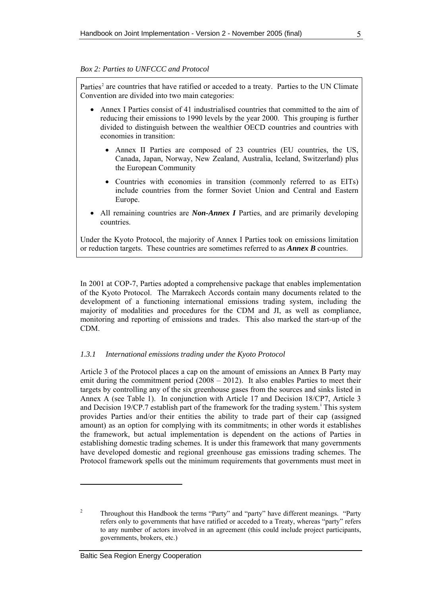#### *Box 2: Parties to UNFCCC and Protocol*

Parties<sup>[2](#page-16-0)</sup> are countries that have ratified or acceded to a treaty. Parties to the UN Climate Convention are divided into two main categories:

- Annex I Parties consist of 41 industrialised countries that committed to the aim of reducing their emissions to 1990 levels by the year 2000. This grouping is further divided to distinguish between the wealthier OECD countries and countries with economies in transition:
	- Annex II Parties are composed of 23 countries (EU countries, the US, Canada, Japan, Norway, New Zealand, Australia, Iceland, Switzerland) plus the European Community
	- Countries with economies in transition (commonly referred to as EITs) include countries from the former Soviet Union and Central and Eastern Europe.
- All remaining countries are *Non-Annex I* Parties, and are primarily developing countries.

Under the Kyoto Protocol, the majority of Annex I Parties took on emissions limitation or reduction targets. These countries are sometimes referred to as *Annex B* countries.

In 2001 at COP-7, Parties adopted a comprehensive package that enables implementation of the Kyoto Protocol. The Marrakech Accords contain many documents related to the development of a functioning international emissions trading system, including the majority of modalities and procedures for the CDM and JI, as well as compliance, monitoring and reporting of emissions and trades. This also marked the start-up of the CDM.

#### *1.3.1 International emissions trading under the Kyoto Protocol*

Article 3 of the Protocol places a cap on the amount of emissions an Annex B Party may emit during the commitment period  $(2008 - 2012)$ . It also enables Parties to meet their targets by controlling any of the six greenhouse gases from the sources and sinks listed in Annex A (see [Table 1\)](#page-18-0). In conjunction with Article 17 and Decision 18/CP7, Article 3 and Dec[i](#page-15-1)sion 19/CP.7 establish part of the framework for the trading system.<sup>i</sup> This system provides Parties and/or their entities the ability to trade part of their cap (assigned amount) as an option for complying with its commitments; in other words it establishes the framework, but actual implementation is dependent on the actions of Parties in establishing domestic trading schemes. It is under this framework that many governments have developed domestic and regional greenhouse gas emissions trading schemes. The Protocol framework spells out the minimum requirements that governments must meet in

<span id="page-16-0"></span> $\overline{2}$  Throughout this Handbook the terms "Party" and "party" have different meanings. "Party refers only to governments that have ratified or acceded to a Treaty, whereas "party" refers to any number of actors involved in an agreement (this could include project participants, governments, brokers, etc.)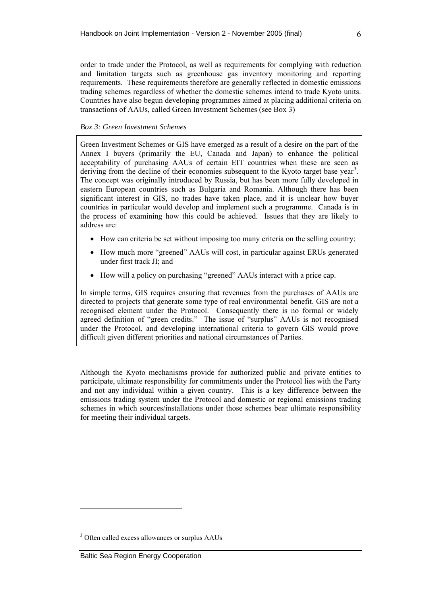<span id="page-17-0"></span>order to trade under the Protocol, as well as requirements for complying with reduction and limitation targets such as greenhouse gas inventory monitoring and reporting requirements. These requirements therefore are generally reflected in domestic emissions trading schemes regardless of whether the domestic schemes intend to trade Kyoto units. Countries have also begun developing programmes aimed at placing additional criteria on transactions of AAUs, called Green Investment Schemes (see [Box 3](#page-17-0))

#### *Box 3: Green Investment Schemes*

Green Investment Schemes or GIS have emerged as a result of a desire on the part of the Annex I buyers (primarily the EU, Canada and Japan) to enhance the political acceptability of purchasing AAUs of certain EIT countries when these are seen as deriving from the decline of their economies subsequent to the Kyoto target base year<sup>[3](#page-17-1)</sup>. The concept was originally introduced by Russia, but has been more fully developed in eastern European countries such as Bulgaria and Romania. Although there has been significant interest in GIS, no trades have taken place, and it is unclear how buyer countries in particular would develop and implement such a programme. Canada is in the process of examining how this could be achieved. Issues that they are likely to address are:

- How can criteria be set without imposing too many criteria on the selling country;
- How much more "greened" AAUs will cost, in particular against ERUs generated under first track JI; and
- How will a policy on purchasing "greened" AAUs interact with a price cap.

In simple terms, GIS requires ensuring that revenues from the purchases of AAUs are directed to projects that generate some type of real environmental benefit. GIS are not a recognised element under the Protocol. Consequently there is no formal or widely agreed definition of "green credits." The issue of "surplus" AAUs is not recognised under the Protocol, and developing international criteria to govern GIS would prove difficult given different priorities and national circumstances of Parties.

Although the Kyoto mechanisms provide for authorized public and private entities to participate, ultimate responsibility for commitments under the Protocol lies with the Party and not any individual within a given country. This is a key difference between the emissions trading system under the Protocol and domestic or regional emissions trading schemes in which sources/installations under those schemes bear ultimate responsibility for meeting their individual targets.

<span id="page-17-1"></span><sup>&</sup>lt;sup>3</sup> Often called excess allowances or surplus AAUs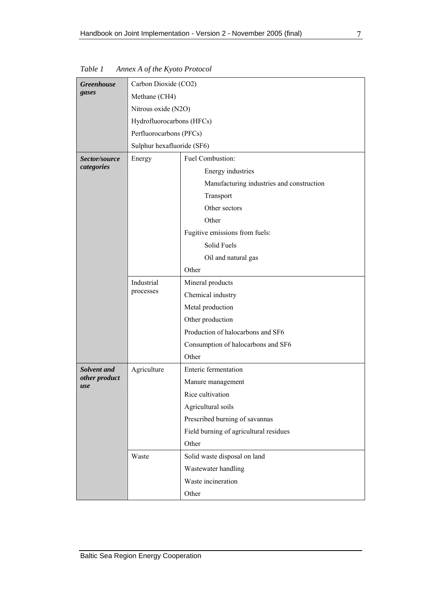| <b>Greenhouse</b>    | Carbon Dioxide (CO2)       |                                           |  |
|----------------------|----------------------------|-------------------------------------------|--|
| gases                | Methane (CH4)              |                                           |  |
|                      | Nitrous oxide (N2O)        |                                           |  |
|                      | Hydrofluorocarbons (HFCs)  |                                           |  |
|                      | Perfluorocarbons (PFCs)    |                                           |  |
|                      | Sulphur hexafluoride (SF6) |                                           |  |
| Sector/source        | Energy                     | Fuel Combustion:                          |  |
| categories           |                            | Energy industries                         |  |
|                      |                            | Manufacturing industries and construction |  |
|                      |                            | Transport                                 |  |
|                      |                            | Other sectors                             |  |
|                      |                            | Other                                     |  |
|                      |                            | Fugitive emissions from fuels:            |  |
|                      |                            | Solid Fuels                               |  |
|                      |                            | Oil and natural gas                       |  |
|                      |                            | Other                                     |  |
|                      | Industrial                 | Mineral products                          |  |
|                      | processes                  | Chemical industry                         |  |
|                      |                            | Metal production                          |  |
|                      |                            | Other production                          |  |
|                      |                            | Production of halocarbons and SF6         |  |
|                      |                            | Consumption of halocarbons and SF6        |  |
|                      |                            | Other                                     |  |
| Solvent and          | Agriculture                | Enteric fermentation                      |  |
| other product<br>use |                            | Manure management                         |  |
|                      |                            | Rice cultivation                          |  |
|                      |                            | Agricultural soils                        |  |
|                      |                            | Prescribed burning of savannas            |  |
|                      |                            | Field burning of agricultural residues    |  |
|                      |                            | Other                                     |  |
|                      | Waste                      | Solid waste disposal on land              |  |
|                      |                            | Wastewater handling                       |  |
|                      |                            | Waste incineration                        |  |
|                      |                            | Other                                     |  |

<span id="page-18-0"></span>*Table 1 Annex A of the Kyoto Protocol*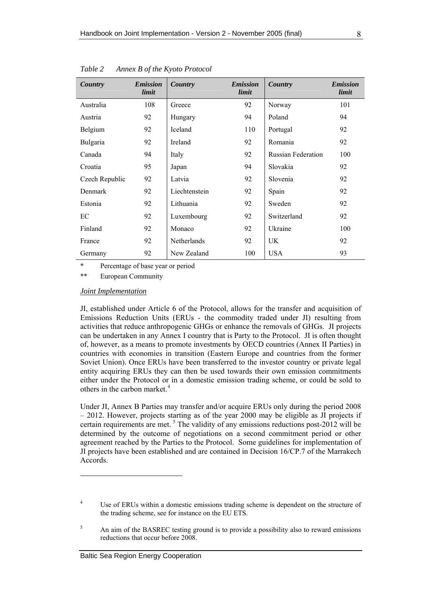| Country        | <b>Emission</b><br>limit | Country        | <b>Emission</b><br>limit | Country                   | <b>Emission</b><br>limit |
|----------------|--------------------------|----------------|--------------------------|---------------------------|--------------------------|
| Australia      | 108                      | Greece         | 92                       | Norway                    | 101                      |
| Austria        | 92                       | Hungary        | 94                       | Poland                    | 94                       |
| Belgium        | 92                       | <b>Iceland</b> | 110                      | Portugal                  | 92                       |
| Bulgaria       | 92                       | Ireland        | 92                       | Romania                   | 92                       |
| Canada         | 94                       | Italy          | 92                       | <b>Russian Federation</b> | 100                      |
| Croatia        | 95                       | Japan          | 94                       | Slovakia                  | 92                       |
| Czech Republic | 92                       | Latvia         | 92                       | Slovenia                  | 92                       |
| Denmark        | 92                       | Liechtenstein  | 92                       | Spain                     | 92                       |
| Estonia        | 92                       | Lithuania      | 92                       | Sweden                    | 92                       |
| EC             | 92                       | Luxembourg     | 92                       | Switzerland               | 92                       |
| Finland        | 92                       | Monaco         | 92                       | Ukraine                   | 100                      |
| France         | 92                       | Netherlands    | 92                       | UK.                       | 92                       |
| Germany        | 92                       | New Zealand    | 100                      | <b>USA</b>                | 93                       |

<span id="page-19-0"></span>*Table 2 Annex B of the Kyoto Protocol* 

\* Percentage of base year or period

\*\* European Community

#### *Joint Implementation*

JI, established under Article 6 of the Protocol, allows for the transfer and acquisition of Emissions Reduction Units (ERUs - the commodity traded under JI) resulting from activities that reduce anthropogenic GHGs or enhance the removals of GHGs. JI projects can be undertaken in any Annex I country that is Party to the Protocol. JI is often thought of, however, as a means to promote investments by OECD countries (Annex II Parties) in countries with economies in transition (Eastern Europe and countries from the former Soviet Union). Once ERUs have been transferred to the investor country or private legal entity acquiring ERUs they can then be used towards their own emission commitments either under the Protocol or in a domestic emission trading scheme, or could be sold to others in the carbon market.<sup>[4](#page-19-1)</sup>

Under JI, Annex B Parties may transfer and/or acquire ERUs only during the period 2008 – 2012. However, projects starting as of the year 2000 may be eligible as JI projects if certain requirements are met.<sup>[5](#page-19-2)</sup> The validity of any emissions reductions post-2012 will be determined by the outcome of negotiations on a second commitment period or other agreement reached by the Parties to the Protocol. Some guidelines for implementation of JI projects have been established and are contained in Decision 16/CP.7 of the Marrakech Accords.

<span id="page-19-1"></span><sup>4</sup> Use of ERUs within a domestic emissions trading scheme is dependent on the structure of the trading scheme, see for instance on the EU ETS.

<span id="page-19-2"></span><sup>5</sup> An aim of the BASREC testing ground is to provide a possibility also to reward emissions reductions that occur before 2008.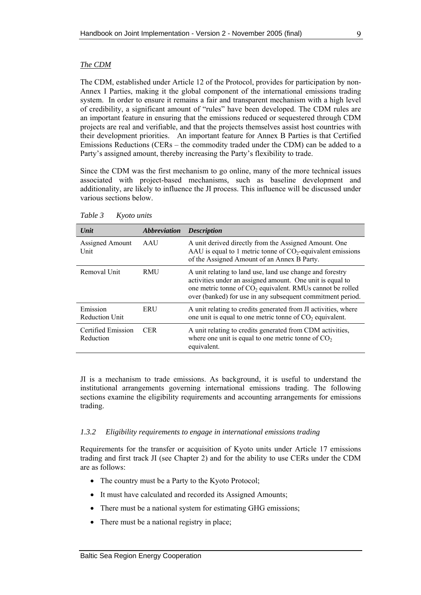#### <span id="page-20-0"></span>*The CDM*

The CDM, established under Article 12 of the Protocol, provides for participation by non-Annex I Parties, making it the global component of the international emissions trading system. In order to ensure it remains a fair and transparent mechanism with a high level of credibility, a significant amount of "rules" have been developed. The CDM rules are an important feature in ensuring that the emissions reduced or sequestered through CDM projects are real and verifiable, and that the projects themselves assist host countries with their development priorities. An important feature for Annex B Parties is that Certified Emissions Reductions (CERs – the commodity traded under the CDM) can be added to a Party's assigned amount, thereby increasing the Party's flexibility to trade.

Since the CDM was the first mechanism to go online, many of the more technical issues associated with project-based mechanisms, such as baseline development and additionality, are likely to influence the JI process. This influence will be discussed under various sections below.

| Unit                              | <i><b>Abbreviation</b></i> | <b>Description</b>                                                                                                                                                                                                                                  |
|-----------------------------------|----------------------------|-----------------------------------------------------------------------------------------------------------------------------------------------------------------------------------------------------------------------------------------------------|
| Assigned Amount<br>Unit           | AAU                        | A unit derived directly from the Assigned Amount. One<br>AAU is equal to 1 metric tonne of $CO2$ -equivalent emissions<br>of the Assigned Amount of an Annex B Party.                                                                               |
| Removal Unit                      | <b>RMU</b>                 | A unit relating to land use, land use change and forestry<br>activities under an assigned amount. One unit is equal to<br>one metric tonne of $CO2$ equivalent. RMUs cannot be rolled<br>over (banked) for use in any subsequent commitment period. |
| Emission<br><b>Reduction Unit</b> | ERU                        | A unit relating to credits generated from JI activities, where<br>one unit is equal to one metric tonne of $CO2$ equivalent.                                                                                                                        |
| Certified Emission<br>Reduction   | <b>CER</b>                 | A unit relating to credits generated from CDM activities,<br>where one unit is equal to one metric tonne of $CO2$<br>equivalent.                                                                                                                    |

*Table 3 Kyoto units* 

JI is a mechanism to trade emissions. As background, it is useful to understand the institutional arrangements governing international emissions trading. The following sections examine the eligibility requirements and accounting arrangements for emissions trading.

#### *1.3.2 Eligibility requirements to engage in international emissions trading*

Requirements for the transfer or acquisition of Kyoto units under Article 17 emissions trading and first track JI (see Chapter [2\)](#page-27-0) and for the ability to use CERs under the CDM are as follows:

- The country must be a Party to the Kyoto Protocol;
- It must have calculated and recorded its Assigned Amounts;
- There must be a national system for estimating GHG emissions;
- There must be a national registry in place;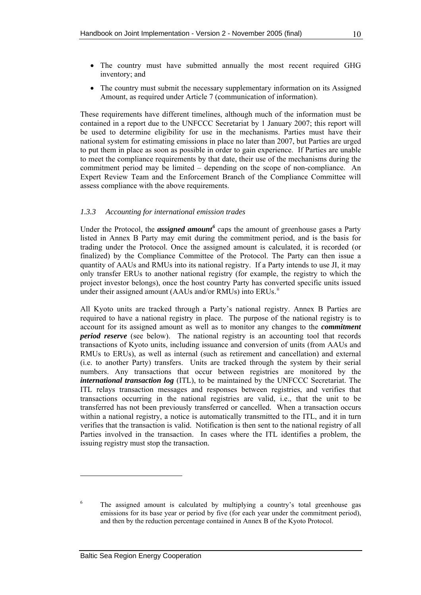- The country must have submitted annually the most recent required GHG inventory; and
- The country must submit the necessary supplementary information on its Assigned Amount, as required under Article 7 (communication of information).

These requirements have different timelines, although much of the information must be contained in a report due to the UNFCCC Secretariat by 1 January 2007; this report will be used to determine eligibility for use in the mechanisms. Parties must have their national system for estimating emissions in place no later than 2007, but Parties are urged to put them in place as soon as possible in order to gain experience. If Parties are unable to meet the compliance requirements by that date, their use of the mechanisms during the commitment period may be limited – depending on the scope of non-compliance. An Expert Review Team and the Enforcement Branch of the Compliance Committee will assess compliance with the above requirements.

### *1.3.3 Accounting for international emission trades*

Under the Protocol, the *assigned amount*<sup>[6](#page-21-0)</sup> caps the amount of greenhouse gases a Party listed in Annex B Party may emit during the commitment period, and is the basis for trading under the Protocol. Once the assigned amount is calculated, it is recorded (or finalized) by the Compliance Committee of the Protocol. The Party can then issue a quantity of AAUs and RMUs into its national registry. If a Party intends to use JI, it may only transfer ERUs to another national registry (for example, the registry to which the project investor belongs), once the host country Party has converted specific units issued under the[i](#page-16-0)r assigned amount (AAUs and/or RMUs) into ERUs.<sup>ii</sup>

All Kyoto units are tracked through a Party's national registry. Annex B Parties are required to have a national registry in place. The purpose of the national registry is to account for its assigned amount as well as to monitor any changes to the *commitment period reserve* (see below). The national registry is an accounting tool that records transactions of Kyoto units, including issuance and conversion of units (from AAUs and RMUs to ERUs), as well as internal (such as retirement and cancellation) and external (i.e. to another Party) transfers. Units are tracked through the system by their serial numbers. Any transactions that occur between registries are monitored by the *international transaction log* (ITL), to be maintained by the UNFCCC Secretariat. The ITL relays transaction messages and responses between registries, and verifies that transactions occurring in the national registries are valid, i.e., that the unit to be transferred has not been previously transferred or cancelled. When a transaction occurs within a national registry, a notice is automatically transmitted to the ITL, and it in turn verifies that the transaction is valid. Notification is then sent to the national registry of all Parties involved in the transaction. In cases where the ITL identifies a problem, the issuing registry must stop the transaction.

<span id="page-21-0"></span><sup>6</sup> The assigned amount is calculated by multiplying a country's total greenhouse gas emissions for its base year or period by five (for each year under the commitment period), and then by the reduction percentage contained in Annex B of the Kyoto Protocol.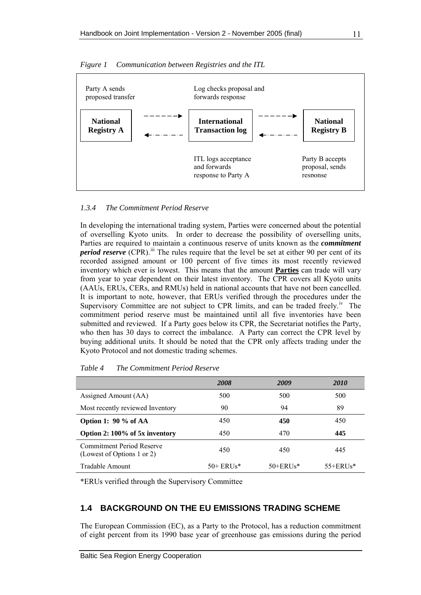

<span id="page-22-0"></span>*Figure 1 Communication between Registries and the ITL* 

### *1.3.4 The Commitment Period Reserve*

In developing the international trading system, Parties were concerned about the potential of overselling Kyoto units. In order to decrease the possibility of overselling units, Parties are required to maintain a continuous reserve of units known as the *commitment period reserve* (CPR).<sup>[ii](#page-17-1)i</sup> The rules require that the level be set at either 90 per cent of its recorded assigned amount or 100 percent of five times its most recently reviewed inventory which ever is lowest. This means that the amount **Parties** can trade will vary from year to year dependent on their latest inventory. The CPR covers all Kyoto units (AAUs, ERUs, CERs, and RMUs) held in national accounts that have not been cancelled. It is important to note, however, that ERUs verified through the procedures under the Superv[i](#page-19-1)sory Committee are not subject to CPR limits, and can be traded freely.<sup>iv</sup> The commitment period reserve must be maintained until all five inventories have been submitted and reviewed. If a Party goes below its CPR, the Secretariat notifies the Party, who then has 30 days to correct the imbalance. A Party can correct the CPR level by buying additional units. It should be noted that the CPR only affects trading under the Kyoto Protocol and not domestic trading schemes.

|                                                                | 2008       | 2009          | <b>2010</b>  |
|----------------------------------------------------------------|------------|---------------|--------------|
| Assigned Amount (AA)                                           | 500        | 500           | 500          |
| Most recently reviewed Inventory                               | 90         | 94            | 89           |
| Option 1: $90\%$ of AA                                         | 450        | 450           | 450          |
| Option 2: 100% of 5x inventory                                 | 450        | 470           | 445          |
| <b>Commitment Period Reserve</b><br>(Lowest of Options 1 or 2) | 450        | 450           | 445          |
| Tradable Amount                                                | $50+ERUs*$ | $50 + ERUS^*$ | $55 + ERUs*$ |

*Table 4 The Commitment Period Reserve* 

\*ERUs verified through the Supervisory Committee

### **1.4 BACKGROUND ON THE EU EMISSIONS TRADING SCHEME**

The European Commission (EC), as a Party to the Protocol, has a reduction commitment of eight percent from its 1990 base year of greenhouse gas emissions during the period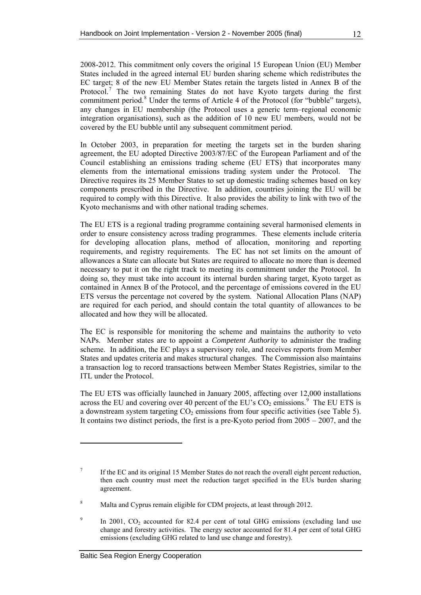2008-2012. This commitment only covers the original 15 European Union (EU) Member States included in the agreed internal EU burden sharing scheme which redistributes the EC target; 8 of the new EU Member States retain the targets listed in Annex B of the Protocol.<sup>[7](#page-23-0)</sup> The two remaining States do not have Kyoto targets during the first commitment period.<sup>[8](#page-23-1)</sup> Under the terms of Article 4 of the Protocol (for "bubble" targets), any changes in EU membership (the Protocol uses a generic term–regional economic integration organisations), such as the addition of 10 new EU members, would not be covered by the EU bubble until any subsequent commitment period.

In October 2003, in preparation for meeting the targets set in the burden sharing agreement, the EU adopted Directive 2003/87/EC of the European Parliament and of the Council establishing an emissions trading scheme (EU ETS) that incorporates many elements from the international emissions trading system under the Protocol. The Directive requires its 25 Member States to set up domestic trading schemes based on key components prescribed in the Directive. In addition, countries joining the EU will be required to comply with this Directive. It also provides the ability to link with two of the Kyoto mechanisms and with other national trading schemes.

The EU ETS is a regional trading programme containing several harmonised elements in order to ensure consistency across trading programmes. These elements include criteria for developing allocation plans, method of allocation, monitoring and reporting requirements, and registry requirements. The EC has not set limits on the amount of allowances a State can allocate but States are required to allocate no more than is deemed necessary to put it on the right track to meeting its commitment under the Protocol. In doing so, they must take into account its internal burden sharing target, Kyoto target as contained in Annex B of the Protocol, and the percentage of emissions covered in the EU ETS versus the percentage not covered by the system. National Allocation Plans (NAP) are required for each period, and should contain the total quantity of allowances to be allocated and how they will be allocated.

The EC is responsible for monitoring the scheme and maintains the authority to veto NAPs. Member states are to appoint a *Competent Authority* to administer the trading scheme. In addition, the EC plays a supervisory role, and receives reports from Member States and updates criteria and makes structural changes. The Commission also maintains a transaction log to record transactions between Member States Registries, similar to the ITL under the Protocol.

The EU ETS was officially launched in January 2005, affecting over 12,000 installations across the EU and covering over 40 percent of the EU's  $CO_2$  emissions.<sup>[9](#page-23-2)</sup> The EU ETS is a downstream system targeting  $CO<sub>2</sub>$  emissions from four specific activities (see [Table 5\)](#page-24-0). It contains two distinct periods, the first is a pre-Kyoto period from 2005 – 2007, and the

<span id="page-23-0"></span><sup>7</sup> If the EC and its original 15 Member States do not reach the overall eight percent reduction, then each country must meet the reduction target specified in the EUs burden sharing agreement.

<span id="page-23-1"></span><sup>8</sup> Malta and Cyprus remain eligible for CDM projects, at least through 2012.

<span id="page-23-2"></span> $\mathbf Q$ In 2001, CO<sub>2</sub> accounted for 82.4 per cent of total GHG emissions (excluding land use change and forestry activities. The energy sector accounted for 81.4 per cent of total GHG emissions (excluding GHG related to land use change and forestry).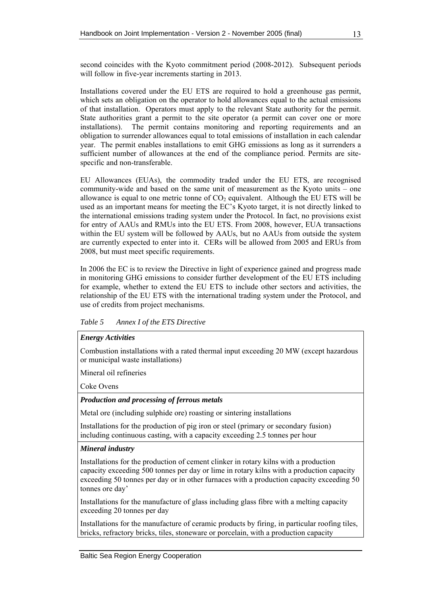<span id="page-24-0"></span>second coincides with the Kyoto commitment period (2008-2012). Subsequent periods will follow in five-year increments starting in 2013.

Installations covered under the EU ETS are required to hold a greenhouse gas permit, which sets an obligation on the operator to hold allowances equal to the actual emissions of that installation. Operators must apply to the relevant State authority for the permit. State authorities grant a permit to the site operator (a permit can cover one or more installations). The permit contains monitoring and reporting requirements and an obligation to surrender allowances equal to total emissions of installation in each calendar year. The permit enables installations to emit GHG emissions as long as it surrenders a sufficient number of allowances at the end of the compliance period. Permits are sitespecific and non-transferable.

EU Allowances (EUAs), the commodity traded under the EU ETS, are recognised community-wide and based on the same unit of measurement as the Kyoto units – one allowance is equal to one metric tonne of  $CO<sub>2</sub>$  equivalent. Although the EU ETS will be used as an important means for meeting the EC's Kyoto target, it is not directly linked to the international emissions trading system under the Protocol. In fact, no provisions exist for entry of AAUs and RMUs into the EU ETS. From 2008, however, EUA transactions within the EU system will be followed by AAUs, but no AAUs from outside the system are currently expected to enter into it. CERs will be allowed from 2005 and ERUs from 2008, but must meet specific requirements.

In 2006 the EC is to review the Directive in light of experience gained and progress made in monitoring GHG emissions to consider further development of the EU ETS including for example, whether to extend the EU ETS to include other sectors and activities, the relationship of the EU ETS with the international trading system under the Protocol, and use of credits from project mechanisms.

*Table 5 Annex I of the ETS Directive* 

### *Energy Activities*

Combustion installations with a rated thermal input exceeding 20 MW (except hazardous or municipal waste installations)

Mineral oil refineries

Coke Ovens

### *Production and processing of ferrous metals*

Metal ore (including sulphide ore) roasting or sintering installations

Installations for the production of pig iron or steel (primary or secondary fusion) including continuous casting, with a capacity exceeding 2.5 tonnes per hour

### *Mineral industry*

Installations for the production of cement clinker in rotary kilns with a production capacity exceeding 500 tonnes per day or lime in rotary kilns with a production capacity exceeding 50 tonnes per day or in other furnaces with a production capacity exceeding 50 tonnes ore day'

Installations for the manufacture of glass including glass fibre with a melting capacity exceeding 20 tonnes per day

Installations for the manufacture of ceramic products by firing, in particular roofing tiles, bricks, refractory bricks, tiles, stoneware or porcelain, with a production capacity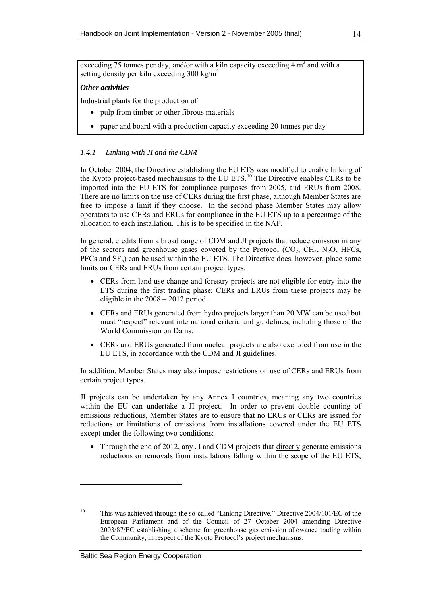exceeding 75 tonnes per day, and/or with a kiln capacity exceeding  $4 \text{ m}^3$  and with a setting density per kiln exceeding  $300 \text{ kg/m}^3$ 

#### *Other activities*

Industrial plants for the production of

- pulp from timber or other fibrous materials
- paper and board with a production capacity exceeding 20 tonnes per day

#### *1.4.1 Linking with JI and the CDM*

In October 2004, the Directive establishing the EU ETS was modified to enable linking of the Kyoto project-based mechanisms to the EU ETS.<sup>[10](#page-25-0)</sup> The Directive enables CERs to be imported into the EU ETS for compliance purposes from 2005, and ERUs from 2008. There are no limits on the use of CERs during the first phase, although Member States are free to impose a limit if they choose. In the second phase Member States may allow operators to use CERs and ERUs for compliance in the EU ETS up to a percentage of the allocation to each installation. This is to be specified in the NAP.

In general, credits from a broad range of CDM and JI projects that reduce emission in any of the sectors and greenhouse gases covered by the Protocol  $(CO<sub>2</sub>, CH<sub>4</sub>, N<sub>2</sub>O, HFCs,$  $PFCs$  and  $SF<sub>6</sub>$ ) can be used within the EU ETS. The Directive does, however, place some limits on CERs and ERUs from certain project types:

- CERs from land use change and forestry projects are not eligible for entry into the ETS during the first trading phase; CERs and ERUs from these projects may be eligible in the 2008 – 2012 period.
- CERs and ERUs generated from hydro projects larger than 20 MW can be used but must "respect" relevant international criteria and guidelines, including those of the World Commission on Dams.
- CERs and ERUs generated from nuclear projects are also excluded from use in the EU ETS, in accordance with the CDM and JI guidelines.

In addition, Member States may also impose restrictions on use of CERs and ERUs from certain project types.

JI projects can be undertaken by any Annex I countries, meaning any two countries within the EU can undertake a JI project. In order to prevent double counting of emissions reductions, Member States are to ensure that no ERUs or CERs are issued for reductions or limitations of emissions from installations covered under the EU ETS except under the following two conditions:

• Through the end of 2012, any JI and CDM projects that directly generate emissions reductions or removals from installations falling within the scope of the EU ETS,

<span id="page-25-0"></span><sup>&</sup>lt;sup>10</sup> This was achieved through the so-called "Linking Directive." Directive 2004/101/EC of the European Parliament and of the Council of 27 October 2004 amending Directive 2003/87/EC establishing a scheme for greenhouse gas emission allowance trading within the Community, in respect of the Kyoto Protocol's project mechanisms.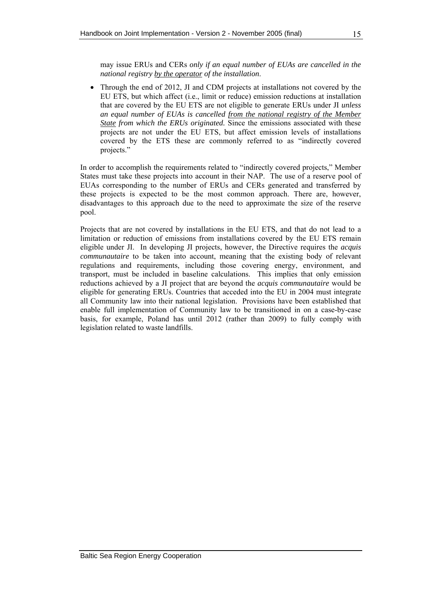may issue ERUs and CERs *only if an equal number of EUAs are cancelled in the national registry by the operator of the installation*.

• Through the end of 2012, JI and CDM projects at installations not covered by the EU ETS, but which affect (i.e., limit or reduce) emission reductions at installation that are covered by the EU ETS are not eligible to generate ERUs under JI *unless an equal number of EUAs is cancelled from the national registry of the Member State from which the ERUs originated.* Since the emissions associated with these projects are not under the EU ETS, but affect emission levels of installations covered by the ETS these are commonly referred to as "indirectly covered projects."

In order to accomplish the requirements related to "indirectly covered projects," Member States must take these projects into account in their NAP. The use of a reserve pool of EUAs corresponding to the number of ERUs and CERs generated and transferred by these projects is expected to be the most common approach. There are, however, disadvantages to this approach due to the need to approximate the size of the reserve pool.

Projects that are not covered by installations in the EU ETS, and that do not lead to a limitation or reduction of emissions from installations covered by the EU ETS remain eligible under JI. In developing JI projects, however, the Directive requires the *acquis communautaire* to be taken into account, meaning that the existing body of relevant regulations and requirements, including those covering energy, environment, and transport, must be included in baseline calculations. This implies that only emission reductions achieved by a JI project that are beyond the *acquis communautaire* would be eligible for generating ERUs. Countries that acceded into the EU in 2004 must integrate all Community law into their national legislation. Provisions have been established that enable full implementation of Community law to be transitioned in on a case-by-case basis, for example, Poland has until 2012 (rather than 2009) to fully comply with legislation related to waste landfills.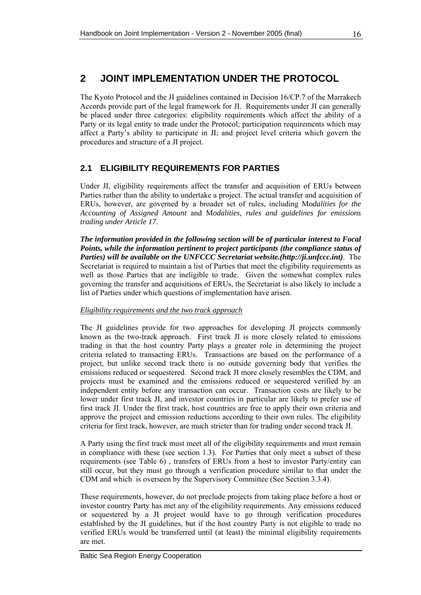# <span id="page-27-0"></span>**2 JOINT IMPLEMENTATION UNDER THE PROTOCOL**

The Kyoto Protocol and the JI guidelines contained in Decision 16/CP.7 of the Marrakech Accords provide part of the legal framework for JI. Requirements under JI can generally be placed under three categories: eligibility requirements which affect the ability of a Party or its legal entity to trade under the Protocol; participation requirements which may affect a Party's ability to participate in JI; and project level criteria which govern the procedures and structure of a JI project.

### **2.1 ELIGIBILITY REQUIREMENTS FOR PARTIES**

Under JI, eligibility requirements affect the transfer and acquisition of ERUs between Parties rather than the ability to undertake a project. The actual transfer and acquisition of ERUs, however, are governed by a broader set of rules, including M*odalities for the Accounting of Assigned Amount* and M*odalities, rules and guidelines for emissions trading under Article 17*.

*The information provided in the following section will be of particular interest to Focal Points, while the information pertinent to project participants (the compliance status of Parties) will be available on the UNFCCC Secretariat website.(http://ji.unfccc.int)*. The Secretariat is required to maintain a list of Parties that meet the eligibility requirements as well as those Parties that are ineligible to trade. Given the somewhat complex rules governing the transfer and acquisitions of ERUs, the Secretariat is also likely to include a list of Parties under which questions of implementation have arisen.

### *Eligibility requirements and the two track approach*

The JI guidelines provide for two approaches for developing JI projects commonly known as the two-track approach. First track JI is more closely related to emissions trading in that the host country Party plays a greater role in determining the project criteria related to transacting ERUs. Transactions are based on the performance of a project, but unlike second track there is no outside governing body that verifies the emissions reduced or sequestered. Second track JI more closely resembles the CDM, and projects must be examined and the emissions reduced or sequestered verified by an independent entity before any transaction can occur. Transaction costs are likely to be lower under first track JI, and investor countries in particular are likely to prefer use of first track JI. Under the first track, host countries are free to apply their own criteria and approve the project and emission reductions according to their own rules. The eligibility criteria for first track, however, are much stricter than for trading under second track JI.

A Party using the first track must meet all of the eligibility requirements and must remain in compliance with these (see section [1.3\)](#page-15-0). For Parties that only meet a subset of these requirements (see [Table 6](#page-29-0)) , transfers of ERUs from a host to investor Party/entity can still occur, but they must go through a verification procedure similar to that under the CDM and which is overseen by the Supervisory Committee (See Section [3.3.4\)](#page-41-0).

These requirements, however, do not preclude projects from taking place before a host or investor country Party has met any of the eligibility requirements. Any emissions reduced or sequestered by a JI project would have to go through verification procedures established by the JI guidelines, but if the host country Party is not eligible to trade no verified ERUs would be transferred until (at least) the minimal eligibility requirements are met.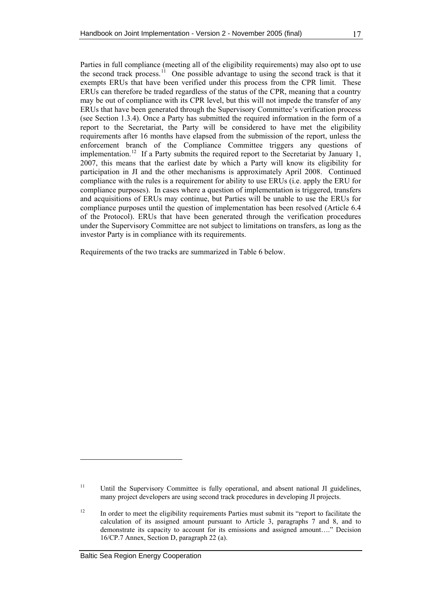Parties in full compliance (meeting all of the eligibility requirements) may also opt to use the second track process.<sup>[1](#page-28-0)1</sup> One possible advantage to using the second track is that it exempts ERUs that have been verified under this process from the CPR limit. These ERUs can therefore be traded regardless of the status of the CPR, meaning that a country may be out of compliance with its CPR level, but this will not impede the transfer of any ERUs that have been generated through the Supervisory Committee's verification process (see Section [1.3.4\)](#page-22-0). Once a Party has submitted the required information in the form of a report to the Secretariat, the Party will be considered to have met the eligibility requirements after 16 months have elapsed from the submission of the report, unless the enforcement branch of the Compliance Committee triggers any questions of implementation.<sup>[1](#page-28-1)2</sup> If a Party submits the required report to the Secretariat by January 1, 2007, this means that the earliest date by which a Party will know its eligibility for participation in JI and the other mechanisms is approximately April 2008. Continued compliance with the rules is a requirement for ability to use ERUs (i.e. apply the ERU for compliance purposes). In cases where a question of implementation is triggered, transfers and acquisitions of ERUs may continue, but Parties will be unable to use the ERUs for compliance purposes until the question of implementation has been resolved (Article 6.4 of the Protocol). ERUs that have been generated through the verification procedures under the Supervisory Committee are not subject to limitations on transfers, as long as the investor Party is in compliance with its requirements.

Requirements of the two tracks are summarized in [Table 6](#page-29-0) below.

<span id="page-28-0"></span><sup>&</sup>lt;sup>11</sup> Until the Supervisory Committee is fully operational, and absent national JI guidelines, many project developers are using second track procedures in developing JI projects.

<span id="page-28-1"></span><sup>&</sup>lt;sup>12</sup> In order to meet the eligibility requirements Parties must submit its "report to facilitate the calculation of its assigned amount pursuant to Article 3, paragraphs 7 and 8, and to demonstrate its capacity to account for its emissions and assigned amount…." Decision 16/CP.7 Annex, Section D, paragraph 22 (a).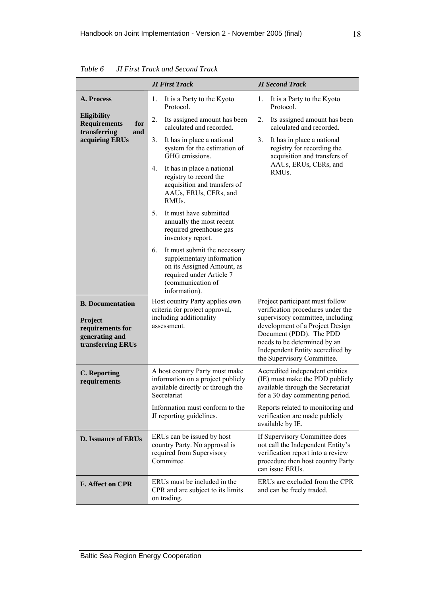| <b>JI First Track</b>                                                                                                                |                                                                                                                                                                 | <b>JI Second Track</b>                                                                                                                                                                                                                                                   |  |  |
|--------------------------------------------------------------------------------------------------------------------------------------|-----------------------------------------------------------------------------------------------------------------------------------------------------------------|--------------------------------------------------------------------------------------------------------------------------------------------------------------------------------------------------------------------------------------------------------------------------|--|--|
| A. Process                                                                                                                           | 1.<br>It is a Party to the Kyoto<br>Protocol.                                                                                                                   | 1.<br>It is a Party to the Kyoto<br>Protocol.                                                                                                                                                                                                                            |  |  |
| Eligibility<br><b>Requirements</b><br>for<br>transferring<br>and                                                                     | 2.<br>Its assigned amount has been<br>calculated and recorded.                                                                                                  | Its assigned amount has been<br>2.<br>calculated and recorded.                                                                                                                                                                                                           |  |  |
| acquiring ERUs                                                                                                                       | 3.<br>It has in place a national<br>system for the estimation of<br>GHG emissions.                                                                              | 3 <sub>1</sub><br>It has in place a national<br>registry for recording the<br>acquisition and transfers of                                                                                                                                                               |  |  |
|                                                                                                                                      | It has in place a national<br>4.<br>registry to record the<br>acquisition and transfers of<br>AAUs, ERUs, CERs, and<br>RMU <sub>s</sub> .                       | AAUs, ERUs, CERs, and<br>RMU <sub>s.</sub>                                                                                                                                                                                                                               |  |  |
|                                                                                                                                      | It must have submitted<br>5.<br>annually the most recent<br>required greenhouse gas<br>inventory report.                                                        |                                                                                                                                                                                                                                                                          |  |  |
|                                                                                                                                      | It must submit the necessary<br>6.<br>supplementary information<br>on its Assigned Amount, as<br>required under Article 7<br>(communication of<br>information). |                                                                                                                                                                                                                                                                          |  |  |
| <b>B.</b> Documentation<br>Project<br>requirements for<br>generating and<br>transferring ERUs                                        | Host country Party applies own<br>criteria for project approval,<br>including additionality<br>assessment.                                                      | Project participant must follow<br>verification procedures under the<br>supervisory committee, including<br>development of a Project Design<br>Document (PDD). The PDD<br>needs to be determined by an<br>Independent Entity accredited by<br>the Supervisory Committee. |  |  |
| <b>C.</b> Reporting<br>requirements                                                                                                  | A host country Party must make<br>information on a project publicly<br>available directly or through the<br>Secretariat                                         | Accredited independent entities<br>(IE) must make the PDD publicly<br>available through the Secretariat<br>for a 30 day commenting period.                                                                                                                               |  |  |
|                                                                                                                                      | Information must conform to the<br>JI reporting guidelines.                                                                                                     | Reports related to monitoring and<br>verification are made publicly<br>available by IE.                                                                                                                                                                                  |  |  |
| ERUs can be issued by host<br><b>D. Issuance of ERUs</b><br>country Party. No approval is<br>required from Supervisory<br>Committee. |                                                                                                                                                                 | If Supervisory Committee does<br>not call the Independent Entity's<br>verification report into a review<br>procedure then host country Party<br>can issue ERUs.                                                                                                          |  |  |
| ERUs must be included in the<br><b>F. Affect on CPR</b><br>CPR and are subject to its limits<br>on trading.                          |                                                                                                                                                                 | ERUs are excluded from the CPR<br>and can be freely traded.                                                                                                                                                                                                              |  |  |

<span id="page-29-0"></span>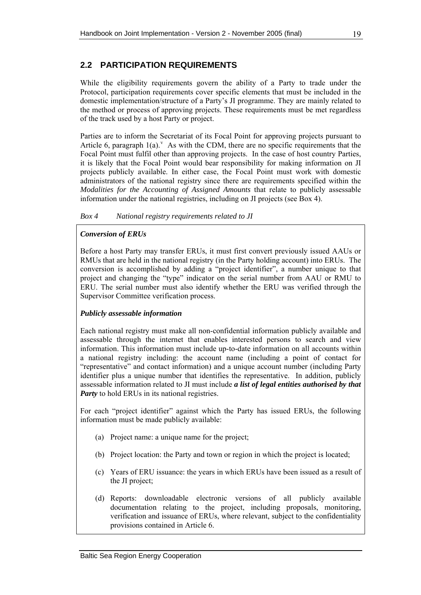### <span id="page-30-0"></span>**2.2 PARTICIPATION REQUIREMENTS**

While the eligibility requirements govern the ability of a Party to trade under the Protocol, participation requirements cover specific elements that must be included in the domestic implementation/structure of a Party's JI programme. They are mainly related to the method or process of approving projects. These requirements must be met regardless of the track used by a host Party or project.

Parties are to inform the Secretariat of its Focal Point for approving projects pursuant to Article 6, paragraph  $1(a)$ . As with the CDM, there are no specific requirements that the Focal Point must fulfil other than approving projects. In the case of host country Parties, it is likely that the Focal Point would bear responsibility for making information on JI projects publicly available. In either case, the Focal Point must work with domestic administrators of the national registry since there are requirements specified within the *Modalities for the Accounting of Assigned Amounts* that relate to publicly assessable information under the national registries, including on JI projects (see [Box 4](#page-30-0)).

### *Box 4 National registry requirements related to JI*

### *Conversion of ERUs*

Before a host Party may transfer ERUs, it must first convert previously issued AAUs or RMUs that are held in the national registry (in the Party holding account) into ERUs. The conversion is accomplished by adding a "project identifier", a number unique to that project and changing the "type" indicator on the serial number from AAU or RMU to ERU. The serial number must also identify whether the ERU was verified through the Supervisor Committee verification process.

### *Publicly assessable information*

Each national registry must make all non-confidential information publicly available and assessable through the internet that enables interested persons to search and view information. This information must include up-to-date information on all accounts within a national registry including: the account name (including a point of contact for "representative" and contact information) and a unique account number (including Party identifier plus a unique number that identifies the representative. In addition, publicly assessable information related to JI must include *a list of legal entities authorised by that Party* to hold ERUs in its national registries.

For each "project identifier" against which the Party has issued ERUs, the following information must be made publicly available:

- (a) Project name: a unique name for the project;
- (b) Project location: the Party and town or region in which the project is located;
- (c) Years of ERU issuance: the years in which ERUs have been issued as a result of the JI project;
- (d) Reports: downloadable electronic versions of all publicly available documentation relating to the project, including proposals, monitoring, verification and issuance of ERUs, where relevant, subject to the confidentiality provisions contained in Article 6.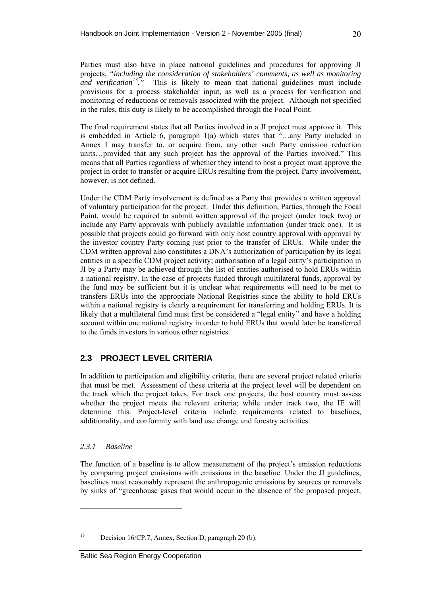<span id="page-31-0"></span>Parties must also have in place national guidelines and procedures for approving JI projects, *"including the consideration of stakeholders' comments, as well as monitoring and verification*<sup>[1](#page-31-1)3</sup><sup>*m*</sup>. This is likely to mean that national guidelines must include provisions for a process stakeholder input, as well as a process for verification and monitoring of reductions or removals associated with the project. Although not specified in the rules, this duty is likely to be accomplished through the Focal Point.

The final requirement states that all Parties involved in a JI project must approve it. This is embedded in Article 6, paragraph 1(a) which states that "…any Party included in Annex I may transfer to, or acquire from, any other such Party emission reduction units…provided that any such project has the approval of the Parties involved." This means that all Parties regardless of whether they intend to host a project must approve the project in order to transfer or acquire ERUs resulting from the project. Party involvement, however, is not defined.

Under the CDM Party involvement is defined as a Party that provides a written approval of voluntary participation for the project. Under this definition, Parties, through the Focal Point, would be required to submit written approval of the project (under track two) or include any Party approvals with publicly available information (under track one). It is possible that projects could go forward with only host country approval with approval by the investor country Party coming just prior to the transfer of ERUs. While under the CDM written approval also constitutes a DNA's authorization of participation by its legal entities in a specific CDM project activity; authorisation of a legal entity's participation in JI by a Party may be achieved through the list of entities authorised to hold ERUs within a national registry. In the case of projects funded through multilateral funds, approval by the fund may be sufficient but it is unclear what requirements will need to be met to transfers ERUs into the appropriate National Registries since the ability to hold ERUs within a national registry is clearly a requirement for transferring and holding ERUs. It is likely that a multilateral fund must first be considered a "legal entity" and have a holding account within one national registry in order to hold ERUs that would later be transferred to the funds investors in various other registries.

### **2.3 PROJECT LEVEL CRITERIA**

In addition to participation and eligibility criteria, there are several project related criteria that must be met. Assessment of these criteria at the project level will be dependent on the track which the project takes. For track one projects, the host country must assess whether the project meets the relevant criteria; while under track two, the IE will determine this. Project-level criteria include requirements related to baselines, additionality, and conformity with land use change and forestry activities.

### *2.3.1 Baseline*

The function of a baseline is to allow measurement of the project's emission reductions by comparing project emissions with emissions in the baseline. Under the JI guidelines, baselines must reasonably represent the anthropogenic emissions by sources or removals by sinks of "greenhouse gases that would occur in the absence of the proposed project,

<span id="page-31-1"></span><sup>13</sup> Decision 16/CP.7, Annex, Section D, paragraph 20 (b).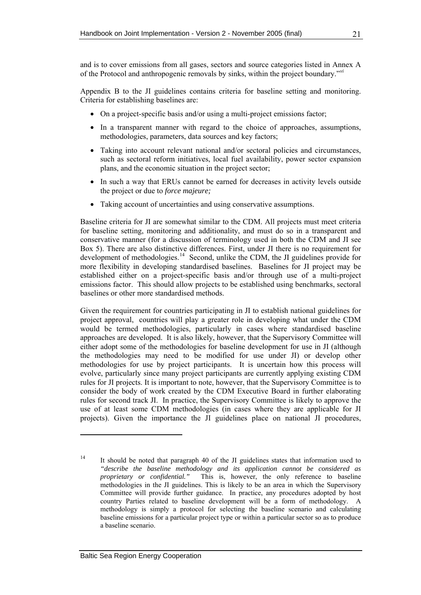and is to cover emissions from all gases, sectors and source categories listed in Annex A of the Protocol and anthropogenic removals by sinks, within the project boundary."*[vi](#page-21-0)*

Appendix B to the JI guidelines contains criteria for baseline setting and monitoring. Criteria for establishing baselines are:

- On a project-specific basis and/or using a multi-project emissions factor;
- In a transparent manner with regard to the choice of approaches, assumptions, methodologies, parameters, data sources and key factors;
- Taking into account relevant national and/or sectoral policies and circumstances, such as sectoral reform initiatives, local fuel availability, power sector expansion plans, and the economic situation in the project sector;
- In such a way that ERUs cannot be earned for decreases in activity levels outside the project or due to *force majeure;*
- Taking account of uncertainties and using conservative assumptions.

Baseline criteria for JI are somewhat similar to the CDM. All projects must meet criteria for baseline setting, monitoring and additionality, and must do so in a transparent and conservative manner (for a discussion of terminology used in both the CDM and JI see [Box 5\)](#page-33-0). There are also distinctive differences. First, under JI there is no requirement for development of methodologies.<sup>[1](#page-32-0)4</sup> Second, unlike the CDM, the JI guidelines provide for more flexibility in developing standardised baselines. Baselines for JI project may be established either on a project-specific basis and/or through use of a multi-project emissions factor. This should allow projects to be established using benchmarks, sectoral baselines or other more standardised methods.

Given the requirement for countries participating in JI to establish national guidelines for project approval, countries will play a greater role in developing what under the CDM would be termed methodologies, particularly in cases where standardised baseline approaches are developed. It is also likely, however, that the Supervisory Committee will either adopt some of the methodologies for baseline development for use in JI (although the methodologies may need to be modified for use under JI) or develop other methodologies for use by project participants. It is uncertain how this process will evolve, particularly since many project participants are currently applying existing CDM rules for JI projects. It is important to note, however, that the Supervisory Committee is to consider the body of work created by the CDM Executive Board in further elaborating rules for second track JI. In practice, the Supervisory Committee is likely to approve the use of at least some CDM methodologies (in cases where they are applicable for JI projects). Given the importance the JI guidelines place on national JI procedures,

<span id="page-32-0"></span><sup>&</sup>lt;sup>14</sup> It should be noted that paragraph 40 of the JI guidelines states that information used to *"describe the baseline methodology and its application cannot be considered as proprietary or confidential."* This is, however, the only reference to baseline methodologies in the JI guidelines. This is likely to be an area in which the Supervisory Committee will provide further guidance. In practice, any procedures adopted by host country Parties related to baseline development will be a form of methodology. A methodology is simply a protocol for selecting the baseline scenario and calculating baseline emissions for a particular project type or within a particular sector so as to produce a baseline scenario.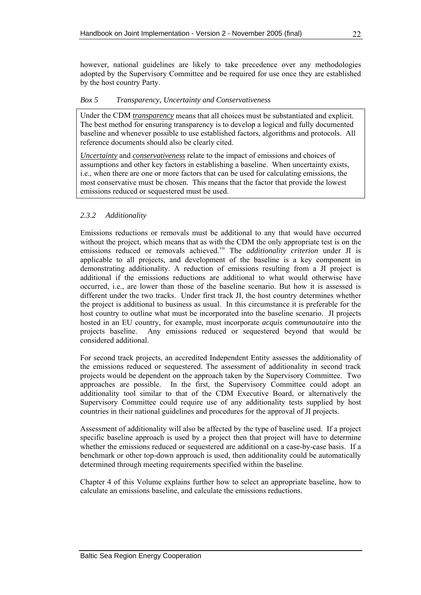<span id="page-33-0"></span>however, national guidelines are likely to take precedence over any methodologies adopted by the Supervisory Committee and be required for use once they are established by the host country Party.

#### *Box 5 Transparency, Uncertainty and Conservativeness*

Under the CDM *transparency* means that all choices must be substantiated and explicit. The best method for ensuring transparency is to develop a logical and fully documented baseline and whenever possible to use established factors, algorithms and protocols. All reference documents should also be clearly cited.

*Uncertainty* and *conservativeness* relate to the impact of emissions and choices of assumptions and other key factors in establishing a baseline. When uncertainty exists, i.e., when there are one or more factors that can be used for calculating emissions, the most conservative must be chosen. This means that the factor that provide the lowest emissions reduced or sequestered must be used.

### *2.3.2 Additionality*

Emissions reductions or removals must be additional to any that would have occurred without the project, which means that as with the CDM the only appropriate test is on the emissions reduced or removals achieved.<sup>[vi](#page-23-0)i</sup> The *additionality criterion* under JI is applicable to all projects, and development of the baseline is a key component in demonstrating additionality. A reduction of emissions resulting from a JI project is additional if the emissions reductions are additional to what would otherwise have occurred, i.e., are lower than those of the baseline scenario. But how it is assessed is different under the two tracks. Under first track JI, the host country determines whether the project is additional to business as usual. In this circumstance it is preferable for the host country to outline what must be incorporated into the baseline scenario. JI projects hosted in an EU country, for example, must incorporate *acquis communautaire* into the projects baseline. Any emissions reduced or sequestered beyond that would be considered additional.

For second track projects, an accredited Independent Entity assesses the additionality of the emissions reduced or sequestered. The assessment of additionality in second track projects would be dependent on the approach taken by the Supervisory Committee. Two approaches are possible. In the first, the Supervisory Committee could adopt an additionality tool similar to that of the CDM Executive Board, or alternatively the Supervisory Committee could require use of any additionality tests supplied by host countries in their national guidelines and procedures for the approval of JI projects.

Assessment of additionality will also be affected by the type of baseline used. If a project specific baseline approach is used by a project then that project will have to determine whether the emissions reduced or sequestered are additional on a case-by-case basis. If a benchmark or other top-down approach is used, then additionality could be automatically determined through meeting requirements specified within the baseline.

Chapter [4](#page-57-0) of this Volume explains further how to select an appropriate baseline, how to calculate an emissions baseline, and calculate the emissions reductions.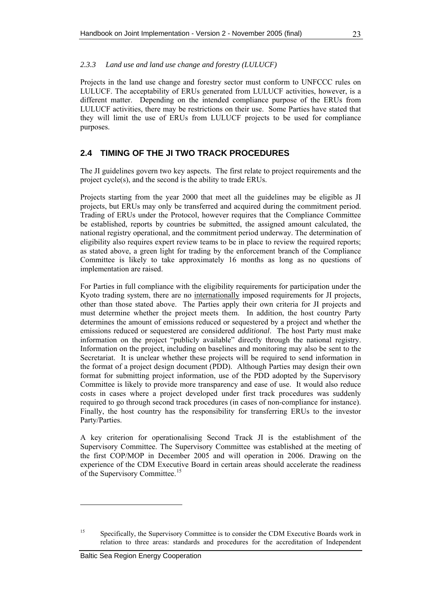### <span id="page-34-0"></span>*2.3.3 Land use and land use change and forestry (LULUCF)*

Projects in the land use change and forestry sector must conform to UNFCCC rules on LULUCF. The acceptability of ERUs generated from LULUCF activities, however, is a different matter. Depending on the intended compliance purpose of the ERUs from LULUCF activities, there may be restrictions on their use. Some Parties have stated that they will limit the use of ERUs from LULUCF projects to be used for compliance purposes.

### **2.4 TIMING OF THE JI TWO TRACK PROCEDURES**

The JI guidelines govern two key aspects. The first relate to project requirements and the project cycle(s), and the second is the ability to trade ERUs.

Projects starting from the year 2000 that meet all the guidelines may be eligible as JI projects, but ERUs may only be transferred and acquired during the commitment period. Trading of ERUs under the Protocol, however requires that the Compliance Committee be established, reports by countries be submitted, the assigned amount calculated, the national registry operational, and the commitment period underway. The determination of eligibility also requires expert review teams to be in place to review the required reports; as stated above, a green light for trading by the enforcement branch of the Compliance Committee is likely to take approximately 16 months as long as no questions of implementation are raised.

For Parties in full compliance with the eligibility requirements for participation under the Kyoto trading system, there are no internationally imposed requirements for JI projects, other than those stated above. The Parties apply their own criteria for JI projects and must determine whether the project meets them. In addition, the host country Party determines the amount of emissions reduced or sequestered by a project and whether the emissions reduced or sequestered are considered *additional*. The host Party must make information on the project "publicly available" directly through the national registry. Information on the project, including on baselines and monitoring may also be sent to the Secretariat. It is unclear whether these projects will be required to send information in the format of a project design document (PDD). Although Parties may design their own format for submitting project information, use of the PDD adopted by the Supervisory Committee is likely to provide more transparency and ease of use. It would also reduce costs in cases where a project developed under first track procedures was suddenly required to go through second track procedures (in cases of non-compliance for instance). Finally, the host country has the responsibility for transferring ERUs to the investor Party/Parties.

A key criterion for operationalising Second Track JI is the establishment of the Supervisory Committee. The Supervisory Committee was established at the meeting of the first COP/MOP in December 2005 and will operation in 2006. Drawing on the experience of the CDM Executive Board in certain areas should accelerate the readiness of the Supervisory Committee.<sup>[1](#page-34-1)5</sup>

<span id="page-34-1"></span><sup>&</sup>lt;sup>15</sup> Specifically, the Supervisory Committee is to consider the CDM Executive Boards work in relation to three areas: standards and procedures for the accreditation of Independent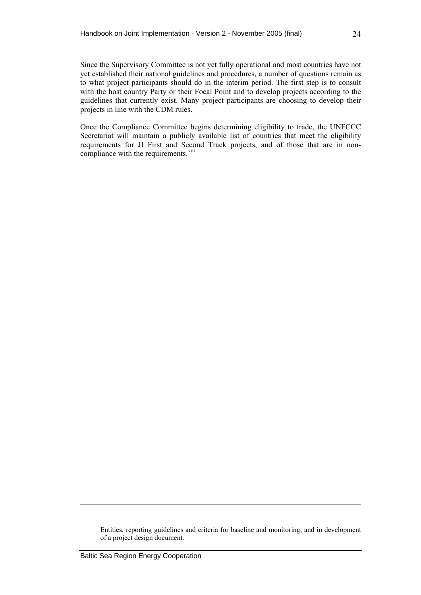Since the Supervisory Committee is not yet fully operational and most countries have not yet established their national guidelines and procedures, a number of questions remain as to what project participants should do in the interim period. The first step is to consult with the host country Party or their Focal Point and to develop projects according to the guidelines that currently exist. Many project participants are choosing to develop their projects in line with the CDM rules.

Once the Compliance Committee begins determining eligibility to trade, the UNFCCC Secretariat will maintain a publicly available list of countries that meet the eligibility requirements for JI First and Second Track projects, and of those that are in noncompliance with the requirements.<sup>[vi](#page-23-1)ii</sup>

Entities, reporting guidelines and criteria for baseline and monitoring, and in development of a project design document.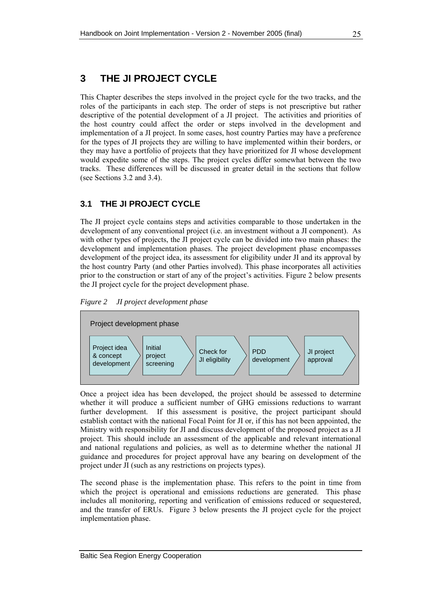# <span id="page-36-0"></span>**3 THE JI PROJECT CYCLE**

This Chapter describes the steps involved in the project cycle for the two tracks, and the roles of the participants in each step. The order of steps is not prescriptive but rather descriptive of the potential development of a JI project. The activities and priorities of the host country could affect the order or steps involved in the development and implementation of a JI project. In some cases, host country Parties may have a preference for the types of JI projects they are willing to have implemented within their borders, or they may have a portfolio of projects that they have prioritized for JI whose development would expedite some of the steps. The project cycles differ somewhat between the two tracks. These differences will be discussed in greater detail in the sections that follow (see Sections [3.2](#page-37-0) and [3.4\)](#page-42-0).

# **3.1 THE JI PROJECT CYCLE**

The JI project cycle contains steps and activities comparable to those undertaken in the development of any conventional project (i.e. an investment without a JI component). As with other types of projects, the JI project cycle can be divided into two main phases: the development and implementation phases. The project development phase encompasses development of the project idea, its assessment for eligibility under JI and its approval by the host country Party (and other Parties involved). This phase incorporates all activities prior to the construction or start of any of the project's activities. [Figure 2](#page-36-0) below presents the JI project cycle for the project development phase.

*Figure 2 JI project development phase* 



Once a project idea has been developed, the project should be assessed to determine whether it will produce a sufficient number of GHG emissions reductions to warrant further development. If this assessment is positive, the project participant should establish contact with the national Focal Point for JI or, if this has not been appointed, the Ministry with responsibility for JI and discuss development of the proposed project as a JI project. This should include an assessment of the applicable and relevant international and national regulations and policies, as well as to determine whether the national JI guidance and procedures for project approval have any bearing on development of the project under JI (such as any restrictions on projects types).

The second phase is the implementation phase. This refers to the point in time from which the project is operational and emissions reductions are generated. This phase includes all monitoring, reporting and verification of emissions reduced or sequestered, and the transfer of ERUs. [Figure 3](#page-37-0) below presents the JI project cycle for the project implementation phase.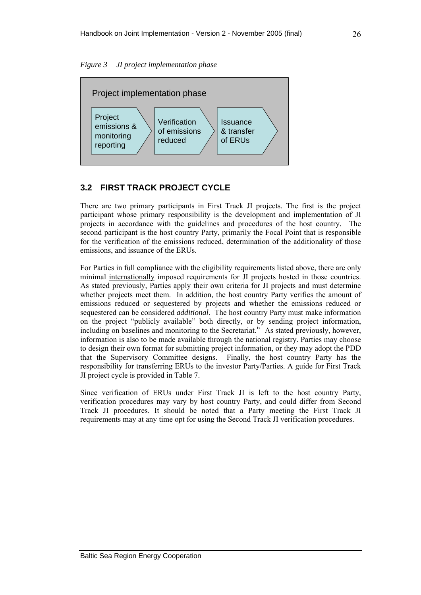<span id="page-37-0"></span>



# **3.2 FIRST TRACK PROJECT CYCLE**

There are two primary participants in First Track JI projects. The first is the project participant whose primary responsibility is the development and implementation of JI projects in accordance with the guidelines and procedures of the host country. The second participant is the host country Party, primarily the Focal Point that is responsible for the verification of the emissions reduced, determination of the additionality of those emissions, and issuance of the ERUs.

For Parties in full compliance with the eligibility requirements listed above, there are only minimal internationally imposed requirements for JI projects hosted in those countries. As stated previously, Parties apply their own criteria for JI projects and must determine whether projects meet them. In addition, the host country Party verifies the amount of emissions reduced or sequestered by projects and whether the emissions reduced or sequestered can be considered *additional*. The host country Party must make information on the project "publicly available" both directly, or by sending project information, [i](#page-23-0)ncluding on baselines and monitoring to the Secretariat.<sup>ix</sup> As stated previously, however, information is also to be made available through the national registry. Parties may choose to design their own format for submitting project information, or they may adopt the PDD that the Supervisory Committee designs. Finally, the host country Party has the responsibility for transferring ERUs to the investor Party/Parties. A guide for First Track JI project cycle is provided in [Table 7.](#page-38-0)

Since verification of ERUs under First Track JI is left to the host country Party, verification procedures may vary by host country Party, and could differ from Second Track JI procedures. It should be noted that a Party meeting the First Track JI requirements may at any time opt for using the Second Track JI verification procedures.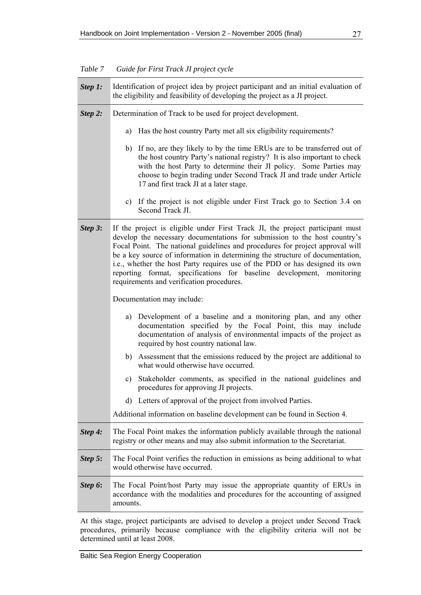<span id="page-38-0"></span>

| Table 7 | Guide for First Track JI project cycle |  |
|---------|----------------------------------------|--|
|         |                                        |  |

| Step 1: | Identification of project idea by project participant and an initial evaluation of<br>the eligibility and feasibility of developing the project as a JI project.                                                                                                                                                                                                                                                                                                                                                                   |  |  |
|---------|------------------------------------------------------------------------------------------------------------------------------------------------------------------------------------------------------------------------------------------------------------------------------------------------------------------------------------------------------------------------------------------------------------------------------------------------------------------------------------------------------------------------------------|--|--|
| Step 2: | Determination of Track to be used for project development.                                                                                                                                                                                                                                                                                                                                                                                                                                                                         |  |  |
|         | Has the host country Party met all six eligibility requirements?<br>a)                                                                                                                                                                                                                                                                                                                                                                                                                                                             |  |  |
|         | b) If no, are they likely to by the time ERUs are to be transferred out of<br>the host country Party's national registry? It is also important to check<br>with the host Party to determine their JI policy. Some Parties may<br>choose to begin trading under Second Track JI and trade under Article<br>17 and first track JI at a later stage.                                                                                                                                                                                  |  |  |
|         | c) If the project is not eligible under First Track go to Section 3.4 on<br>Second Track JI.                                                                                                                                                                                                                                                                                                                                                                                                                                       |  |  |
| Step 3: | If the project is eligible under First Track JI, the project participant must<br>develop the necessary documentations for submission to the host country's<br>Focal Point. The national guidelines and procedures for project approval will<br>be a key source of information in determining the structure of documentation,<br>i.e., whether the host Party requires use of the PDD or has designed its own<br>reporting format, specifications for baseline development, monitoring<br>requirements and verification procedures. |  |  |
|         | Documentation may include:                                                                                                                                                                                                                                                                                                                                                                                                                                                                                                         |  |  |
|         | Development of a baseline and a monitoring plan, and any other<br>a)<br>documentation specified by the Focal Point, this may include<br>documentation of analysis of environmental impacts of the project as<br>required by host country national law.                                                                                                                                                                                                                                                                             |  |  |
|         | b) Assessment that the emissions reduced by the project are additional to<br>what would otherwise have occurred.                                                                                                                                                                                                                                                                                                                                                                                                                   |  |  |
|         | c) Stakeholder comments, as specified in the national guidelines and<br>procedures for approving JI projects.                                                                                                                                                                                                                                                                                                                                                                                                                      |  |  |
|         | d) Letters of approval of the project from involved Parties.                                                                                                                                                                                                                                                                                                                                                                                                                                                                       |  |  |
|         | Additional information on baseline development can be found in Section 4.                                                                                                                                                                                                                                                                                                                                                                                                                                                          |  |  |
| Step 4: | The Focal Point makes the information publicly available through the national<br>registry or other means and may also submit information to the Secretariat.                                                                                                                                                                                                                                                                                                                                                                       |  |  |
| Step 5: | The Focal Point verifies the reduction in emissions as being additional to what<br>would otherwise have occurred.                                                                                                                                                                                                                                                                                                                                                                                                                  |  |  |
| Step 6: | The Focal Point/host Party may issue the appropriate quantity of ERUs in<br>accordance with the modalities and procedures for the accounting of assigned<br>amounts.                                                                                                                                                                                                                                                                                                                                                               |  |  |

At this stage, project participants are advised to develop a project under Second Track procedures, primarily because compliance with the eligibility criteria will not be determined until at least 2008.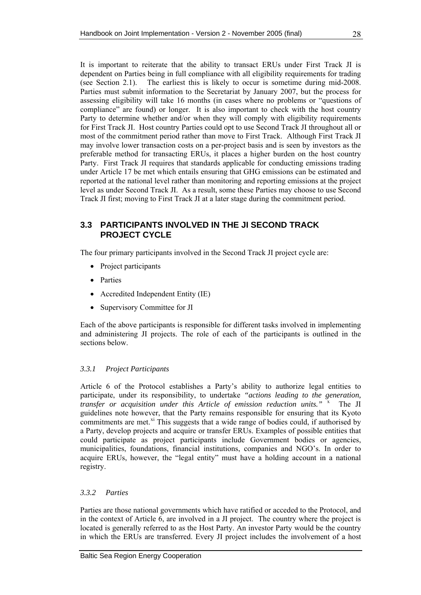It is important to reiterate that the ability to transact ERUs under First Track JI is dependent on Parties being in full compliance with all eligibility requirements for trading (see Section [2.1](#page-27-0)). The earliest this is likely to occur is sometime during mid-2008. Parties must submit information to the Secretariat by January 2007, but the process for assessing eligibility will take 16 months (in cases where no problems or "questions of compliance" are found) or longer. It is also important to check with the host country Party to determine whether and/or when they will comply with eligibility requirements for First Track JI. Host country Parties could opt to use Second Track JI throughout all or most of the commitment period rather than move to First Track. Although First Track JI may involve lower transaction costs on a per-project basis and is seen by investors as the preferable method for transacting ERUs, it places a higher burden on the host country Party. First Track JI requires that standards applicable for conducting emissions trading under Article 17 be met which entails ensuring that GHG emissions can be estimated and reported at the national level rather than monitoring and reporting emissions at the project level as under Second Track JI. As a result, some these Parties may choose to use Second Track JI first; moving to First Track JI at a later stage during the commitment period.

## **3.3 PARTICIPANTS INVOLVED IN THE JI SECOND TRACK PROJECT CYCLE**

The four primary participants involved in the Second Track JI project cycle are:

- Project participants
- Parties
- Accredited Independent Entity (IE)
- Supervisory Committee for JI

Each of the above participants is responsible for different tasks involved in implementing and administering JI projects. The role of each of the participants is outlined in the sections below.

## *3.3.1 Project Participants*

Article 6 of the Protocol establishes a Party's ability to authorize legal entities to participate, under its responsibility, to undertake *"actions leading to the generation,*  transfer or acquisition under this Article of emission reduction units." <sup>[x](#page-25-0)</sup> The JI guidelines note however, that the Party remains responsible for ensuring that its Kyoto commitments are met. $^{x_i}$  This suggests that a wide range of bodies could, if authorised by a Party, develop projects and acquire or transfer ERUs. Examples of possible entities that could participate as project participants include Government bodies or agencies, municipalities, foundations, financial institutions, companies and NGO's. In order to acquire ERUs, however, the "legal entity" must have a holding account in a national registry.

### *3.3.2 Parties*

Parties are those national governments which have ratified or acceded to the Protocol, and in the context of Article 6, are involved in a JI project. The country where the project is located is generally referred to as the Host Party. An investor Party would be the country in which the ERUs are transferred. Every JI project includes the involvement of a host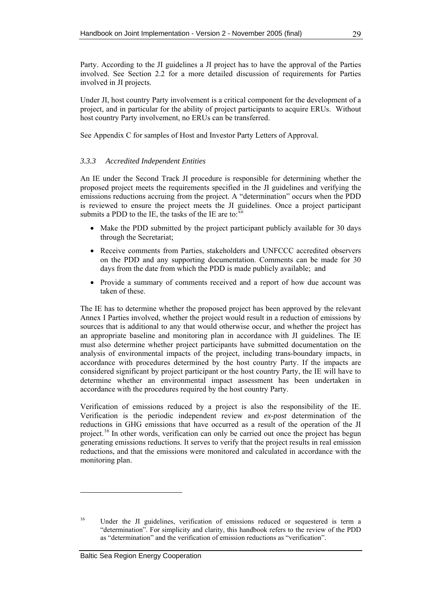<span id="page-40-1"></span>Party. According to the JI guidelines a JI project has to have the approval of the Parties involved. See Section [2.2](#page-30-0) for a more detailed discussion of requirements for Parties involved in JI projects.

Under JI, host country Party involvement is a critical component for the development of a project, and in particular for the ability of project participants to acquire ERUs. Without host country Party involvement, no ERUs can be transferred.

See Appendix C for samples of Host and Investor Party Letters of Approval.

## *3.3.3 Accredited Independent Entities*

An IE under the Second Track JI procedure is responsible for determining whether the proposed project meets the requirements specified in the JI guidelines and verifying the emissions reductions accruing from the project. A "determination" occurs when the PDD is reviewed to ensure the project meets the JI guidelines. Once a project participant submits a PDD to the IE, the tasks of the IE are to: $\frac{1}{x}$  $\frac{1}{x}$  $\frac{1}{x}$ 

- Make the PDD submitted by the project participant publicly available for 30 days through the Secretariat;
- Receive comments from Parties, stakeholders and UNFCCC accredited observers on the PDD and any supporting documentation. Comments can be made for 30 days from the date from which the PDD is made publicly available; and
- Provide a summary of comments received and a report of how due account was taken of these.

The IE has to determine whether the proposed project has been approved by the relevant Annex I Parties involved, whether the project would result in a reduction of emissions by sources that is additional to any that would otherwise occur, and whether the project has an appropriate baseline and monitoring plan in accordance with JI guidelines. The IE must also determine whether project participants have submitted documentation on the analysis of environmental impacts of the project, including trans-boundary impacts, in accordance with procedures determined by the host country Party. If the impacts are considered significant by project participant or the host country Party, the IE will have to determine whether an environmental impact assessment has been undertaken in accordance with the procedures required by the host country Party.

Verification of emissions reduced by a project is also the responsibility of the IE. Verification is the periodic independent review and *ex-post* determination of the reductions in GHG emissions that have occurred as a result of the operation of the JI project.<sup>[16](#page-40-0)</sup> In other words, verification can only be carried out once the project has begun generating emissions reductions. It serves to verify that the project results in real emission reductions, and that the emissions were monitored and calculated in accordance with the monitoring plan.

<span id="page-40-0"></span><sup>&</sup>lt;sup>16</sup> Under the JI guidelines, verification of emissions reduced or sequestered is term a "determination". For simplicity and clarity, this handbook refers to the review of the PDD as "determination" and the verification of emission reductions as "verification".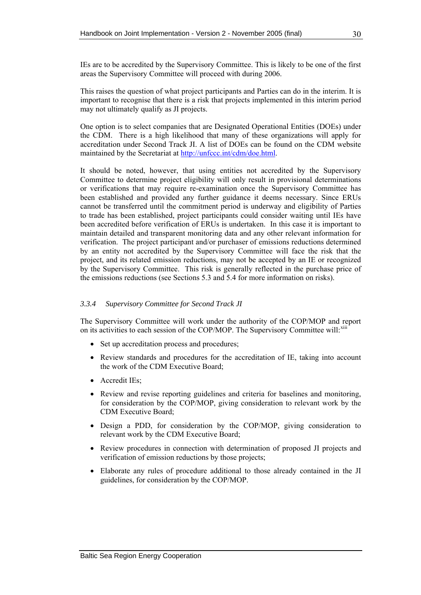IEs are to be accredited by the Supervisory Committee. This is likely to be one of the first areas the Supervisory Committee will proceed with during 2006.

This raises the question of what project participants and Parties can do in the interim. It is important to recognise that there is a risk that projects implemented in this interim period may not ultimately qualify as JI projects.

One option is to select companies that are Designated Operational Entities (DOEs) under the CDM. There is a high likelihood that many of these organizations will apply for accreditation under Second Track JI. A list of DOEs can be found on the CDM website maintained by the Secretariat at<http://unfccc.int/cdm/doe.html>.

It should be noted, however, that using entities not accredited by the Supervisory Committee to determine project eligibility will only result in provisional determinations or verifications that may require re-examination once the Supervisory Committee has been established and provided any further guidance it deems necessary. Since ERUs cannot be transferred until the commitment period is underway and eligibility of Parties to trade has been established, project participants could consider waiting until IEs have been accredited before verification of ERUs is undertaken. In this case it is important to maintain detailed and transparent monitoring data and any other relevant information for verification. The project participant and/or purchaser of emissions reductions determined by an entity not accredited by the Supervisory Committee will face the risk that the project, and its related emission reductions, may not be accepted by an IE or recognized by the Supervisory Committee. This risk is generally reflected in the purchase price of the emissions reductions (see Sections [5.3](#page-79-0) and [5.4](#page-81-0) for more information on risks).

### *3.3.4 Supervisory Committee for Second Track JI*

The Supervisory Committee will work under the authority of the COP/MOP and report on its activities to each session of the COP/MOP. The Supervisory Committee will:  $x$ iii

- Set up accreditation process and procedures;
- Review standards and procedures for the accreditation of IE, taking into account the work of the CDM Executive Board;
- Accredit IEs;
- Review and revise reporting guidelines and criteria for baselines and monitoring, for consideration by the COP/MOP, giving consideration to relevant work by the CDM Executive Board;
- Design a PDD, for consideration by the COP/MOP, giving consideration to relevant work by the CDM Executive Board;
- Review procedures in connection with determination of proposed JI projects and verification of emission reductions by those projects;
- Elaborate any rules of procedure additional to those already contained in the JI guidelines, for consideration by the COP/MOP.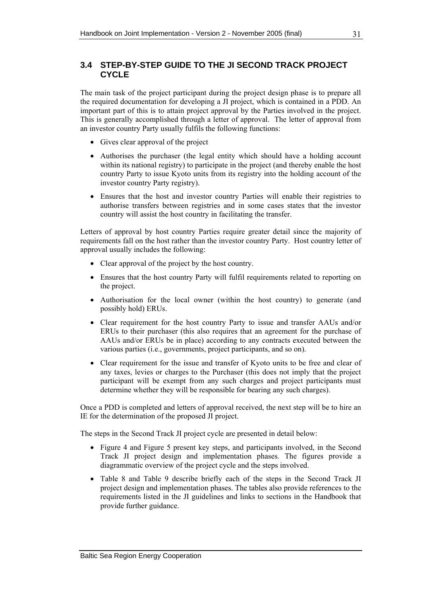# <span id="page-42-0"></span>**3.4 STEP-BY-STEP GUIDE TO THE JI SECOND TRACK PROJECT CYCLE**

The main task of the project participant during the project design phase is to prepare all the required documentation for developing a JI project, which is contained in a PDD. An important part of this is to attain project approval by the Parties involved in the project. This is generally accomplished through a letter of approval. The letter of approval from an investor country Party usually fulfils the following functions:

- Gives clear approval of the project
- Authorises the purchaser (the legal entity which should have a holding account within its national registry) to participate in the project (and thereby enable the host country Party to issue Kyoto units from its registry into the holding account of the investor country Party registry).
- Ensures that the host and investor country Parties will enable their registries to authorise transfers between registries and in some cases states that the investor country will assist the host country in facilitating the transfer.

Letters of approval by host country Parties require greater detail since the majority of requirements fall on the host rather than the investor country Party. Host country letter of approval usually includes the following:

- Clear approval of the project by the host country.
- Ensures that the host country Party will fulfil requirements related to reporting on the project.
- Authorisation for the local owner (within the host country) to generate (and possibly hold) ERUs.
- Clear requirement for the host country Party to issue and transfer AAUs and/or ERUs to their purchaser (this also requires that an agreement for the purchase of AAUs and/or ERUs be in place) according to any contracts executed between the various parties (i.e., governments, project participants, and so on).
- Clear requirement for the issue and transfer of Kyoto units to be free and clear of any taxes, levies or charges to the Purchaser (this does not imply that the project participant will be exempt from any such charges and project participants must determine whether they will be responsible for bearing any such charges).

Once a PDD is completed and letters of approval received, the next step will be to hire an IE for the determination of the proposed JI project.

The steps in the Second Track JI project cycle are presented in detail below:

- [Figure 4](#page-43-0) and [Figure 5](#page-45-0) present key steps, and participants involved, in the Second Track JI project design and implementation phases. The figures provide a diagrammatic overview of the project cycle and the steps involved.
- [Table 8](#page-44-0) and [Table 9](#page-46-0) describe briefly each of the steps in the Second Track JI project design and implementation phases. The tables also provide references to the requirements listed in the JI guidelines and links to sections in the Handbook that provide further guidance.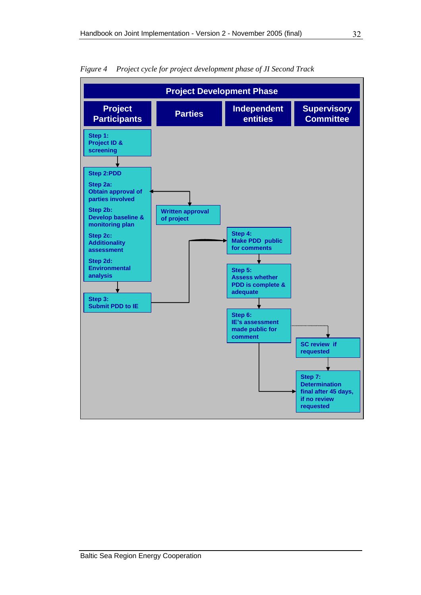

<span id="page-43-0"></span>*Figure 4 Project cycle for project development phase of JI Second Track*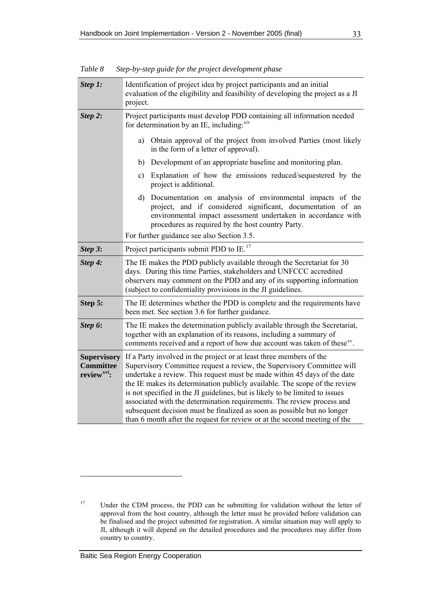| Step 1:                                                           | Identification of project idea by project participants and an initial<br>evaluation of the eligibility and feasibility of developing the project as a JI<br>project.                                                                                                                                                                                                                                                                                                                                                                                                                                                      |  |
|-------------------------------------------------------------------|---------------------------------------------------------------------------------------------------------------------------------------------------------------------------------------------------------------------------------------------------------------------------------------------------------------------------------------------------------------------------------------------------------------------------------------------------------------------------------------------------------------------------------------------------------------------------------------------------------------------------|--|
| Step 2:                                                           | Project participants must develop PDD containing all information needed<br>for determination by an IE, including: xiv                                                                                                                                                                                                                                                                                                                                                                                                                                                                                                     |  |
|                                                                   | Obtain approval of the project from involved Parties (most likely<br>a)<br>in the form of a letter of approval).                                                                                                                                                                                                                                                                                                                                                                                                                                                                                                          |  |
|                                                                   | Development of an appropriate baseline and monitoring plan.<br>b)                                                                                                                                                                                                                                                                                                                                                                                                                                                                                                                                                         |  |
|                                                                   | Explanation of how the emissions reduced/sequestered by the<br>c)<br>project is additional.                                                                                                                                                                                                                                                                                                                                                                                                                                                                                                                               |  |
|                                                                   | Documentation on analysis of environmental impacts of the<br>d)<br>project, and if considered significant, documentation of an<br>environmental impact assessment undertaken in accordance with<br>procedures as required by the host country Party.                                                                                                                                                                                                                                                                                                                                                                      |  |
|                                                                   | For further guidance see also Section 3.5.                                                                                                                                                                                                                                                                                                                                                                                                                                                                                                                                                                                |  |
| Step 3:                                                           | Project participants submit PDD to IE. <sup>17</sup>                                                                                                                                                                                                                                                                                                                                                                                                                                                                                                                                                                      |  |
| Step 4:                                                           | The IE makes the PDD publicly available through the Secretariat for 30<br>days. During this time Parties, stakeholders and UNFCCC accredited<br>observers may comment on the PDD and any of its supporting information<br>(subject to confidentiality provisions in the JI guidelines.                                                                                                                                                                                                                                                                                                                                    |  |
| Step 5:                                                           | The IE determines whether the PDD is complete and the requirements have<br>been met. See section 3.6 for further guidance.                                                                                                                                                                                                                                                                                                                                                                                                                                                                                                |  |
| Step 6:                                                           | The IE makes the determination publicly available through the Secretariat,<br>together with an explanation of its reasons, including a summary of<br>comments received and a report of how due account was taken of these <sup>xy</sup> .                                                                                                                                                                                                                                                                                                                                                                                 |  |
| <b>Supervisory</b><br><b>Committee</b><br>review <sup>xvi</sup> : | If a Party involved in the project or at least three members of the<br>Supervisory Committee request a review, the Supervisory Committee will<br>undertake a review. This request must be made within 45 days of the date<br>the IE makes its determination publicly available. The scope of the review<br>is not specified in the JI guidelines, but is likely to be limited to issues<br>associated with the determination requirements. The review process and<br>subsequent decision must be finalized as soon as possible but no longer<br>than 6 month after the request for review or at the second meeting of the |  |

<span id="page-44-0"></span>*Table 8 Step-by-step guide for the project development phase* 

<span id="page-44-1"></span><sup>&</sup>lt;sup>17</sup> Under the CDM process, the PDD can be submitting for validation without the letter of approval from the host country, although the letter must be provided before validation can be finalised and the project submitted for registration. A similar situation may well apply to JI, although it will depend on the detailed procedures and the procedures may differ from country to country.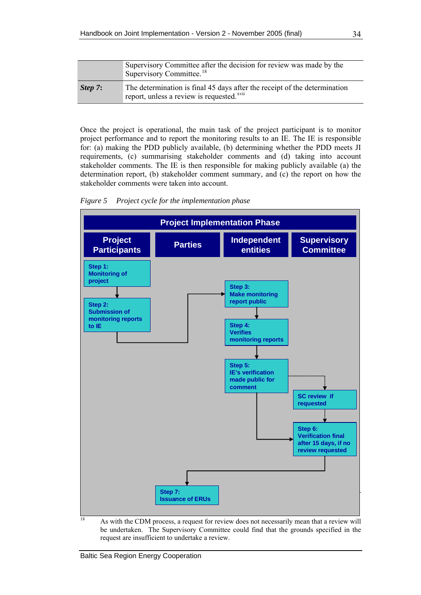<span id="page-45-0"></span>

|         | Supervisory Committee after the decision for review was made by the<br>Supervisory Committee. <sup>18</sup>                        |  |
|---------|------------------------------------------------------------------------------------------------------------------------------------|--|
| Step 7: | The determination is final 45 days after the receipt of the determination<br>report, unless a review is requested. <sup>xvii</sup> |  |

Once the project is operational, the main task of the project participant is to monitor project performance and to report the monitoring results to an IE. The IE is responsible for: (a) making the PDD publicly available, (b) determining whether the PDD meets JI requirements, (c) summarising stakeholder comments and (d) taking into account stakeholder comments. The IE is then responsible for making publicly available (a) the determination report, (b) stakeholder comment summary, and (c) the report on how the stakeholder comments were taken into account.

*Figure 5 Project cycle for the implementation phase* 



<span id="page-45-1"></span><sup>18</sup> As with the CDM process, a request for review does not necessarily mean that a review will be undertaken. The Supervisory Committee could find that the grounds specified in the request are insufficient to undertake a review.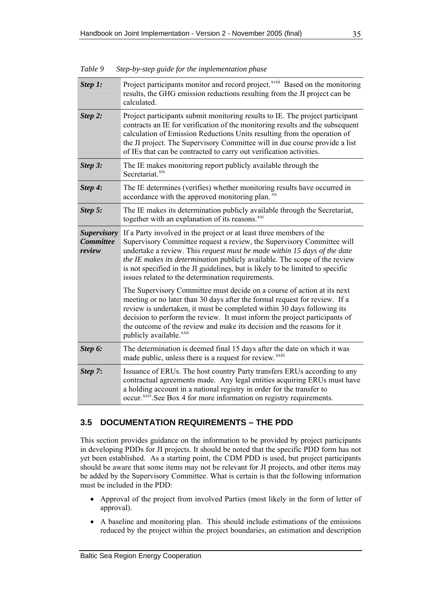| Step 1:                                          | Project participants monitor and record project. <sup>xviii</sup> Based on the monitoring<br>results, the GHG emission reductions resulting from the JI project can be<br>calculated.                                                                                                                                                                                                                                                          |
|--------------------------------------------------|------------------------------------------------------------------------------------------------------------------------------------------------------------------------------------------------------------------------------------------------------------------------------------------------------------------------------------------------------------------------------------------------------------------------------------------------|
| Step 2:                                          | Project participants submit monitoring results to IE. The project participant<br>contracts an IE for verification of the monitoring results and the subsequent<br>calculation of Emission Reductions Units resulting from the operation of<br>the JI project. The Supervisory Committee will in due course provide a list<br>of IEs that can be contracted to carry out verification activities.                                               |
| Step 3:                                          | The IE makes monitoring report publicly available through the<br>Secretariat. <sup>xix</sup>                                                                                                                                                                                                                                                                                                                                                   |
| Step 4:                                          | The IE determines (verifies) whether monitoring results have occurred in<br>accordance with the approved monitoring plan. xx                                                                                                                                                                                                                                                                                                                   |
| Step 5:                                          | The IE makes its determination publicly available through the Secretariat,<br>together with an explanation of its reasons. <sup>xxi</sup>                                                                                                                                                                                                                                                                                                      |
| <b>Supervisory</b><br><b>Committee</b><br>review | If a Party involved in the project or at least three members of the<br>Supervisory Committee request a review, the Supervisory Committee will<br>undertake a review. This request must be made within 15 days of the date<br>the IE makes its determination publicly available. The scope of the review<br>is not specified in the JI guidelines, but is likely to be limited to specific<br>issues related to the determination requirements. |
|                                                  | The Supervisory Committee must decide on a course of action at its next<br>meeting or no later than 30 days after the formal request for review. If a<br>review is undertaken, it must be completed within 30 days following its<br>decision to perform the review. It must inform the project participants of<br>the outcome of the review and make its decision and the reasons for it<br>publicly available. <sup>xxii</sup>                |
| Step 6:                                          | The determination is deemed final 15 days after the date on which it was<br>made public, unless there is a request for review. <sup>xxiii</sup>                                                                                                                                                                                                                                                                                                |
| Step 7:                                          | Issuance of ERUs. The host country Party transfers ERUs according to any<br>contractual agreements made. Any legal entities acquiring ERUs must have<br>a holding account in a national registry in order for the transfer to<br>occur. <sup>xxiv</sup> .See Box 4 for more information on registry requirements.                                                                                                                              |

<span id="page-46-0"></span>*Table 9 Step-by-step guide for the implementation phase* 

## **3.5 DOCUMENTATION REQUIREMENTS – THE PDD**

This section provides guidance on the information to be provided by project participants in developing PDDs for JI projects. It should be noted that the specific PDD form has not yet been established. As a starting point, the CDM PDD is used, but project participants should be aware that some items may not be relevant for JI projects, and other items may be added by the Supervisory Committee. What is certain is that the following information must be included in the PDD:

- Approval of the project from involved Parties (most likely in the form of letter of approval).
- A baseline and monitoring plan. This should include estimations of the emissions reduced by the project within the project boundaries, an estimation and description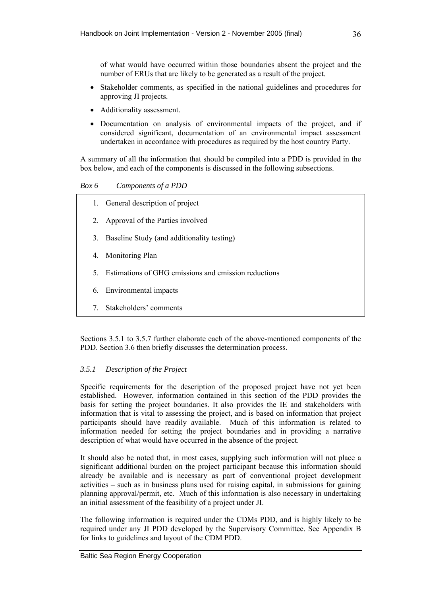<span id="page-47-0"></span>of what would have occurred within those boundaries absent the project and the number of ERUs that are likely to be generated as a result of the project.

- Stakeholder comments, as specified in the national guidelines and procedures for approving JI projects.
- Additionality assessment.
- Documentation on analysis of environmental impacts of the project, and if considered significant, documentation of an environmental impact assessment undertaken in accordance with procedures as required by the host country Party.

A summary of all the information that should be compiled into a PDD is provided in the box below, and each of the components is discussed in the following subsections.

*Box 6 Components of a PDD* 

- 1. General description of project
- 2. Approval of the Parties involved
- 3. Baseline Study (and additionality testing)
- 4. Monitoring Plan
- 5. Estimations of GHG emissions and emission reductions
- 6. Environmental impacts
- 7. Stakeholders' comments

Sections [3.5.1](#page-47-0) to [3.5.7](#page-54-0) further elaborate each of the above-mentioned components of the PDD. Section [3.6](#page-55-0) then briefly discusses the determination process.

### *3.5.1 Description of the Project*

Specific requirements for the description of the proposed project have not yet been established. However, information contained in this section of the PDD provides the basis for setting the project boundaries. It also provides the IE and stakeholders with information that is vital to assessing the project, and is based on information that project participants should have readily available. Much of this information is related to information needed for setting the project boundaries and in providing a narrative description of what would have occurred in the absence of the project.

It should also be noted that, in most cases, supplying such information will not place a significant additional burden on the project participant because this information should already be available and is necessary as part of conventional project development activities – such as in business plans used for raising capital, in submissions for gaining planning approval/permit, etc. Much of this information is also necessary in undertaking an initial assessment of the feasibility of a project under JI.

The following information is required under the CDMs PDD, and is highly likely to be required under any JI PDD developed by the Supervisory Committee. See Appendix B for links to guidelines and layout of the CDM PDD.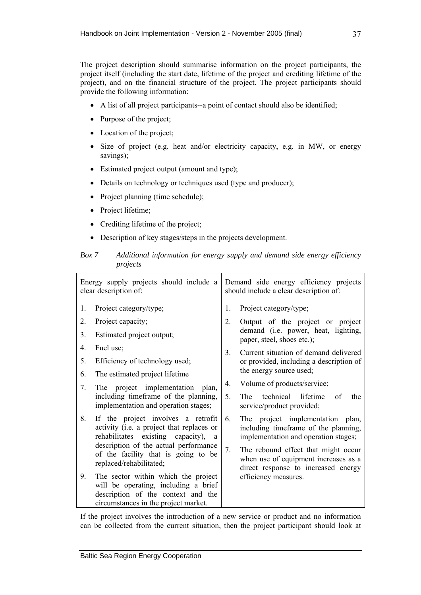The project description should summarise information on the project participants, the project itself (including the start date, lifetime of the project and crediting lifetime of the project), and on the financial structure of the project. The project participants should provide the following information:

- A list of all project participants--a point of contact should also be identified;
- Purpose of the project;
- Location of the project;
- Size of project (e.g. heat and/or electricity capacity, e.g. in MW, or energy savings);
- Estimated project output (amount and type);
- Details on technology or techniques used (type and producer);
- Project planning (time schedule);
- Project lifetime;
- Crediting lifetime of the project;
- Description of key stages/steps in the projects development.

### *Box 7 Additional information for energy supply and demand side energy efficiency projects*

| Energy supply projects should include a<br>clear description of: |                                                                                                                                                                                                                                   | Demand side energy efficiency projects<br>should include a clear description of: |                                                                                                                                                                                                 |
|------------------------------------------------------------------|-----------------------------------------------------------------------------------------------------------------------------------------------------------------------------------------------------------------------------------|----------------------------------------------------------------------------------|-------------------------------------------------------------------------------------------------------------------------------------------------------------------------------------------------|
| 1.                                                               | Project category/type;                                                                                                                                                                                                            | 1.                                                                               | Project category/type;                                                                                                                                                                          |
| 2.                                                               | Project capacity;                                                                                                                                                                                                                 | 2.                                                                               | Output of the project or project                                                                                                                                                                |
| 3.                                                               | Estimated project output;                                                                                                                                                                                                         |                                                                                  | demand (i.e. power, heat, lighting,<br>paper, steel, shoes etc.);                                                                                                                               |
| 4.                                                               | Fuel use;                                                                                                                                                                                                                         | 3 <sub>1</sub>                                                                   | Current situation of demand delivered                                                                                                                                                           |
| 5.                                                               | Efficiency of technology used;                                                                                                                                                                                                    |                                                                                  | or provided, including a description of                                                                                                                                                         |
| 6.                                                               | The estimated project lifetime.                                                                                                                                                                                                   | the energy source used;                                                          |                                                                                                                                                                                                 |
| 7.                                                               | The project implementation<br>plan,                                                                                                                                                                                               | 4.                                                                               | Volume of products/service;                                                                                                                                                                     |
|                                                                  | including timeframe of the planning,<br>implementation and operation stages;                                                                                                                                                      |                                                                                  | The <sub>1</sub><br>technical<br>lifetime<br>of<br>the<br>service/product provided;                                                                                                             |
| 8.                                                               | If the project involves a retrofit<br>activity (i.e. a project that replaces or<br>rehabilitates existing capacity), a<br>description of the actual performance<br>of the facility that is going to be<br>replaced/rehabilitated; | 6.<br>7.                                                                         | The project implementation plan,<br>including timeframe of the planning,<br>implementation and operation stages;<br>The rebound effect that might occur<br>when use of equipment increases as a |
| 9.                                                               | The sector within which the project<br>will be operating, including a brief<br>description of the context and the<br>circumstances in the project market.                                                                         |                                                                                  | direct response to increased energy<br>efficiency measures.                                                                                                                                     |

If the project involves the introduction of a new service or product and no information can be collected from the current situation, then the project participant should look at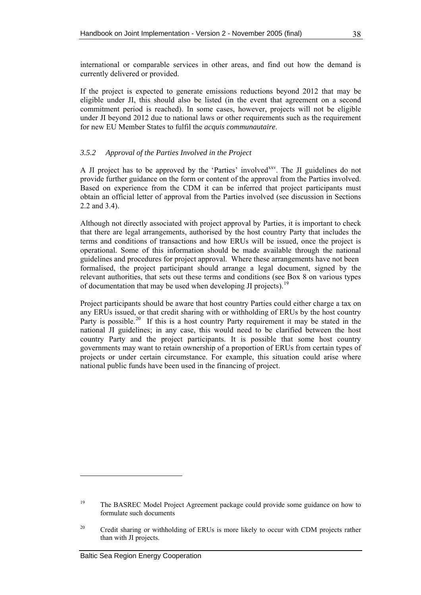international or comparable services in other areas, and find out how the demand is currently delivered or provided.

If the project is expected to generate emissions reductions beyond 2012 that may be eligible under JI, this should also be listed (in the event that agreement on a second commitment period is reached). In some cases, however, projects will not be eligible under JI beyond 2012 due to national laws or other requirements such as the requirement for new EU Member States to fulfil the *acquis communautaire*.

### *3.5.2 Approval of the Parties Involved in the Project*

A JI project has to be approved by the 'Parties' involved<sup>[xx](#page-58-0)v</sup>. The JI guidelines do not provide further guidance on the form or content of the approval from the Parties involved. Based on experience from the CDM it can be inferred that project participants must obtain an official letter of approval from the Parties involved (see discussion in Sections [2.2](#page-30-0) and [3.4](#page-42-0)).

Although not directly associated with project approval by Parties, it is important to check that there are legal arrangements, authorised by the host country Party that includes the terms and conditions of transactions and how ERUs will be issued, once the project is operational. Some of this information should be made available through the national guidelines and procedures for project approval. Where these arrangements have not been formalised, the project participant should arrange a legal document, signed by the relevant authorities, that sets out these terms and conditions (see [Box 8](#page-50-0) on various types of documentation that may be used when developing JI projects).<sup>[19](#page-49-0)</sup>

Project participants should be aware that host country Parties could either charge a tax on any ERUs issued, or that credit sharing with or withholding of ERUs by the host country Party is possible.<sup>[2](#page-49-1)0</sup> If this is a host country Party requirement it may be stated in the national JI guidelines; in any case, this would need to be clarified between the host country Party and the project participants. It is possible that some host country governments may want to retain ownership of a proportion of ERUs from certain types of projects or under certain circumstance. For example, this situation could arise where national public funds have been used in the financing of project.

<span id="page-49-0"></span><sup>&</sup>lt;sup>19</sup> The BASREC Model Project Agreement package could provide some guidance on how to formulate such documents

<span id="page-49-1"></span><sup>&</sup>lt;sup>20</sup> Credit sharing or withholding of ERUs is more likely to occur with CDM projects rather than with JI projects.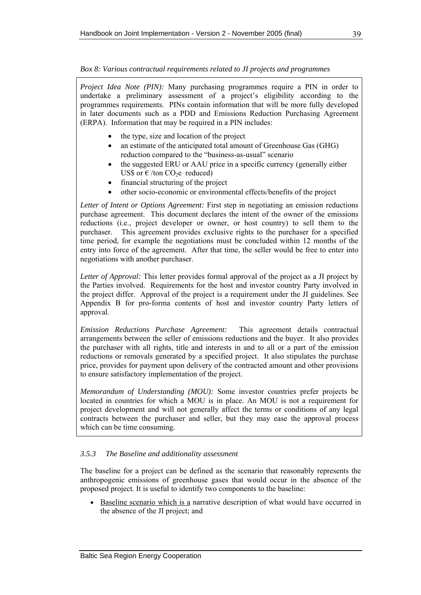### <span id="page-50-0"></span>*Box 8: Various contractual requirements related to JI projects and programmes*

*Project Idea Note (PIN):* Many purchasing programmes require a PIN in order to undertake a preliminary assessment of a project's eligibility according to the programmes requirements. PINs contain information that will be more fully developed in later documents such as a PDD and Emissions Reduction Purchasing Agreement (ERPA). Information that may be required in a PIN includes:

- the type, size and location of the project
- an estimate of the anticipated total amount of Greenhouse Gas (GHG) reduction compared to the "business-as-usual" scenario
- the suggested ERU or AAU price in a specific currency (generally either US\$ or  $\epsilon$  /ton CO<sub>2</sub>e reduced)
- financial structuring of the project
- other socio-economic or environmental effects/benefits of the project

*Letter of Intent or Options Agreement:* First step in negotiating an emission reductions purchase agreement. This document declares the intent of the owner of the emissions reductions (i.e., project developer or owner, or host country) to sell them to the purchaser. This agreement provides exclusive rights to the purchaser for a specified time period, for example the negotiations must be concluded within 12 months of the entry into force of the agreement. After that time, the seller would be free to enter into negotiations with another purchaser.

*Letter of Approval:* This letter provides formal approval of the project as a JI project by the Parties involved. Requirements for the host and investor country Party involved in the project differ. Approval of the project is a requirement under the JI guidelines. See Appendix B for pro-forma contents of host and investor country Party letters of approval.

*Emission Reductions Purchase Agreement:* This agreement details contractual arrangements between the seller of emissions reductions and the buyer. It also provides the purchaser with all rights, title and interests in and to all or a part of the emission reductions or removals generated by a specified project. It also stipulates the purchase price, provides for payment upon delivery of the contracted amount and other provisions to ensure satisfactory implementation of the project.

*Memorandum of Understanding (MOU):* Some investor countries prefer projects be located in countries for which a MOU is in place. An MOU is not a requirement for project development and will not generally affect the terms or conditions of any legal contracts between the purchaser and seller, but they may ease the approval process which can be time consuming.

### *3.5.3 The Baseline and additionality assessment*

The baseline for a project can be defined as the scenario that reasonably represents the anthropogenic emissions of greenhouse gases that would occur in the absence of the proposed project. It is useful to identify two components to the baseline:

• Baseline scenario which is a narrative description of what would have occurred in the absence of the JI project; and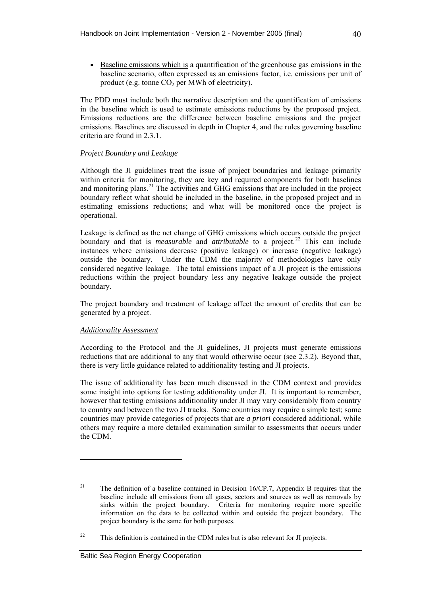• Baseline emissions which is a quantification of the greenhouse gas emissions in the baseline scenario, often expressed as an emissions factor, i.e. emissions per unit of product (e.g. tonne  $CO<sub>2</sub>$  per MWh of electricity).

The PDD must include both the narrative description and the quantification of emissions in the baseline which is used to estimate emissions reductions by the proposed project. Emissions reductions are the difference between baseline emissions and the project emissions. Baselines are discussed in depth in Chapter [4,](#page-57-0) and the rules governing baseline criteria are found in [2.3.1](#page-31-1).

## *Project Boundary and Leakage*

Although the JI guidelines treat the issue of project boundaries and leakage primarily within criteria for monitoring, they are key and required components for both baselines and monitoring plans.<sup>[2](#page-51-0)1</sup> The activities and GHG emissions that are included in the project boundary reflect what should be included in the baseline, in the proposed project and in estimating emissions reductions; and what will be monitored once the project is operational.

Leakage is defined as the net change of GHG emissions which occurs outside the project boundary and that is *measurable* and *attributable* to a project.<sup>[22](#page-51-1)</sup> This can include instances where emissions decrease (positive leakage) or increase (negative leakage) outside the boundary. Under the CDM the majority of methodologies have only considered negative leakage. The total emissions impact of a JI project is the emissions reductions within the project boundary less any negative leakage outside the project boundary.

The project boundary and treatment of leakage affect the amount of credits that can be generated by a project.

### *Additionality Assessment*

According to the Protocol and the JI guidelines, JI projects must generate emissions reductions that are additional to any that would otherwise occur (see [2.3.2\)](#page-33-0). Beyond that, there is very little guidance related to additionality testing and JI projects.

The issue of additionality has been much discussed in the CDM context and provides some insight into options for testing additionality under JI. It is important to remember, however that testing emissions additionality under JI may vary considerably from country to country and between the two JI tracks. Some countries may require a simple test; some countries may provide categories of projects that are *a priori* considered additional, while others may require a more detailed examination similar to assessments that occurs under the CDM.

<span id="page-51-0"></span><sup>&</sup>lt;sup>21</sup> The definition of a baseline contained in Decision 16/CP.7, Appendix B requires that the baseline include all emissions from all gases, sectors and sources as well as removals by sinks within the project boundary. Criteria for monitoring require more specific information on the data to be collected within and outside the project boundary. The project boundary is the same for both purposes.

<span id="page-51-1"></span><sup>&</sup>lt;sup>22</sup> This definition is contained in the CDM rules but is also relevant for JI projects.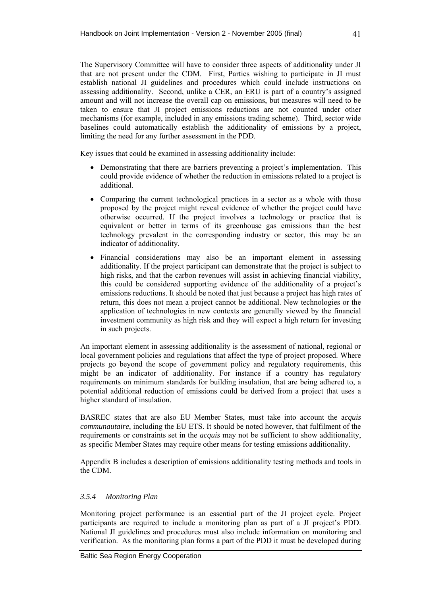The Supervisory Committee will have to consider three aspects of additionality under JI that are not present under the CDM. First, Parties wishing to participate in JI must establish national JI guidelines and procedures which could include instructions on assessing additionality. Second, unlike a CER, an ERU is part of a country's assigned amount and will not increase the overall cap on emissions, but measures will need to be taken to ensure that JI project emissions reductions are not counted under other mechanisms (for example, included in any emissions trading scheme). Third, sector wide baselines could automatically establish the additionality of emissions by a project, limiting the need for any further assessment in the PDD.

Key issues that could be examined in assessing additionality include:

- Demonstrating that there are barriers preventing a project's implementation. This could provide evidence of whether the reduction in emissions related to a project is additional.
- Comparing the current technological practices in a sector as a whole with those proposed by the project might reveal evidence of whether the project could have otherwise occurred. If the project involves a technology or practice that is equivalent or better in terms of its greenhouse gas emissions than the best technology prevalent in the corresponding industry or sector, this may be an indicator of additionality.
- Financial considerations may also be an important element in assessing additionality. If the project participant can demonstrate that the project is subject to high risks, and that the carbon revenues will assist in achieving financial viability, this could be considered supporting evidence of the additionality of a project's emissions reductions. It should be noted that just because a project has high rates of return, this does not mean a project cannot be additional. New technologies or the application of technologies in new contexts are generally viewed by the financial investment community as high risk and they will expect a high return for investing in such projects.

An important element in assessing additionality is the assessment of national, regional or local government policies and regulations that affect the type of project proposed. Where projects go beyond the scope of government policy and regulatory requirements, this might be an indicator of additionality. For instance if a country has regulatory requirements on minimum standards for building insulation, that are being adhered to, a potential additional reduction of emissions could be derived from a project that uses a higher standard of insulation.

BASREC states that are also EU Member States, must take into account the a*cquis communautaire*, including the EU ETS. It should be noted however, that fulfilment of the requirements or constraints set in the *acquis* may not be sufficient to show additionality, as specific Member States may require other means for testing emissions additionality.

Appendix B includes a description of emissions additionality testing methods and tools in the CDM.

### *3.5.4 Monitoring Plan*

Monitoring project performance is an essential part of the JI project cycle. Project participants are required to include a monitoring plan as part of a JI project's PDD. National JI guidelines and procedures must also include information on monitoring and verification. As the monitoring plan forms a part of the PDD it must be developed during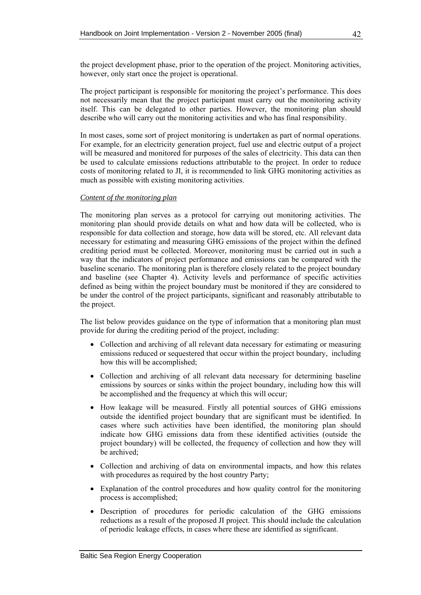the project development phase, prior to the operation of the project. Monitoring activities, however, only start once the project is operational.

The project participant is responsible for monitoring the project's performance. This does not necessarily mean that the project participant must carry out the monitoring activity itself. This can be delegated to other parties. However, the monitoring plan should describe who will carry out the monitoring activities and who has final responsibility.

In most cases, some sort of project monitoring is undertaken as part of normal operations. For example, for an electricity generation project, fuel use and electric output of a project will be measured and monitored for purposes of the sales of electricity. This data can then be used to calculate emissions reductions attributable to the project. In order to reduce costs of monitoring related to JI, it is recommended to link GHG monitoring activities as much as possible with existing monitoring activities.

#### *Content of the monitoring plan*

The monitoring plan serves as a protocol for carrying out monitoring activities. The monitoring plan should provide details on what and how data will be collected, who is responsible for data collection and storage, how data will be stored, etc. All relevant data necessary for estimating and measuring GHG emissions of the project within the defined crediting period must be collected. Moreover, monitoring must be carried out in such a way that the indicators of project performance and emissions can be compared with the baseline scenario. The monitoring plan is therefore closely related to the project boundary and baseline (see Chapter [4\)](#page-57-0). Activity levels and performance of specific activities defined as being within the project boundary must be monitored if they are considered to be under the control of the project participants, significant and reasonably attributable to the project.

The list below provides guidance on the type of information that a monitoring plan must provide for during the crediting period of the project, including:

- Collection and archiving of all relevant data necessary for estimating or measuring emissions reduced or sequestered that occur within the project boundary, including how this will be accomplished;
- Collection and archiving of all relevant data necessary for determining baseline emissions by sources or sinks within the project boundary, including how this will be accomplished and the frequency at which this will occur;
- How leakage will be measured. Firstly all potential sources of GHG emissions outside the identified project boundary that are significant must be identified. In cases where such activities have been identified, the monitoring plan should indicate how GHG emissions data from these identified activities (outside the project boundary) will be collected, the frequency of collection and how they will be archived;
- Collection and archiving of data on environmental impacts, and how this relates with procedures as required by the host country Party;
- Explanation of the control procedures and how quality control for the monitoring process is accomplished;
- Description of procedures for periodic calculation of the GHG emissions reductions as a result of the proposed JI project. This should include the calculation of periodic leakage effects, in cases where these are identified as significant.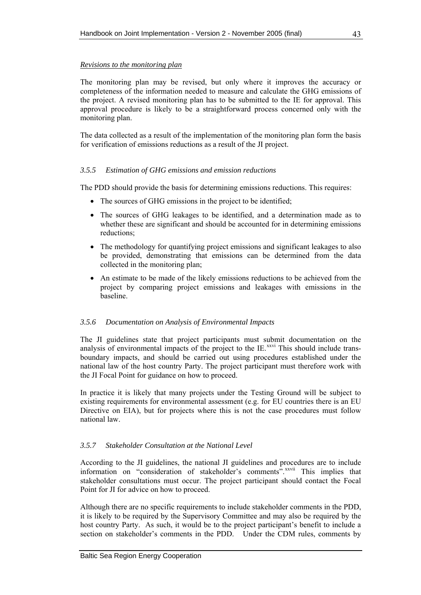### <span id="page-54-0"></span>*Revisions to the monitoring plan*

The monitoring plan may be revised, but only where it improves the accuracy or completeness of the information needed to measure and calculate the GHG emissions of the project. A revised monitoring plan has to be submitted to the IE for approval. This approval procedure is likely to be a straightforward process concerned only with the monitoring plan.

The data collected as a result of the implementation of the monitoring plan form the basis for verification of emissions reductions as a result of the JI project.

### *3.5.5 Estimation of GHG emissions and emission reductions*

The PDD should provide the basis for determining emissions reductions. This requires:

- The sources of GHG emissions in the project to be identified;
- The sources of GHG leakages to be identified, and a determination made as to whether these are significant and should be accounted for in determining emissions reductions;
- The methodology for quantifying project emissions and significant leakages to also be provided, demonstrating that emissions can be determined from the data collected in the monitoring plan;
- An estimate to be made of the likely emissions reductions to be achieved from the project by comparing project emissions and leakages with emissions in the baseline.

### *3.5.6 Documentation on Analysis of Environmental Impacts*

The JI guidelines state that project participants must submit documentation on the analysis of environmental impacts of the project to the IE.<sup>[xx](#page-61-0)vi</sup> This should include transboundary impacts, and should be carried out using procedures established under the national law of the host country Party. The project participant must therefore work with the JI Focal Point for guidance on how to proceed.

In practice it is likely that many projects under the Testing Ground will be subject to existing requirements for environmental assessment (e.g. for EU countries there is an EU Directive on EIA), but for projects where this is not the case procedures must follow national law.

### *3.5.7 Stakeholder Consultation at the National Level*

According to the JI guidelines, the national JI guidelines and procedures are to include information on "consideration of stakeholder's comments".<sup>[x](#page-62-0)xvii</sup> This implies that stakeholder consultations must occur. The project participant should contact the Focal Point for JI for advice on how to proceed.

Although there are no specific requirements to include stakeholder comments in the PDD, it is likely to be required by the Supervisory Committee and may also be required by the host country Party. As such, it would be to the project participant's benefit to include a section on stakeholder's comments in the PDD. Under the CDM rules, comments by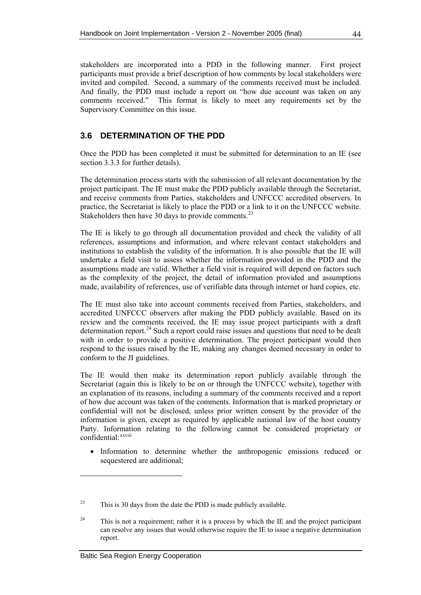<span id="page-55-0"></span>stakeholders are incorporated into a PDD in the following manner. First project participants must provide a brief description of how comments by local stakeholders were invited and compiled. Second, a summary of the comments received must be included. And finally, the PDD must include a report on "how due account was taken on any comments received." This format is likely to meet any requirements set by the Supervisory Committee on this issue.

# **3.6 DETERMINATION OF THE PDD**

Once the PDD has been completed it must be submitted for determination to an IE (see section [3.3.3](#page-40-1) for further details).

The determination process starts with the submission of all relevant documentation by the project participant. The IE must make the PDD publicly available through the Secretariat, and receive comments from Parties, stakeholders and UNFCCC accredited observers. In practice, the Secretariat is likely to place the PDD or a link to it on the UNFCCC website. Stakeholders then have 30 days to provide comments.<sup>[23](#page-55-1)</sup>

The IE is likely to go through all documentation provided and check the validity of all references, assumptions and information, and where relevant contact stakeholders and institutions to establish the validity of the information. It is also possible that the IE will undertake a field visit to assess whether the information provided in the PDD and the assumptions made are valid. Whether a field visit is required will depend on factors such as the complexity of the project, the detail of information provided and assumptions made, availability of references, use of verifiable data through internet or hard copies, etc.

The IE must also take into account comments received from Parties, stakeholders, and accredited UNFCCC observers after making the PDD publicly available. Based on its review and the comments received, the IE may issue project participants with a draft determination report.<sup>[2](#page-55-2)4</sup> Such a report could raise issues and questions that need to be dealt with in order to provide a positive determination. The project participant would then respond to the issues raised by the IE, making any changes deemed necessary in order to conform to the JI guidelines.

The IE would then make its determination report publicly available through the Secretariat (again this is likely to be on or through the UNFCCC website), together with an explanation of its reasons, including a summary of the comments received and a report of how due account was taken of the comments. Information that is marked proprietary or confidential will not be disclosed, unless prior written consent by the provider of the information is given, except as required by applicable national law of the host country Party. Information relating to the following cannot be considered proprietary or confidential: [x](#page-65-0)xviii

• Information to determine whether the anthropogenic emissions reduced or sequestered are additional;

<span id="page-55-1"></span> $23$  This is 30 days from the date the PDD is made publicly available.

<span id="page-55-2"></span> $24$  This is not a requirement; rather it is a process by which the IE and the project participant can resolve any issues that would otherwise require the IE to issue a negative determination report.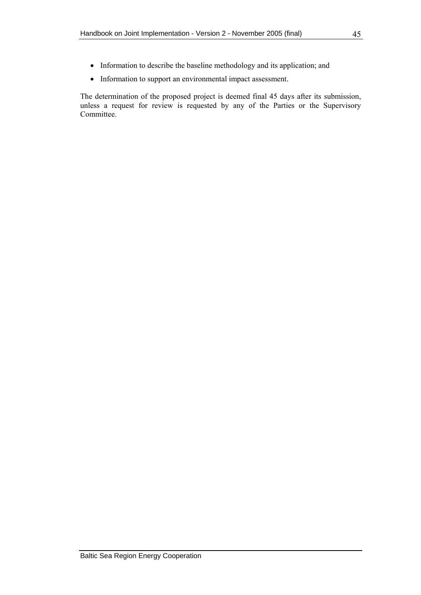- Information to describe the baseline methodology and its application; and
- Information to support an environmental impact assessment.

The determination of the proposed project is deemed final 45 days after its submission, unless a request for review is requested by any of the Parties or the Supervisory Committee.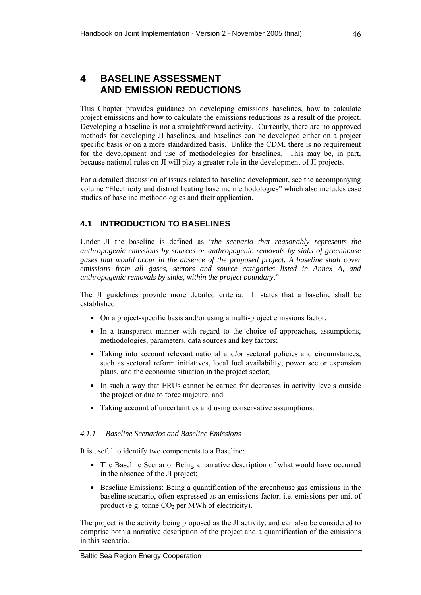# <span id="page-57-0"></span>**4 BASELINE ASSESSMENT AND EMISSION REDUCTIONS**

This Chapter provides guidance on developing emissions baselines, how to calculate project emissions and how to calculate the emissions reductions as a result of the project. Developing a baseline is not a straightforward activity. Currently, there are no approved methods for developing JI baselines, and baselines can be developed either on a project specific basis or on a more standardized basis. Unlike the CDM, there is no requirement for the development and use of methodologies for baselines. This may be, in part, because national rules on JI will play a greater role in the development of JI projects.

For a detailed discussion of issues related to baseline development, see the accompanying volume "Electricity and district heating baseline methodologies" which also includes case studies of baseline methodologies and their application.

# **4.1 INTRODUCTION TO BASELINES**

Under JI the baseline is defined as "*the scenario that reasonably represents the anthropogenic emissions by sources or anthropogenic removals by sinks of greenhouse gases that would occur in the absence of the proposed project. A baseline shall cover emissions from all gases, sectors and source categories listed in Annex A, and anthropogenic removals by sinks, within the project boundary*."

The JI guidelines provide more detailed criteria. It states that a baseline shall be established:

- On a project-specific basis and/or using a multi-project emissions factor;
- In a transparent manner with regard to the choice of approaches, assumptions, methodologies, parameters, data sources and key factors;
- Taking into account relevant national and/or sectoral policies and circumstances, such as sectoral reform initiatives, local fuel availability, power sector expansion plans, and the economic situation in the project sector;
- In such a way that ERUs cannot be earned for decreases in activity levels outside the project or due to force majeure; and
- Taking account of uncertainties and using conservative assumptions.

## *4.1.1 Baseline Scenarios and Baseline Emissions*

It is useful to identify two components to a Baseline:

- The Baseline Scenario: Being a narrative description of what would have occurred in the absence of the JI project;
- Baseline Emissions: Being a quantification of the greenhouse gas emissions in the baseline scenario, often expressed as an emissions factor, i.e. emissions per unit of product (e.g. tonne  $CO<sub>2</sub>$  per MWh of electricity).

The project is the activity being proposed as the JI activity, and can also be considered to comprise both a narrative description of the project and a quantification of the emissions in this scenario.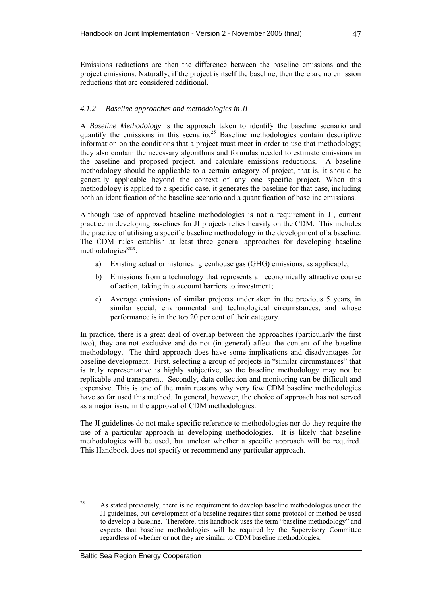## *4.1.2 Baseline approaches and methodologies in JI*

A *Baseline Methodology* is the approach taken to identify the baseline scenario and quantify the emissions in this scenario.<sup>[25](#page-58-0)</sup> Baseline methodologies contain descriptive information on the conditions that a project must meet in order to use that methodology; they also contain the necessary algorithms and formulas needed to estimate emissions in the baseline and proposed project, and calculate emissions reductions. A baseline methodology should be applicable to a certain category of project, that is, it should be generally applicable beyond the context of any one specific project. When this methodology is applied to a specific case, it generates the baseline for that case, including both an identification of the baseline scenario and a quantification of baseline emissions.

Although use of approved baseline methodologies is not a requirement in JI, current practice in developing baselines for JI projects relies heavily on the CDM. This includes the practice of utilising a specific baseline methodology in the development of a baseline. The CDM rules establish at least three general approaches for developing baseline  $methods <sub>xxxix</sub>$  $methods <sub>xxxix</sub>$  $methods <sub>xxxix</sub>$ :

- a) Existing actual or historical greenhouse gas (GHG) emissions, as applicable;
- b) Emissions from a technology that represents an economically attractive course of action, taking into account barriers to investment;
- c) Average emissions of similar projects undertaken in the previous 5 years, in similar social, environmental and technological circumstances, and whose performance is in the top 20 per cent of their category.

In practice, there is a great deal of overlap between the approaches (particularly the first two), they are not exclusive and do not (in general) affect the content of the baseline methodology. The third approach does have some implications and disadvantages for baseline development. First, selecting a group of projects in "similar circumstances" that is truly representative is highly subjective, so the baseline methodology may not be replicable and transparent. Secondly, data collection and monitoring can be difficult and expensive. This is one of the main reasons why very few CDM baseline methodologies have so far used this method. In general, however, the choice of approach has not served as a major issue in the approval of CDM methodologies.

The JI guidelines do not make specific reference to methodologies nor do they require the use of a particular approach in developing methodologies. It is likely that baseline methodologies will be used, but unclear whether a specific approach will be required. This Handbook does not specify or recommend any particular approach.

<span id="page-58-0"></span><sup>&</sup>lt;sup>25</sup> As stated previously, there is no requirement to develop baseline methodologies under the JI guidelines, but development of a baseline requires that some protocol or method be used to develop a baseline. Therefore, this handbook uses the term "baseline methodology" and expects that baseline methodologies will be required by the Supervisory Committee regardless of whether or not they are similar to CDM baseline methodologies.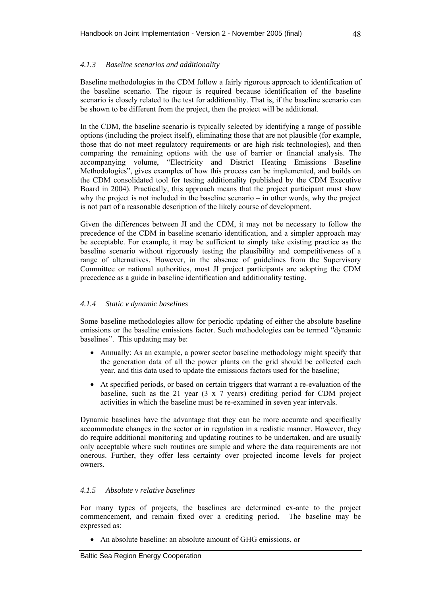## *4.1.3 Baseline scenarios and additionality*

Baseline methodologies in the CDM follow a fairly rigorous approach to identification of the baseline scenario. The rigour is required because identification of the baseline scenario is closely related to the test for additionality. That is, if the baseline scenario can be shown to be different from the project, then the project will be additional.

In the CDM, the baseline scenario is typically selected by identifying a range of possible options (including the project itself), eliminating those that are not plausible (for example, those that do not meet regulatory requirements or are high risk technologies), and then comparing the remaining options with the use of barrier or financial analysis. The accompanying volume, "Electricity and District Heating Emissions Baseline Methodologies", gives examples of how this process can be implemented, and builds on the CDM consolidated tool for testing additionality (published by the CDM Executive Board in 2004). Practically, this approach means that the project participant must show why the project is not included in the baseline scenario – in other words, why the project is not part of a reasonable description of the likely course of development.

Given the differences between JI and the CDM, it may not be necessary to follow the precedence of the CDM in baseline scenario identification, and a simpler approach may be acceptable. For example, it may be sufficient to simply take existing practice as the baseline scenario without rigorously testing the plausibility and competitiveness of a range of alternatives. However, in the absence of guidelines from the Supervisory Committee or national authorities, most JI project participants are adopting the CDM precedence as a guide in baseline identification and additionality testing.

### *4.1.4 Static v dynamic baselines*

Some baseline methodologies allow for periodic updating of either the absolute baseline emissions or the baseline emissions factor. Such methodologies can be termed "dynamic baselines". This updating may be:

- Annually: As an example, a power sector baseline methodology might specify that the generation data of all the power plants on the grid should be collected each year, and this data used to update the emissions factors used for the baseline;
- At specified periods, or based on certain triggers that warrant a re-evaluation of the baseline, such as the 21 year (3 x 7 years) crediting period for CDM project activities in which the baseline must be re-examined in seven year intervals.

Dynamic baselines have the advantage that they can be more accurate and specifically accommodate changes in the sector or in regulation in a realistic manner. However, they do require additional monitoring and updating routines to be undertaken, and are usually only acceptable where such routines are simple and where the data requirements are not onerous. Further, they offer less certainty over projected income levels for project owners.

### *4.1.5 Absolute v relative baselines*

For many types of projects, the baselines are determined ex-ante to the project commencement, and remain fixed over a crediting period. The baseline may be expressed as:

• An absolute baseline: an absolute amount of GHG emissions, or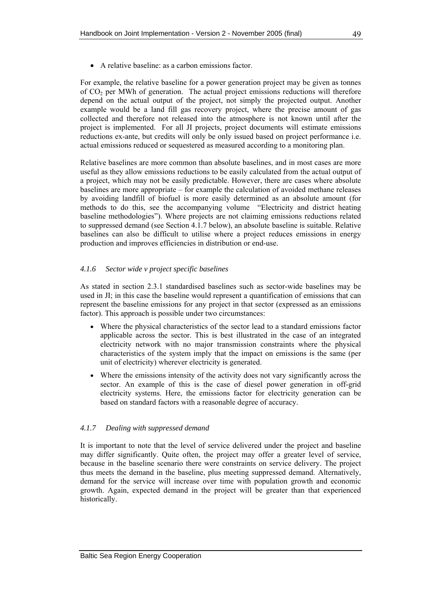<span id="page-60-0"></span>• A relative baseline: as a carbon emissions factor.

For example, the relative baseline for a power generation project may be given as tonnes of CO2 per MWh of generation. The actual project emissions reductions will therefore depend on the actual output of the project, not simply the projected output. Another example would be a land fill gas recovery project, where the precise amount of gas collected and therefore not released into the atmosphere is not known until after the project is implemented. For all JI projects, project documents will estimate emissions reductions ex-ante, but credits will only be only issued based on project performance i.e. actual emissions reduced or sequestered as measured according to a monitoring plan.

Relative baselines are more common than absolute baselines, and in most cases are more useful as they allow emissions reductions to be easily calculated from the actual output of a project, which may not be easily predictable. However, there are cases where absolute baselines are more appropriate – for example the calculation of avoided methane releases by avoiding landfill of biofuel is more easily determined as an absolute amount (for methods to do this, see the accompanying volume "Electricity and district heating baseline methodologies"). Where projects are not claiming emissions reductions related to suppressed demand (see Section [4.1.7](#page-60-0) below), an absolute baseline is suitable. Relative baselines can also be difficult to utilise where a project reduces emissions in energy production and improves efficiencies in distribution or end-use.

## *4.1.6 Sector wide v project specific baselines*

As stated in section [2.3.1](#page-31-1) standardised baselines such as sector-wide baselines may be used in JI; in this case the baseline would represent a quantification of emissions that can represent the baseline emissions for any project in that sector (expressed as an emissions factor). This approach is possible under two circumstances:

- Where the physical characteristics of the sector lead to a standard emissions factor applicable across the sector. This is best illustrated in the case of an integrated electricity network with no major transmission constraints where the physical characteristics of the system imply that the impact on emissions is the same (per unit of electricity) wherever electricity is generated.
- Where the emissions intensity of the activity does not vary significantly across the sector. An example of this is the case of diesel power generation in off-grid electricity systems. Here, the emissions factor for electricity generation can be based on standard factors with a reasonable degree of accuracy.

## *4.1.7 Dealing with suppressed demand*

It is important to note that the level of service delivered under the project and baseline may differ significantly. Quite often, the project may offer a greater level of service, because in the baseline scenario there were constraints on service delivery. The project thus meets the demand in the baseline, plus meeting suppressed demand. Alternatively, demand for the service will increase over time with population growth and economic growth. Again, expected demand in the project will be greater than that experienced historically.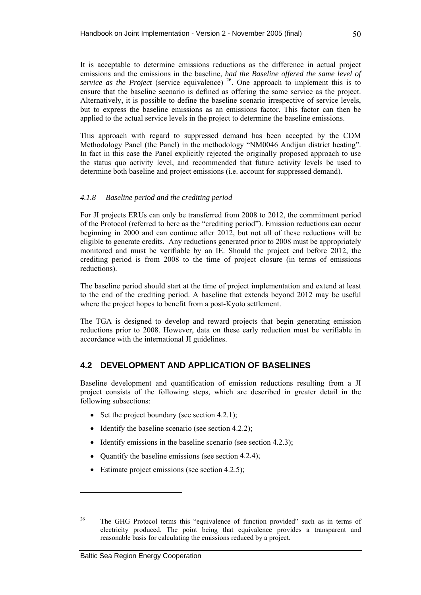<span id="page-61-1"></span>It is acceptable to determine emissions reductions as the difference in actual project emissions and the emissions in the baseline, *had the Baseline offered the same level of service as the Project* (service equivalence)<sup>[26](#page-61-0)</sup>. One approach to implement this is to ensure that the baseline scenario is defined as offering the same service as the project. Alternatively, it is possible to define the baseline scenario irrespective of service levels, but to express the baseline emissions as an emissions factor. This factor can then be applied to the actual service levels in the project to determine the baseline emissions.

This approach with regard to suppressed demand has been accepted by the CDM Methodology Panel (the Panel) in the methodology "NM0046 Andijan district heating". In fact in this case the Panel explicitly rejected the originally proposed approach to use the status quo activity level, and recommended that future activity levels be used to determine both baseline and project emissions (i.e. account for suppressed demand).

### *4.1.8 Baseline period and the crediting period*

For JI projects ERUs can only be transferred from 2008 to 2012, the commitment period of the Protocol (referred to here as the "crediting period"). Emission reductions can occur beginning in 2000 and can continue after 2012, but not all of these reductions will be eligible to generate credits. Any reductions generated prior to 2008 must be appropriately monitored and must be verifiable by an IE. Should the project end before 2012, the crediting period is from 2008 to the time of project closure (in terms of emissions reductions).

The baseline period should start at the time of project implementation and extend at least to the end of the crediting period. A baseline that extends beyond 2012 may be useful where the project hopes to benefit from a post-Kyoto settlement.

The TGA is designed to develop and reward projects that begin generating emission reductions prior to 2008. However, data on these early reduction must be verifiable in accordance with the international JI guidelines.

### **4.2 DEVELOPMENT AND APPLICATION OF BASELINES**

Baseline development and quantification of emission reductions resulting from a JI project consists of the following steps, which are described in greater detail in the following subsections:

- Set the project boundary (see section [4.2.1\)](#page-62-1);
- Identify the baseline scenario (see section [4.2.2](#page-63-0));
- Identify emissions in the baseline scenario (see section [4.2.3\)](#page-65-1);
- Ouantify the baseline emissions (see section [4.2.4](#page-66-0));
- Estimate project emissions (see section [4.2.5\)](#page-68-1):

<span id="page-61-0"></span><sup>&</sup>lt;sup>26</sup> The GHG Protocol terms this "equivalence of function provided" such as in terms of electricity produced. The point being that equivalence provides a transparent and reasonable basis for calculating the emissions reduced by a project.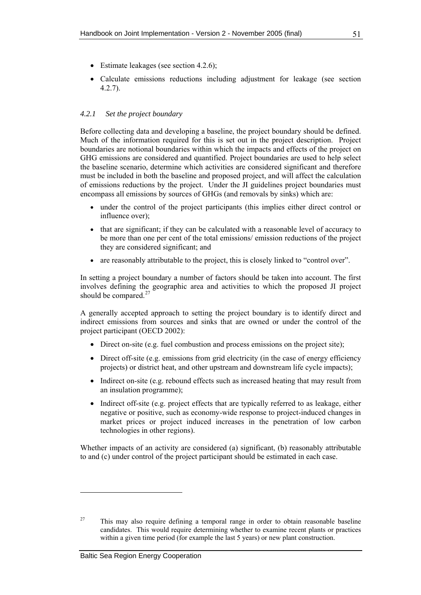- <span id="page-62-1"></span>• Estimate leakages (see section [4.2.6](#page-70-0));
- Calculate emissions reductions including adjustment for leakage (see section [4.2.7\)](#page-71-0).

### *4.2.1 Set the project boundary*

Before collecting data and developing a baseline, the project boundary should be defined. Much of the information required for this is set out in the project description. Project boundaries are notional boundaries within which the impacts and effects of the project on GHG emissions are considered and quantified. Project boundaries are used to help select the baseline scenario, determine which activities are considered significant and therefore must be included in both the baseline and proposed project, and will affect the calculation of emissions reductions by the project. Under the JI guidelines project boundaries must encompass all emissions by sources of GHGs (and removals by sinks) which are:

- under the control of the project participants (this implies either direct control or influence over);
- that are significant; if they can be calculated with a reasonable level of accuracy to be more than one per cent of the total emissions/ emission reductions of the project they are considered significant; and
- are reasonably attributable to the project, this is closely linked to "control over".

In setting a project boundary a number of factors should be taken into account. The first involves defining the geographic area and activities to which the proposed JI project should be compared. $27$ 

A generally accepted approach to setting the project boundary is to identify direct and indirect emissions from sources and sinks that are owned or under the control of the project participant (OECD 2002):

- Direct on-site (e.g. fuel combustion and process emissions on the project site);
- Direct off-site (e.g. emissions from grid electricity (in the case of energy efficiency projects) or district heat, and other upstream and downstream life cycle impacts);
- Indirect on-site (e.g. rebound effects such as increased heating that may result from an insulation programme);
- Indirect off-site (e.g. project effects that are typically referred to as leakage, either negative or positive, such as economy-wide response to project-induced changes in market prices or project induced increases in the penetration of low carbon technologies in other regions).

Whether impacts of an activity are considered (a) significant, (b) reasonably attributable to and (c) under control of the project participant should be estimated in each case.

<span id="page-62-0"></span> $27$  This may also require defining a temporal range in order to obtain reasonable baseline candidates. This would require determining whether to examine recent plants or practices within a given time period (for example the last 5 years) or new plant construction.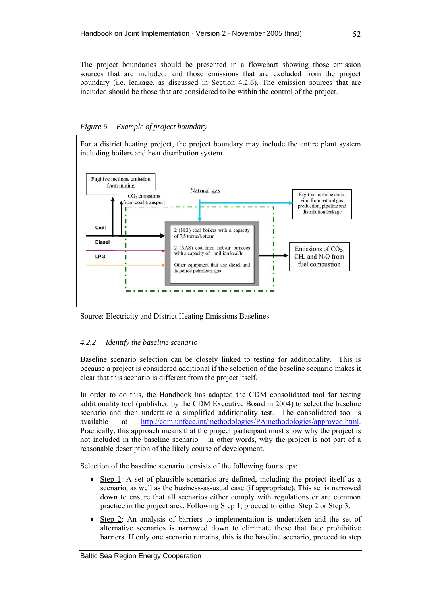<span id="page-63-0"></span>The project boundaries should be presented in a flowchart showing those emission sources that are included, and those emissions that are excluded from the project boundary (i.e. leakage, as discussed in Section [4.2.6](#page-70-0)). The emission sources that are included should be those that are considered to be within the control of the project.

### *Figure 6 Example of project boundary*

For a district heating project, the project boundary may include the entire plant system including boilers and heat distribution system.



Source: Electricity and District Heating Emissions Baselines

### *4.2.2 Identify the baseline scenario*

Baseline scenario selection can be closely linked to testing for additionality. This is because a project is considered additional if the selection of the baseline scenario makes it clear that this scenario is different from the project itself.

In order to do this, the Handbook has adapted the CDM consolidated tool for testing additionality tool (published by the CDM Executive Board in 2004) to select the baseline scenario and then undertake a simplified additionality test. The consolidated tool is available at [http://cdm.unfccc.int/methodologies/PAmethodologies/approved.html.](http://cdm.unfccc.int/methodologies/PAmethodologies/approved.html) Practically, this approach means that the project participant must show why the project is not included in the baseline scenario – in other words, why the project is not part of a reasonable description of the likely course of development.

Selection of the baseline scenario consists of the following four steps:

- Step 1: A set of plausible scenarios are defined, including the project itself as a scenario, as well as the business-as-usual case (if appropriate). This set is narrowed down to ensure that all scenarios either comply with regulations or are common practice in the project area. Following Step 1, proceed to either Step 2 or Step 3.
- Step 2: An analysis of barriers to implementation is undertaken and the set of alternative scenarios is narrowed down to eliminate those that face prohibitive barriers. If only one scenario remains, this is the baseline scenario, proceed to step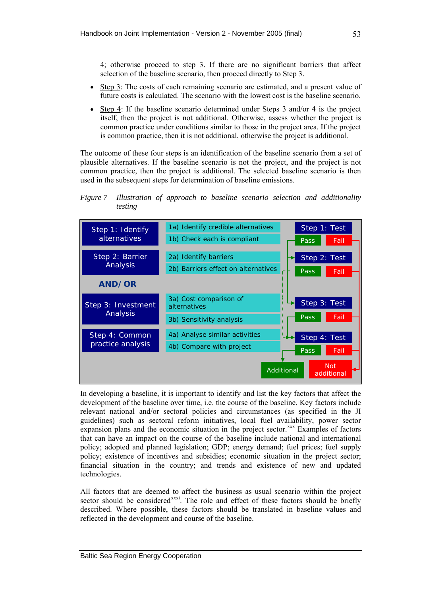4; otherwise proceed to step 3. If there are no significant barriers that affect selection of the baseline scenario, then proceed directly to Step 3.

- Step 3: The costs of each remaining scenario are estimated, and a present value of future costs is calculated. The scenario with the lowest cost is the baseline scenario.
- Step 4: If the baseline scenario determined under Steps 3 and/or 4 is the project itself, then the project is not additional. Otherwise, assess whether the project is common practice under conditions similar to those in the project area. If the project is common practice, then it is not additional, otherwise the project is additional.

The outcome of these four steps is an identification of the baseline scenario from a set of plausible alternatives. If the baseline scenario is not the project, and the project is not common practice, then the project is additional. The selected baseline scenario is then used in the subsequent steps for determination of baseline emissions.

### *Figure 7 Illustration of approach to baseline scenario selection and additionality testing*



In developing a baseline, it is important to identify and list the key factors that affect the development of the baseline over time, i.e. the course of the baseline. Key factors include relevant national and/or sectoral policies and circumstances (as specified in the JI guidelines) such as sectoral reform initiatives, local fuel availability, power sector expansion plans and the economic situation in the project sector.<sup>[xx](#page-79-1)x</sup> Examples of factors that can have an impact on the course of the baseline include national and international policy; adopted and planned legislation; GDP; energy demand; fuel prices; fuel supply policy; existence of incentives and subsidies; economic situation in the project sector; financial situation in the country; and trends and existence of new and updated technologies.

All factors that are deemed to affect the business as usual scenario within the project sector should be considered<sup>[x](#page-80-0)xxi</sup>. The role and effect of these factors should be briefly described. Where possible, these factors should be translated in baseline values and reflected in the development and course of the baseline.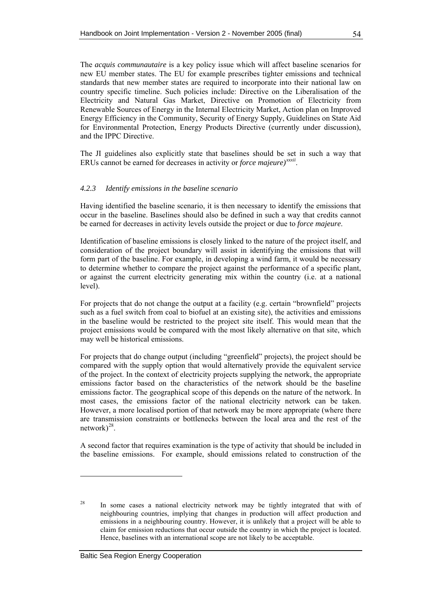<span id="page-65-1"></span>The *acquis communautaire* is a key policy issue which will affect baseline scenarios for new EU member states. The EU for example prescribes tighter emissions and technical standards that new member states are required to incorporate into their national law on country specific timeline. Such policies include: Directive on the Liberalisation of the Electricity and Natural Gas Market, Directive on Promotion of Electricity from Renewable Sources of Energy in the Internal Electricity Market, Action plan on Improved Energy Efficiency in the Community, Security of Energy Supply, Guidelines on State Aid for Environmental Protection, Energy Products Directive (currently under discussion), and the IPPC Directive.

The JI guidelines also explicitly state that baselines should be set in such a way that ERUs cannot be earned for decreases in activity or *force majeure)[xx](#page-82-0)xii*.

### *4.2.3 Identify emissions in the baseline scenario*

Having identified the baseline scenario, it is then necessary to identify the emissions that occur in the baseline. Baselines should also be defined in such a way that credits cannot be earned for decreases in activity levels outside the project or due to *force majeure*.

Identification of baseline emissions is closely linked to the nature of the project itself, and consideration of the project boundary will assist in identifying the emissions that will form part of the baseline. For example, in developing a wind farm, it would be necessary to determine whether to compare the project against the performance of a specific plant, or against the current electricity generating mix within the country (i.e. at a national level).

For projects that do not change the output at a facility (e.g. certain "brownfield" projects such as a fuel switch from coal to biofuel at an existing site), the activities and emissions in the baseline would be restricted to the project site itself. This would mean that the project emissions would be compared with the most likely alternative on that site, which may well be historical emissions.

For projects that do change output (including "greenfield" projects), the project should be compared with the supply option that would alternatively provide the equivalent service of the project. In the context of electricity projects supplying the network, the appropriate emissions factor based on the characteristics of the network should be the baseline emissions factor. The geographical scope of this depends on the nature of the network. In most cases, the emissions factor of the national electricity network can be taken. However, a more localised portion of that network may be more appropriate (where there are transmission constraints or bottlenecks between the local area and the rest of the network $)^{28}$  $)^{28}$  $)^{28}$ .

A second factor that requires examination is the type of activity that should be included in the baseline emissions. For example, should emissions related to construction of the

<span id="page-65-0"></span><sup>&</sup>lt;sup>28</sup> In some cases a national electricity network may be tightly integrated that with of neighbouring countries, implying that changes in production will affect production and emissions in a neighbouring country. However, it is unlikely that a project will be able to claim for emission reductions that occur outside the country in which the project is located. Hence, baselines with an international scope are not likely to be acceptable.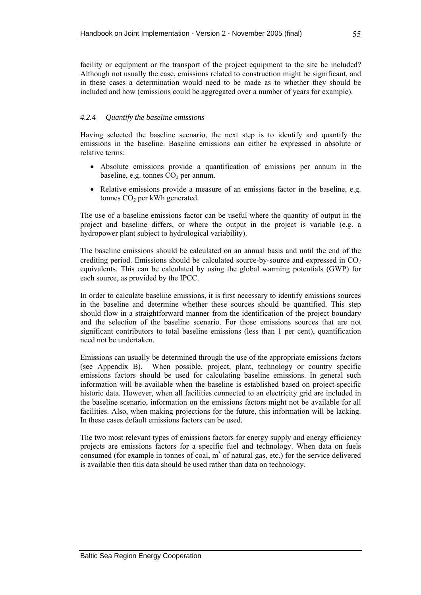<span id="page-66-0"></span>facility or equipment or the transport of the project equipment to the site be included? Although not usually the case, emissions related to construction might be significant, and in these cases a determination would need to be made as to whether they should be included and how (emissions could be aggregated over a number of years for example).

### *4.2.4 Quantify the baseline emissions*

Having selected the baseline scenario, the next step is to identify and quantify the emissions in the baseline. Baseline emissions can either be expressed in absolute or relative terms:

- Absolute emissions provide a quantification of emissions per annum in the baseline, e.g. tonnes  $CO<sub>2</sub>$  per annum.
- Relative emissions provide a measure of an emissions factor in the baseline, e.g. tonnes  $CO<sub>2</sub>$  per kWh generated.

The use of a baseline emissions factor can be useful where the quantity of output in the project and baseline differs, or where the output in the project is variable (e.g. a hydropower plant subject to hydrological variability).

The baseline emissions should be calculated on an annual basis and until the end of the crediting period. Emissions should be calculated source-by-source and expressed in  $CO<sub>2</sub>$ equivalents. This can be calculated by using the global warming potentials (GWP) for each source, as provided by the IPCC.

In order to calculate baseline emissions, it is first necessary to identify emissions sources in the baseline and determine whether these sources should be quantified. This step should flow in a straightforward manner from the identification of the project boundary and the selection of the baseline scenario. For those emissions sources that are not significant contributors to total baseline emissions (less than 1 per cent), quantification need not be undertaken.

Emissions can usually be determined through the use of the appropriate emissions factors (see Appendix B). When possible, project, plant, technology or country specific emissions factors should be used for calculating baseline emissions. In general such information will be available when the baseline is established based on project-specific historic data. However, when all facilities connected to an electricity grid are included in the baseline scenario, information on the emissions factors might not be available for all facilities. Also, when making projections for the future, this information will be lacking. In these cases default emissions factors can be used.

The two most relevant types of emissions factors for energy supply and energy efficiency projects are emissions factors for a specific fuel and technology. When data on fuels consumed (for example in tonnes of coal,  $m<sup>3</sup>$  of natural gas, etc.) for the service delivered is available then this data should be used rather than data on technology.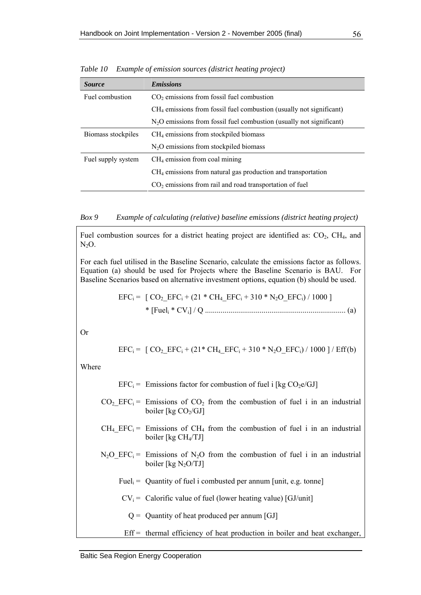| <i>Source</i>      | <b>Emissions</b>                                                      |  |
|--------------------|-----------------------------------------------------------------------|--|
| Fuel combustion    | $CO2$ emissions from fossil fuel combustion                           |  |
|                    | $CH4$ emissions from fossil fuel combustion (usually not significant) |  |
|                    | $N2O$ emissions from fossil fuel combustion (usually not significant) |  |
| Biomass stockpiles | $CH4$ emissions from stockpiled biomass                               |  |
|                    | $N_2O$ emissions from stockpiled biomass                              |  |
| Fuel supply system | $CH4$ emission from coal mining                                       |  |
|                    | $CH4$ emissions from natural gas production and transportation        |  |
|                    | $CO2$ emissions from rail and road transportation of fuel             |  |

*Table 10 Example of emission sources (district heating project)* 

*Box 9 Example of calculating (relative) baseline emissions (district heating project)* 

Fuel combustion sources for a district heating project are identified as:  $CO<sub>2</sub>$ ,  $CH<sub>4</sub>$ , and  $N<sub>2</sub>O$ .

For each fuel utilised in the Baseline Scenario, calculate the emissions factor as follows. Equation (a) should be used for Projects where the Baseline Scenario is BAU. For Baseline Scenarios based on alternative investment options, equation (b) should be used.

$$
EFC_i = [CO_2\_EFC_i + (21 * CH_4\_EFC_i + 310 * N_2O\_EFC_i) / 1000]
$$

\* [Fueli \* CVi] / Q ........................................................................ (a)

Or

$$
EFC_i = [CO_2\_EFC_i + (21 * CH_4\_EFC_i + 310 * N_2O\_EFC_i) / 1000 ] / Eff(b)
$$

Where

$$
EFCi = Emissions factor for combustion of fuel i [kg CO2e/GJ]
$$

- $CO<sub>2</sub>$  EFC<sub>i</sub> = Emissions of CO<sub>2</sub> from the combustion of fuel i in an industrial boiler [kg  $CO<sub>2</sub>/GI$ ]
- $CH_4$  EFC<sub>i</sub> = Emissions of CH<sub>4</sub> from the combustion of fuel i in an industrial boiler [kg CH4/TJ]
- $N_2O$  EFC<sub>i</sub> = Emissions of N<sub>2</sub>O from the combustion of fuel i in an industrial boiler [kg  $N_2O/TJ$ ]
	- Fuel<sub>i</sub> = Quantity of fuel i combusted per annum [unit, e.g. tonne]
	- $CV_i =$  Calorific value of fuel (lower heating value) [GJ/unit]
		- $Q =$  Quantity of heat produced per annum [GJ]
	- $Eff =$  thermal efficiency of heat production in boiler and heat exchanger,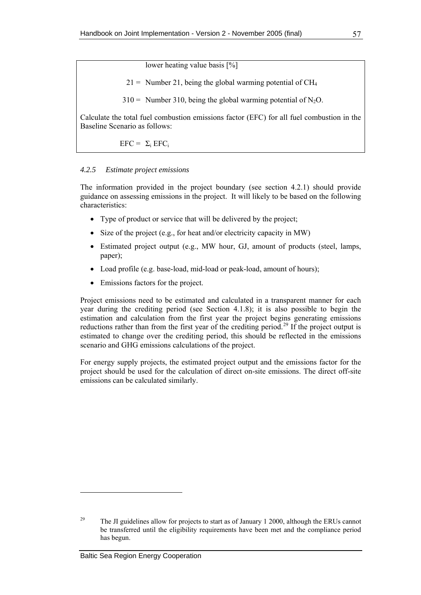lower heating value basis [%]

 $21 =$  Number 21, being the global warming potential of CH<sub>4</sub>

 $310 =$  Number 310, being the global warming potential of N<sub>2</sub>O.

<span id="page-68-1"></span>Calculate the total fuel combustion emissions factor (EFC) for all fuel combustion in the Baseline Scenario as follows:

 $EFC = \Sigma_i EFC_i$ 

### *4.2.5 Estimate project emissions*

The information provided in the project boundary (see section [4.2.1](#page-62-1)) should provide guidance on assessing emissions in the project. It will likely to be based on the following characteristics:

- Type of product or service that will be delivered by the project;
- Size of the project (e.g., for heat and/or electricity capacity in MW)
- Estimated project output (e.g., MW hour, GJ, amount of products (steel, lamps, paper);
- Load profile (e.g. base-load, mid-load or peak-load, amount of hours);
- Emissions factors for the project.

Project emissions need to be estimated and calculated in a transparent manner for each year during the crediting period (see Section [4.1.8](#page-61-1)); it is also possible to begin the estimation and calculation from the first year the project begins generating emissions reductions rather than from the first year of the crediting period.<sup>[29](#page-68-0)</sup> If the project output is estimated to change over the crediting period, this should be reflected in the emissions scenario and GHG emissions calculations of the project.

For energy supply projects, the estimated project output and the emissions factor for the project should be used for the calculation of direct on-site emissions. The direct off-site emissions can be calculated similarly.

<span id="page-68-0"></span><sup>&</sup>lt;sup>29</sup> The JI guidelines allow for projects to start as of January 1 2000, although the ERUs cannot be transferred until the eligibility requirements have been met and the compliance period has begun.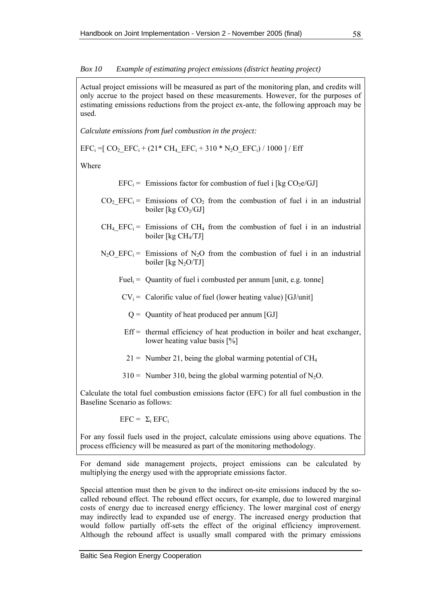#### *Box 10 Example of estimating project emissions (district heating project)*

Actual project emissions will be measured as part of the monitoring plan, and credits will only accrue to the project based on these measurements. However, for the purposes of estimating emissions reductions from the project ex-ante, the following approach may be used.

*Calculate emissions from fuel combustion in the project:* 

$$
EFC_i = [CO_2\_EFC_i + (21 * CH_4\_EFC_i + 310 * N_2O\_EFC_i) / 1000 ] / Eff
$$

Where

 $EFC_i =$  Emissions factor for combustion of fuel i [kg  $CO<sub>2</sub>e/GJ$ ]

- $CO<sub>2</sub>$  EFC<sub>i</sub> = Emissions of CO<sub>2</sub> from the combustion of fuel i in an industrial boiler [kg  $CO<sub>2</sub>/GI$ ]
- $CH_4$  EFC<sub>i</sub> = Emissions of CH<sub>4</sub> from the combustion of fuel i in an industrial boiler [kg CH4/TJ]
- $N_2O$  EFC<sub>i</sub> = Emissions of N<sub>2</sub>O from the combustion of fuel i in an industrial boiler  $[kg N<sub>2</sub>O/TJ]$ 
	- Fuel<sub>i</sub> = Quantity of fuel i combusted per annum [unit, e.g. tonne]
	- $CV_i =$  Calorific value of fuel (lower heating value) [GJ/unit]
		- $Q =$  Quantity of heat produced per annum [GJ]
	- $Eff =$  thermal efficiency of heat production in boiler and heat exchanger, lower heating value basis [%]
	- $21 =$  Number 21, being the global warming potential of CH<sub>4</sub>
	- $310 =$  Number 310, being the global warming potential of N<sub>2</sub>O.

Calculate the total fuel combustion emissions factor (EFC) for all fuel combustion in the Baseline Scenario as follows:

 $EFC = \Sigma_i EFC_i$ 

For any fossil fuels used in the project, calculate emissions using above equations. The process efficiency will be measured as part of the monitoring methodology.

For demand side management projects, project emissions can be calculated by multiplying the energy used with the appropriate emissions factor.

Special attention must then be given to the indirect on-site emissions induced by the socalled rebound effect. The rebound effect occurs, for example, due to lowered marginal costs of energy due to increased energy efficiency. The lower marginal cost of energy may indirectly lead to expanded use of energy. The increased energy production that would follow partially off-sets the effect of the original efficiency improvement. Although the rebound affect is usually small compared with the primary emissions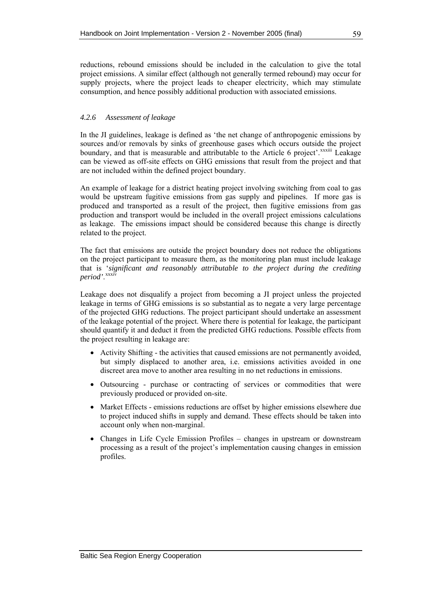<span id="page-70-0"></span>reductions, rebound emissions should be included in the calculation to give the total project emissions. A similar effect (although not generally termed rebound) may occur for supply projects, where the project leads to cheaper electricity, which may stimulate consumption, and hence possibly additional production with associated emissions.

### *4.2.6 Assessment of leakage*

In the JI guidelines, leakage is defined as 'the net change of anthropogenic emissions by sources and/or removals by sinks of greenhouse gases which occurs outside the project boundary, and that is measurable and attributable to the Article 6 project'.<sup>[x](#page-84-0)xxiii</sup> Leakage can be viewed as off-site effects on GHG emissions that result from the project and that are not included within the defined project boundary.

An example of leakage for a district heating project involving switching from coal to gas would be upstream fugitive emissions from gas supply and pipelines. If more gas is produced and transported as a result of the project, then fugitive emissions from gas production and transport would be included in the overall project emissions calculations as leakage. The emissions impact should be considered because this change is directly related to the project.

The fact that emissions are outside the project boundary does not reduce the obligations on the project participant to measure them, as the monitoring plan must include leakage that is '*significant and reasonably attributable to the project during the crediting period'*. [xx](#page-85-0)xiv

Leakage does not disqualify a project from becoming a JI project unless the projected leakage in terms of GHG emissions is so substantial as to negate a very large percentage of the projected GHG reductions. The project participant should undertake an assessment of the leakage potential of the project. Where there is potential for leakage, the participant should quantify it and deduct it from the predicted GHG reductions. Possible effects from the project resulting in leakage are:

- Activity Shifting the activities that caused emissions are not permanently avoided, but simply displaced to another area, i.e. emissions activities avoided in one discreet area move to another area resulting in no net reductions in emissions.
- Outsourcing purchase or contracting of services or commodities that were previously produced or provided on-site.
- Market Effects emissions reductions are offset by higher emissions elsewhere due to project induced shifts in supply and demand. These effects should be taken into account only when non-marginal.
- Changes in Life Cycle Emission Profiles changes in upstream or downstream processing as a result of the project's implementation causing changes in emission profiles.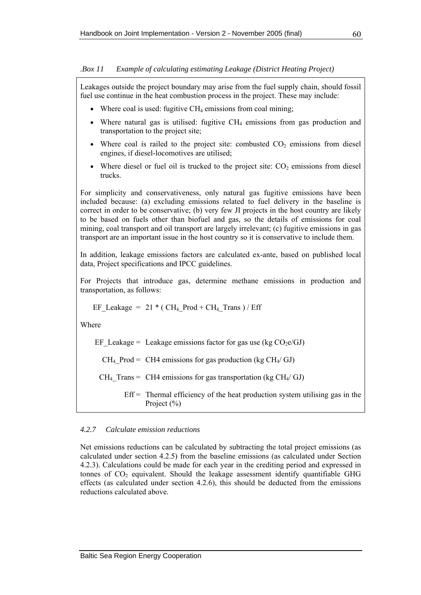<span id="page-71-0"></span>*.Box 11 Example of calculating estimating Leakage (District Heating Project)* 

Leakages outside the project boundary may arise from the fuel supply chain, should fossil fuel use continue in the heat combustion process in the project. These may include:

- Where coal is used: fugitive  $CH_4$  emissions from coal mining;
- Where natural gas is utilised: fugitive  $CH_4$  emissions from gas production and transportation to the project site;
- Where coal is railed to the project site: combusted  $CO<sub>2</sub>$  emissions from diesel engines, if diesel-locomotives are utilised;
- Where diesel or fuel oil is trucked to the project site:  $CO<sub>2</sub>$  emissions from diesel trucks.

For simplicity and conservativeness, only natural gas fugitive emissions have been included because: (a) excluding emissions related to fuel delivery in the baseline is correct in order to be conservative; (b) very few JI projects in the host country are likely to be based on fuels other than biofuel and gas, so the details of emissions for coal mining, coal transport and oil transport are largely irrelevant; (c) fugitive emissions in gas transport are an important issue in the host country so it is conservative to include them.

In addition, leakage emissions factors are calculated ex-ante, based on published local data, Project specifications and IPCC guidelines.

For Projects that introduce gas, determine methane emissions in production and transportation, as follows:

EF\_Leakage = 
$$
21 * (CH_4_Prod + CH_4_Trans) / Eff
$$

Where

EF Leakage = Leakage emissions factor for gas use (kg  $CO<sub>2</sub>e/GJ$ )

 $CH_4$  Prod = CH4 emissions for gas production (kg CH<sub>4</sub>/ GJ)

 $CH_4$  Trans = CH4 emissions for gas transportation (kg CH<sub>4</sub>/ GJ)

 $Eff =$  Thermal efficiency of the heat production system utilising gas in the Project (%)

### *4.2.7 Calculate emission reductions*

Net emissions reductions can be calculated by subtracting the total project emissions (as calculated under section [4.2.5](#page-68-1)) from the baseline emissions (as calculated under Section [4.2.3](#page-66-0)). Calculations could be made for each year in the crediting period and expressed in tonnes of  $CO<sub>2</sub>$  equivalent. Should the leakage assessment identify quantifiable GHG effects (as calculated under section [4.2.6\)](#page-70-0), this should be deducted from the emissions reductions calculated above.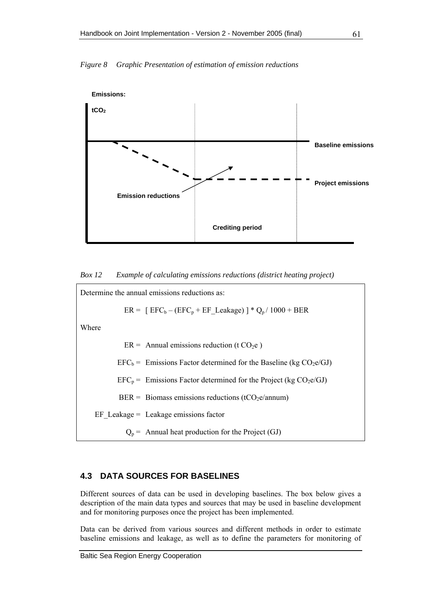



*Box 12 Example of calculating emissions reductions (district heating project)* 



## **4.3 DATA SOURCES FOR BASELINES**

Different sources of data can be used in developing baselines. The box below gives a description of the main data types and sources that may be used in baseline development and for monitoring purposes once the project has been implemented.

Data can be derived from various sources and different methods in order to estimate baseline emissions and leakage, as well as to define the parameters for monitoring of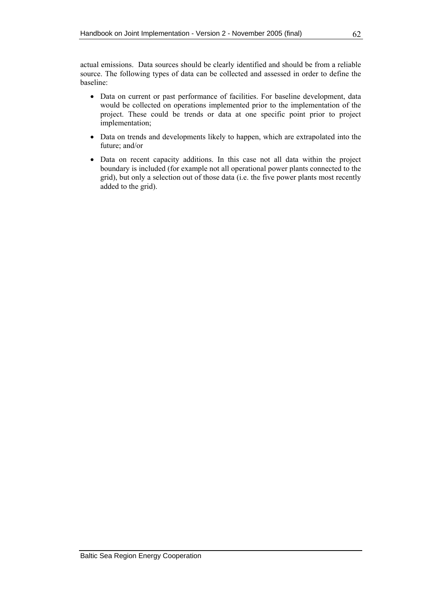actual emissions. Data sources should be clearly identified and should be from a reliable source. The following types of data can be collected and assessed in order to define the baseline:

- Data on current or past performance of facilities. For baseline development, data would be collected on operations implemented prior to the implementation of the project. These could be trends or data at one specific point prior to project implementation;
- Data on trends and developments likely to happen, which are extrapolated into the future; and/or
- Data on recent capacity additions. In this case not all data within the project boundary is included (for example not all operational power plants connected to the grid), but only a selection out of those data (i.e. the five power plants most recently added to the grid).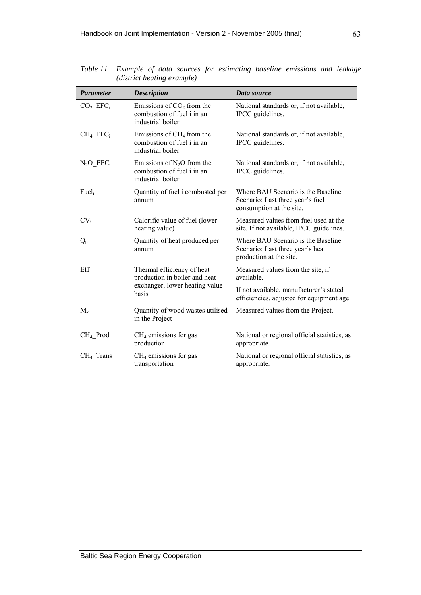| <b>Parameter</b>                 | <b>Description</b>                                                              | Data source                                                                                        |
|----------------------------------|---------------------------------------------------------------------------------|----------------------------------------------------------------------------------------------------|
| CO <sub>2</sub> EFC <sub>i</sub> | Emissions of $CO2$ from the<br>combustion of fuel i in an<br>industrial boiler  | National standards or, if not available,<br>IPCC guidelines.                                       |
| $CH_4$ $EFC_1$                   | Emissions of $CH4$ from the<br>combustion of fuel i in an<br>industrial boiler  | National standards or, if not available,<br>IPCC guidelines.                                       |
| $N_2O$ EFC <sub>i</sub>          | Emissions of $N_2O$ from the<br>combustion of fuel i in an<br>industrial boiler | National standards or, if not available,<br>IPCC guidelines.                                       |
| Fuel <sub>i</sub>                | Quantity of fuel i combusted per<br>annum                                       | Where BAU Scenario is the Baseline<br>Scenario: Last three year's fuel<br>consumption at the site. |
| $CV_i$                           | Calorific value of fuel (lower<br>heating value)                                | Measured values from fuel used at the<br>site. If not available, IPCC guidelines.                  |
| $Q_{b}$                          | Quantity of heat produced per<br>annum                                          | Where BAU Scenario is the Baseline<br>Scenario: Last three year's heat<br>production at the site.  |
| Eff                              | Thermal efficiency of heat<br>production in boiler and heat                     | Measured values from the site, if<br>available.                                                    |
|                                  | exchanger, lower heating value<br>basis                                         | If not available, manufacturer's stated<br>efficiencies, adjusted for equipment age.               |
| $M_k$                            | Quantity of wood wastes utilised<br>in the Project                              | Measured values from the Project.                                                                  |
| CH <sub>4</sub> _Prod            | $CH4$ emissions for gas<br>production                                           | National or regional official statistics, as<br>appropriate.                                       |
| $CH4$ Trans                      | $CH4$ emissions for gas<br>transportation                                       | National or regional official statistics, as<br>appropriate.                                       |

*Table 11 Example of data sources for estimating baseline emissions and leakage (district heating example)*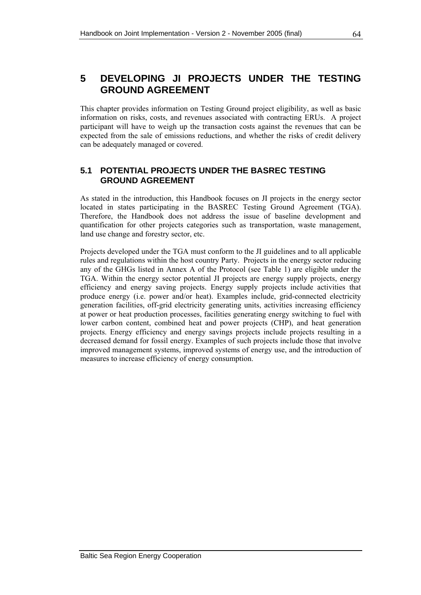This chapter provides information on Testing Ground project eligibility, as well as basic information on risks, costs, and revenues associated with contracting ERUs. A project participant will have to weigh up the transaction costs against the revenues that can be expected from the sale of emissions reductions, and whether the risks of credit delivery can be adequately managed or covered.

## **5.1 POTENTIAL PROJECTS UNDER THE BASREC TESTING GROUND AGREEMENT**

As stated in the introduction, this Handbook focuses on JI projects in the energy sector located in states participating in the BASREC Testing Ground Agreement (TGA). Therefore, the Handbook does not address the issue of baseline development and quantification for other projects categories such as transportation, waste management, land use change and forestry sector, etc.

Projects developed under the TGA must conform to the JI guidelines and to all applicable rules and regulations within the host country Party. Projects in the energy sector reducing any of the GHGs listed in Annex A of the Protocol (see [Table 1\)](#page-18-0) are eligible under the TGA. Within the energy sector potential JI projects are energy supply projects, energy efficiency and energy saving projects. Energy supply projects include activities that produce energy (i.e. power and/or heat). Examples include, grid-connected electricity generation facilities, off-grid electricity generating units, activities increasing efficiency at power or heat production processes, facilities generating energy switching to fuel with lower carbon content, combined heat and power projects (CHP), and heat generation projects. Energy efficiency and energy savings projects include projects resulting in a decreased demand for fossil energy. Examples of such projects include those that involve improved management systems, improved systems of energy use, and the introduction of measures to increase efficiency of energy consumption.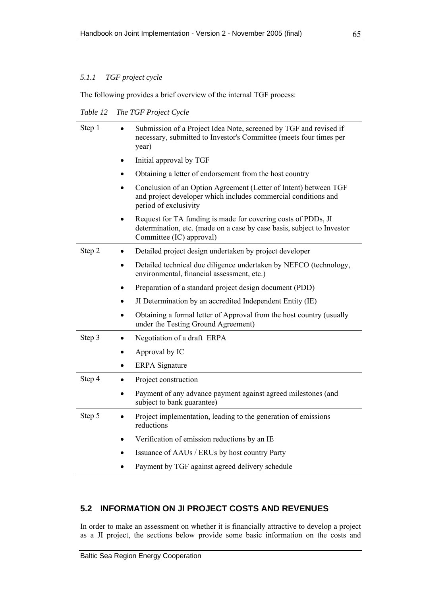## *5.1.1 TGF project cycle*

The following provides a brief overview of the internal TGF process:

*Table 12 The TGF Project Cycle* 

| Step 1 | Submission of a Project Idea Note, screened by TGF and revised if<br>necessary, submitted to Investor's Committee (meets four times per<br>year)                                 |
|--------|----------------------------------------------------------------------------------------------------------------------------------------------------------------------------------|
|        | Initial approval by TGF<br>$\bullet$                                                                                                                                             |
|        | Obtaining a letter of endorsement from the host country                                                                                                                          |
|        | Conclusion of an Option Agreement (Letter of Intent) between TGF<br>$\bullet$<br>and project developer which includes commercial conditions and<br>period of exclusivity         |
|        | Request for TA funding is made for covering costs of PDDs, JI<br>$\bullet$<br>determination, etc. (made on a case by case basis, subject to Investor<br>Committee (IC) approval) |
| Step 2 | Detailed project design undertaken by project developer                                                                                                                          |
|        | Detailed technical due diligence undertaken by NEFCO (technology,<br>$\bullet$<br>environmental, financial assessment, etc.)                                                     |
|        | Preparation of a standard project design document (PDD)<br>٠                                                                                                                     |
|        | JI Determination by an accredited Independent Entity (IE)<br>$\bullet$                                                                                                           |
|        | Obtaining a formal letter of Approval from the host country (usually<br>$\bullet$<br>under the Testing Ground Agreement)                                                         |
| Step 3 | Negotiation of a draft ERPA<br>$\bullet$                                                                                                                                         |
|        | Approval by IC                                                                                                                                                                   |
|        | <b>ERPA</b> Signature<br>٠                                                                                                                                                       |
| Step 4 | Project construction<br>$\bullet$                                                                                                                                                |
|        | Payment of any advance payment against agreed milestones (and<br>subject to bank guarantee)                                                                                      |
| Step 5 | Project implementation, leading to the generation of emissions<br>reductions                                                                                                     |
|        | Verification of emission reductions by an IE                                                                                                                                     |
|        | Issuance of AAUs / ERUs by host country Party                                                                                                                                    |
|        | Payment by TGF against agreed delivery schedule                                                                                                                                  |

## **5.2 INFORMATION ON JI PROJECT COSTS AND REVENUES**

In order to make an assessment on whether it is financially attractive to develop a project as a JI project, the sections below provide some basic information on the costs and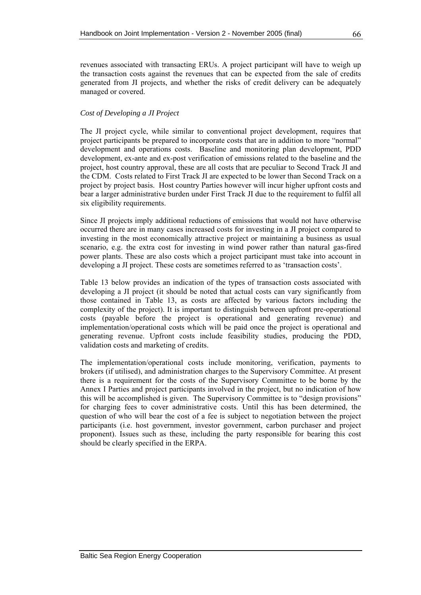revenues associated with transacting ERUs. A project participant will have to weigh up the transaction costs against the revenues that can be expected from the sale of credits generated from JI projects, and whether the risks of credit delivery can be adequately managed or covered.

### *Cost of Developing a JI Project*

The JI project cycle, while similar to conventional project development, requires that project participants be prepared to incorporate costs that are in addition to more "normal" development and operations costs. Baseline and monitoring plan development, PDD development, ex-ante and ex-post verification of emissions related to the baseline and the project, host country approval, these are all costs that are peculiar to Second Track JI and the CDM. Costs related to First Track JI are expected to be lower than Second Track on a project by project basis. Host country Parties however will incur higher upfront costs and bear a larger administrative burden under First Track JI due to the requirement to fulfil all six eligibility requirements.

Since JI projects imply additional reductions of emissions that would not have otherwise occurred there are in many cases increased costs for investing in a JI project compared to investing in the most economically attractive project or maintaining a business as usual scenario, e.g. the extra cost for investing in wind power rather than natural gas-fired power plants. These are also costs which a project participant must take into account in developing a JI project. These costs are sometimes referred to as 'transaction costs'.

[Table 13](#page-78-0) below provides an indication of the types of transaction costs associated with developing a JI project (it should be noted that actual costs can vary significantly from those contained in [Table 13](#page-78-0), as costs are affected by various factors including the complexity of the project). It is important to distinguish between upfront pre-operational costs (payable before the project is operational and generating revenue) and implementation/operational costs which will be paid once the project is operational and generating revenue. Upfront costs include feasibility studies, producing the PDD, validation costs and marketing of credits.

The implementation/operational costs include monitoring, verification, payments to brokers (if utilised), and administration charges to the Supervisory Committee. At present there is a requirement for the costs of the Supervisory Committee to be borne by the Annex I Parties and project participants involved in the project, but no indication of how this will be accomplished is given. The Supervisory Committee is to "design provisions" for charging fees to cover administrative costs. Until this has been determined, the question of who will bear the cost of a fee is subject to negotiation between the project participants (i.e. host government, investor government, carbon purchaser and project proponent). Issues such as these, including the party responsible for bearing this cost should be clearly specified in the ERPA.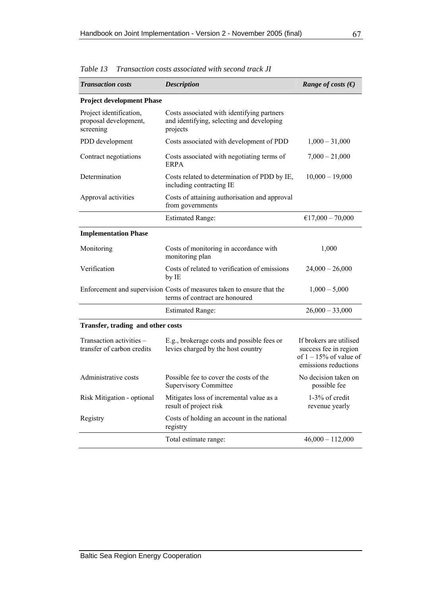| <b>Transaction costs</b>                                      | <b>Description</b>                                                                                       | Range of costs $(\epsilon)$                                                                           |
|---------------------------------------------------------------|----------------------------------------------------------------------------------------------------------|-------------------------------------------------------------------------------------------------------|
| <b>Project development Phase</b>                              |                                                                                                          |                                                                                                       |
| Project identification,<br>proposal development,<br>screening | Costs associated with identifying partners<br>and identifying, selecting and developing<br>projects      |                                                                                                       |
| PDD development                                               | Costs associated with development of PDD                                                                 | $1,000 - 31,000$                                                                                      |
| Contract negotiations                                         | Costs associated with negotiating terms of<br>ERPA                                                       | $7,000 - 21,000$                                                                                      |
| Determination                                                 | Costs related to determination of PDD by IE,<br>including contracting IE                                 | $10,000 - 19,000$                                                                                     |
| Approval activities                                           | Costs of attaining authorisation and approval<br>from governments                                        |                                                                                                       |
|                                                               | <b>Estimated Range:</b>                                                                                  | €17,000 - 70,000                                                                                      |
| <b>Implementation Phase</b>                                   |                                                                                                          |                                                                                                       |
| Monitoring                                                    | Costs of monitoring in accordance with<br>monitoring plan                                                | 1,000                                                                                                 |
| Verification                                                  | Costs of related to verification of emissions<br>by IE                                                   | $24,000 - 26,000$                                                                                     |
|                                                               | Enforcement and supervision Costs of measures taken to ensure that the<br>terms of contract are honoured | $1,000 - 5,000$                                                                                       |
|                                                               | <b>Estimated Range:</b>                                                                                  | $26,000 - 33,000$                                                                                     |
| Transfer, trading and other costs                             |                                                                                                          |                                                                                                       |
| Transaction activities -<br>transfer of carbon credits        | E.g., brokerage costs and possible fees or<br>levies charged by the host country                         | If brokers are utilised<br>success fee in region<br>of $1 - 15\%$ of value of<br>emissions reductions |
| Administrative costs                                          | Possible fee to cover the costs of the<br><b>Supervisory Committee</b>                                   | No decision taken on<br>possible fee                                                                  |
| Risk Mitigation - optional                                    | Mitigates loss of incremental value as a<br>result of project risk                                       | 1-3% of credit<br>revenue yearly                                                                      |
| Registry                                                      | Costs of holding an account in the national<br>registry                                                  |                                                                                                       |
|                                                               | Total estimate range:                                                                                    | $46,000 - 112,000$                                                                                    |

<span id="page-78-0"></span>*Table 13 Transaction costs associated with second track JI*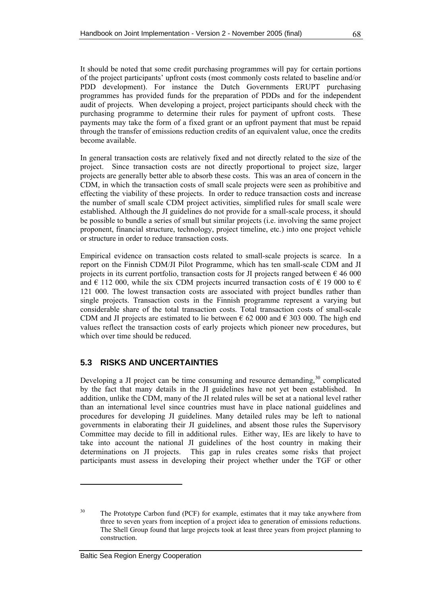It should be noted that some credit purchasing programmes will pay for certain portions of the project participants' upfront costs (most commonly costs related to baseline and/or PDD development). For instance the Dutch Governments ERUPT purchasing programmes has provided funds for the preparation of PDDs and for the independent audit of projects. When developing a project, project participants should check with the purchasing programme to determine their rules for payment of upfront costs. These payments may take the form of a fixed grant or an upfront payment that must be repaid through the transfer of emissions reduction credits of an equivalent value, once the credits become available.

In general transaction costs are relatively fixed and not directly related to the size of the project. Since transaction costs are not directly proportional to project size, larger projects are generally better able to absorb these costs. This was an area of concern in the CDM, in which the transaction costs of small scale projects were seen as prohibitive and effecting the viability of these projects. In order to reduce transaction costs and increase the number of small scale CDM project activities, simplified rules for small scale were established. Although the JI guidelines do not provide for a small-scale process, it should be possible to bundle a series of small but similar projects (i.e. involving the same project proponent, financial structure, technology, project timeline, etc.) into one project vehicle or structure in order to reduce transaction costs.

Empirical evidence on transaction costs related to small-scale projects is scarce. In a report on the Finnish CDM/JI Pilot Programme, which has ten small-scale CDM and JI projects in its current portfolio, transaction costs for JI projects ranged between  $\epsilon$  46 000 and  $\in$  112 000, while the six CDM projects incurred transaction costs of  $\in$  19 000 to  $\in$ 121 000. The lowest transaction costs are associated with project bundles rather than single projects. Transaction costs in the Finnish programme represent a varying but considerable share of the total transaction costs. Total transaction costs of small-scale CDM and JI projects are estimated to lie between  $\epsilon$  62 000 and  $\epsilon$  303 000. The high end values reflect the transaction costs of early projects which pioneer new procedures, but which over time should be reduced.

## **5.3 RISKS AND UNCERTAINTIES**

Developing a JI project can be time consuming and resource demanding, $30$  $30$  complicated by the fact that many details in the JI guidelines have not yet been established. In addition, unlike the CDM, many of the JI related rules will be set at a national level rather than an international level since countries must have in place national guidelines and procedures for developing JI guidelines. Many detailed rules may be left to national governments in elaborating their JI guidelines, and absent those rules the Supervisory Committee may decide to fill in additional rules. Either way, IEs are likely to have to take into account the national JI guidelines of the host country in making their determinations on JI projects. This gap in rules creates some risks that project participants must assess in developing their project whether under the TGF or other

<span id="page-79-0"></span><sup>&</sup>lt;sup>30</sup> The Prototype Carbon fund (PCF) for example, estimates that it may take anywhere from three to seven years from inception of a project idea to generation of emissions reductions. The Shell Group found that large projects took at least three years from project planning to construction.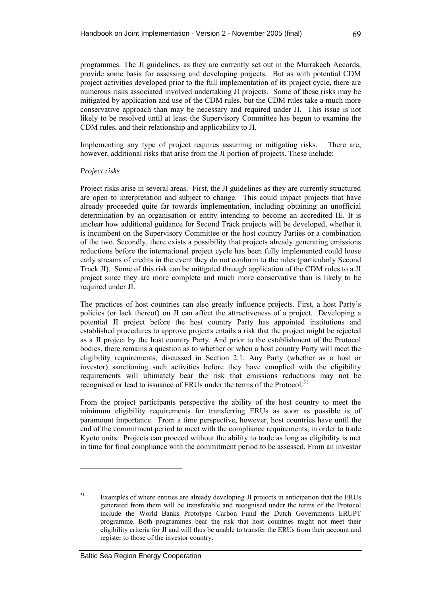programmes. The JI guidelines, as they are currently set out in the Marrakech Accords, provide some basis for assessing and developing projects. But as with potential CDM project activities developed prior to the full implementation of its project cycle, there are numerous risks associated involved undertaking JI projects. Some of these risks may be mitigated by application and use of the CDM rules, but the CDM rules take a much more conservative approach than may be necessary and required under JI. This issue is not likely to be resolved until at least the Supervisory Committee has begun to examine the CDM rules, and their relationship and applicability to JI.

Implementing any type of project requires assuming or mitigating risks. There are, however, additional risks that arise from the JI portion of projects. These include:

#### *Project risks*

Project risks arise in several areas. First, the JI guidelines as they are currently structured are open to interpretation and subject to change. This could impact projects that have already proceeded quite far towards implementation, including obtaining an unofficial determination by an organisation or entity intending to become an accredited IE. It is unclear how additional guidance for Second Track projects will be developed, whether it is incumbent on the Supervisory Committee or the host country Parties or a combination of the two. Secondly, there exists a possibility that projects already generating emissions reductions before the international project cycle has been fully implemented could loose early streams of credits in the event they do not conform to the rules (particularly Second Track JI). Some of this risk can be mitigated through application of the CDM rules to a JI project since they are more complete and much more conservative than is likely to be required under JI.

The practices of host countries can also greatly influence projects. First, a host Party's policies (or lack thereof) on JI can affect the attractiveness of a project. Developing a potential JI project before the host country Party has appointed institutions and established procedures to approve projects entails a risk that the project might be rejected as a JI project by the host country Party. And prior to the establishment of the Protocol bodies, there remains a question as to whether or when a host country Party will meet the eligibility requirements, discussed in Section [2.1](#page-27-0). Any Party (whether as a host or investor) sanctioning such activities before they have complied with the eligibility requirements will ultimately bear the risk that emissions reductions may not be recognised or lead to issuance of ERUs under the terms of the Protocol.<sup>[3](#page-80-0)1</sup>

From the project participants perspective the ability of the host country to meet the minimum eligibility requirements for transferring ERUs as soon as possible is of paramount importance. From a time perspective, however, host countries have until the end of the commitment period to meet with the compliance requirements, in order to trade Kyoto units. Projects can proceed without the ability to trade as long as eligibility is met in time for final compliance with the commitment period to be assessed. From an investor

<span id="page-80-0"></span><sup>&</sup>lt;sup>31</sup> Examples of where entities are already developing JI projects in anticipation that the ERUs generated from them will be transferable and recognised under the terms of the Protocol include the World Banks Prototype Carbon Fund the Dutch Governments ERUPT programme. Both programmes bear the risk that host countries might not meet their eligibility criteria for JI and will thus be unable to transfer the ERUs from their account and register to those of the investor country.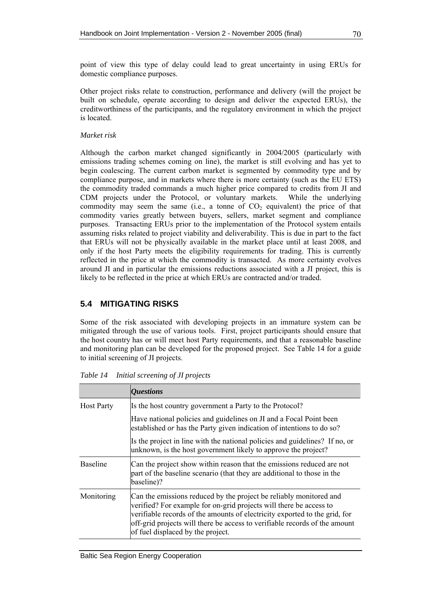<span id="page-81-0"></span>point of view this type of delay could lead to great uncertainty in using ERUs for domestic compliance purposes.

Other project risks relate to construction, performance and delivery (will the project be built on schedule, operate according to design and deliver the expected ERUs), the creditworthiness of the participants, and the regulatory environment in which the project is located.

## *Market risk*

Although the carbon market changed significantly in 2004/2005 (particularly with emissions trading schemes coming on line), the market is still evolving and has yet to begin coalescing. The current carbon market is segmented by commodity type and by compliance purpose, and in markets where there is more certainty (such as the EU ETS) the commodity traded commands a much higher price compared to credits from JI and CDM projects under the Protocol, or voluntary markets. While the underlying commodity may seem the same (i.e., a tonne of  $CO<sub>2</sub>$  equivalent) the price of that commodity varies greatly between buyers, sellers, market segment and compliance purposes. Transacting ERUs prior to the implementation of the Protocol system entails assuming risks related to project viability and deliverability. This is due in part to the fact that ERUs will not be physically available in the market place until at least 2008, and only if the host Party meets the eligibility requirements for trading. This is currently reflected in the price at which the commodity is transacted. As more certainty evolves around JI and in particular the emissions reductions associated with a JI project, this is likely to be reflected in the price at which ERUs are contracted and/or traded.

# **5.4 MITIGATING RISKS**

Some of the risk associated with developing projects in an immature system can be mitigated through the use of various tools. First, project participants should ensure that the host country has or will meet host Party requirements, and that a reasonable baseline and monitoring plan can be developed for the proposed project. See [Table 14](#page-81-0) for a guide to initial screening of JI projects.

|                   | <i><b>Questions</b></i>                                                                                                                                                                                                                                                                                                                   |  |
|-------------------|-------------------------------------------------------------------------------------------------------------------------------------------------------------------------------------------------------------------------------------------------------------------------------------------------------------------------------------------|--|
| <b>Host Party</b> | Is the host country government a Party to the Protocol?                                                                                                                                                                                                                                                                                   |  |
|                   | Have national policies and guidelines on JI and a Focal Point been<br>established or has the Party given indication of intentions to do so?                                                                                                                                                                                               |  |
|                   | Is the project in line with the national policies and guidelines? If no, or<br>unknown, is the host government likely to approve the project?                                                                                                                                                                                             |  |
| <b>Baseline</b>   | Can the project show within reason that the emissions reduced are not<br>part of the baseline scenario (that they are additional to those in the<br>baseline)?                                                                                                                                                                            |  |
| Monitoring        | Can the emissions reduced by the project be reliably monitored and<br>verified? For example for on-grid projects will there be access to<br>verifiable records of the amounts of electricity exported to the grid, for<br>off-grid projects will there be access to verifiable records of the amount<br>of fuel displaced by the project. |  |

*Table 14 Initial screening of JI projects*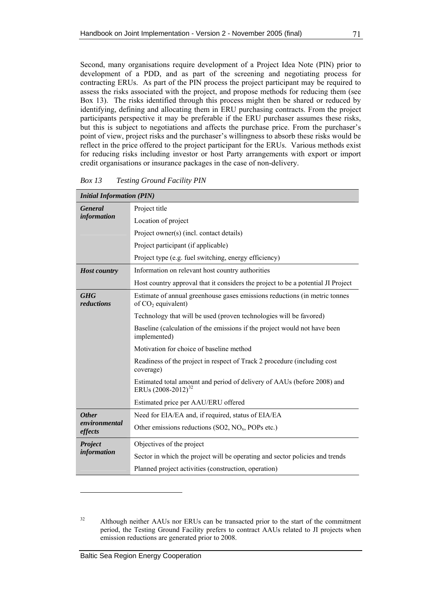<span id="page-82-0"></span>Second, many organisations require development of a Project Idea Note (PIN) prior to development of a PDD, and as part of the screening and negotiating process for contracting ERUs. As part of the PIN process the project participant may be required to assess the risks associated with the project, and propose methods for reducing them (see [Box 13\)](#page-82-0). The risks identified through this process might then be shared or reduced by identifying, defining and allocating them in ERU purchasing contracts. From the project participants perspective it may be preferable if the ERU purchaser assumes these risks, but this is subject to negotiations and affects the purchase price. From the purchaser's point of view, project risks and the purchaser's willingness to absorb these risks would be reflect in the price offered to the project participant for the ERUs. Various methods exist for reducing risks including investor or host Party arrangements with export or import credit organisations or insurance packages in the case of non-delivery.

| <b>Initial Information (PIN)</b> |                                                                                                           |  |
|----------------------------------|-----------------------------------------------------------------------------------------------------------|--|
| <b>General</b>                   | Project title                                                                                             |  |
| <i>information</i>               | Location of project                                                                                       |  |
|                                  | Project owner(s) (incl. contact details)                                                                  |  |
|                                  | Project participant (if applicable)                                                                       |  |
|                                  | Project type (e.g. fuel switching, energy efficiency)                                                     |  |
| <b>Host country</b>              | Information on relevant host country authorities                                                          |  |
|                                  | Host country approval that it considers the project to be a potential JI Project                          |  |
| <b>GHG</b><br>reductions         | Estimate of annual greenhouse gases emissions reductions (in metric tonnes<br>of $CO2$ equivalent)        |  |
|                                  | Technology that will be used (proven technologies will be favored)                                        |  |
|                                  | Baseline (calculation of the emissions if the project would not have been<br>implemented)                 |  |
|                                  | Motivation for choice of baseline method                                                                  |  |
|                                  | Readiness of the project in respect of Track 2 procedure (including cost<br>coverage)                     |  |
|                                  | Estimated total amount and period of delivery of AAUs (before 2008) and<br>ERUs (2008-2012) <sup>32</sup> |  |
|                                  | Estimated price per AAU/ERU offered                                                                       |  |
| <b>Other</b>                     | Need for EIA/EA and, if required, status of EIA/EA                                                        |  |
| environmental<br>effects         | Other emissions reductions (SO2, $NOx$ , POPs etc.)                                                       |  |
| <b>Project</b>                   | Objectives of the project                                                                                 |  |
| information                      | Sector in which the project will be operating and sector policies and trends                              |  |
|                                  | Planned project activities (construction, operation)                                                      |  |

*Box 13 Testing Ground Facility PIN* 

<span id="page-82-1"></span><sup>&</sup>lt;sup>32</sup> Although neither AAUs nor ERUs can be transacted prior to the start of the commitment period, the Testing Ground Facility prefers to contract AAUs related to JI projects when emission reductions are generated prior to 2008.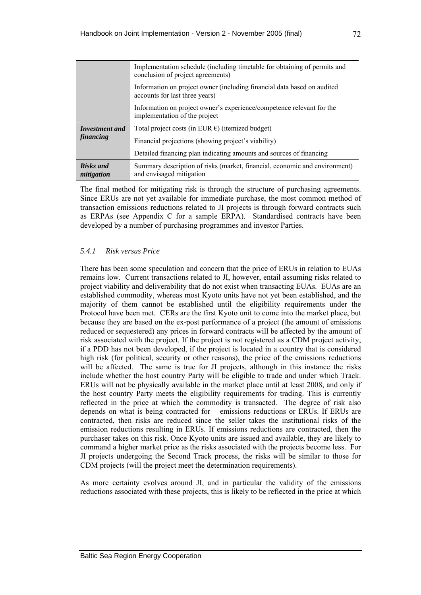|                                | Implementation schedule (including timetable for obtaining of permits and<br>conclusion of project agreements) |
|--------------------------------|----------------------------------------------------------------------------------------------------------------|
|                                | Information on project owner (including financial data based on audited<br>accounts for last three years)      |
|                                | Information on project owner's experience/competence relevant for the<br>implementation of the project         |
| Investment and<br>financing    | Total project costs (in EUR $\epsilon$ ) (itemized budget)                                                     |
|                                | Financial projections (showing project's viability)                                                            |
|                                | Detailed financing plan indicating amounts and sources of financing                                            |
| <b>Risks and</b><br>mitigation | Summary description of risks (market, financial, economic and environment)<br>and envisaged mitigation         |

The final method for mitigating risk is through the structure of purchasing agreements. Since ERUs are not yet available for immediate purchase, the most common method of transaction emissions reductions related to JI projects is through forward contracts such as ERPAs (see Appendix C for a sample ERPA). Standardised contracts have been developed by a number of purchasing programmes and investor Parties.

## *5.4.1 Risk versus Price*

There has been some speculation and concern that the price of ERUs in relation to EUAs remains low. Current transactions related to JI, however, entail assuming risks related to project viability and deliverability that do not exist when transacting EUAs. EUAs are an established commodity, whereas most Kyoto units have not yet been established, and the majority of them cannot be established until the eligibility requirements under the Protocol have been met. CERs are the first Kyoto unit to come into the market place, but because they are based on the ex-post performance of a project (the amount of emissions reduced or sequestered) any prices in forward contracts will be affected by the amount of risk associated with the project. If the project is not registered as a CDM project activity, if a PDD has not been developed, if the project is located in a country that is considered high risk (for political, security or other reasons), the price of the emissions reductions will be affected. The same is true for JI projects, although in this instance the risks include whether the host country Party will be eligible to trade and under which Track. ERUs will not be physically available in the market place until at least 2008, and only if the host country Party meets the eligibility requirements for trading. This is currently reflected in the price at which the commodity is transacted. The degree of risk also depends on what is being contracted for – emissions reductions or ERUs. If ERUs are contracted, then risks are reduced since the seller takes the institutional risks of the emission reductions resulting in ERUs. If emissions reductions are contracted, then the purchaser takes on this risk. Once Kyoto units are issued and available, they are likely to command a higher market price as the risks associated with the projects become less. For JI projects undergoing the Second Track process, the risks will be similar to those for CDM projects (will the project meet the determination requirements).

As more certainty evolves around JI, and in particular the validity of the emissions reductions associated with these projects, this is likely to be reflected in the price at which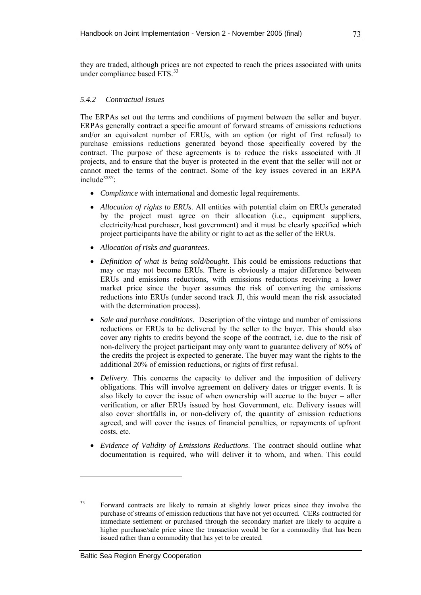they are traded, although prices are not expected to reach the prices associated with units under compliance based ETS.<sup>[33](#page-84-0)</sup>

## *5.4.2 Contractual Issues*

The ERPAs set out the terms and conditions of payment between the seller and buyer. ERPAs generally contract a specific amount of forward streams of emissions reductions and/or an equivalent number of ERUs, with an option (or right of first refusal) to purchase emissions reductions generated beyond those specifically covered by the contract. The purpose of these agreements is to reduce the risks associated with JI projects, and to ensure that the buyer is protected in the event that the seller will not or cannot meet the terms of the contract. Some of the key issues covered in an ERPA include<sup>[xx](#page-85-0)xv</sup>:

- *Compliance* with international and domestic legal requirements.
- *Allocation of rights to ERUs*. All entities with potential claim on ERUs generated by the project must agree on their allocation (i.e., equipment suppliers, electricity/heat purchaser, host government) and it must be clearly specified which project participants have the ability or right to act as the seller of the ERUs.
- *Allocation of risks and guarantees.*
- *Definition of what is being sold/bought*. This could be emissions reductions that may or may not become ERUs. There is obviously a major difference between ERUs and emissions reductions, with emissions reductions receiving a lower market price since the buyer assumes the risk of converting the emissions reductions into ERUs (under second track JI, this would mean the risk associated with the determination process).
- *Sale and purchase conditions*. Description of the vintage and number of emissions reductions or ERUs to be delivered by the seller to the buyer. This should also cover any rights to credits beyond the scope of the contract, i.e. due to the risk of non-delivery the project participant may only want to guarantee delivery of 80% of the credits the project is expected to generate. The buyer may want the rights to the additional 20% of emission reductions, or rights of first refusal.
- *Delivery*. This concerns the capacity to deliver and the imposition of delivery obligations. This will involve agreement on delivery dates or trigger events. It is also likely to cover the issue of when ownership will accrue to the buyer – after verification, or after ERUs issued by host Government, etc. Delivery issues will also cover shortfalls in, or non-delivery of, the quantity of emission reductions agreed, and will cover the issues of financial penalties, or repayments of upfront costs, etc.
- *Evidence of Validity of Emissions Reductions*. The contract should outline what documentation is required, who will deliver it to whom, and when. This could

<span id="page-84-0"></span><sup>&</sup>lt;sup>33</sup> Forward contracts are likely to remain at slightly lower prices since they involve the purchase of streams of emission reductions that have not yet occurred. CERs contracted for immediate settlement or purchased through the secondary market are likely to acquire a higher purchase/sale price since the transaction would be for a commodity that has been issued rather than a commodity that has yet to be created.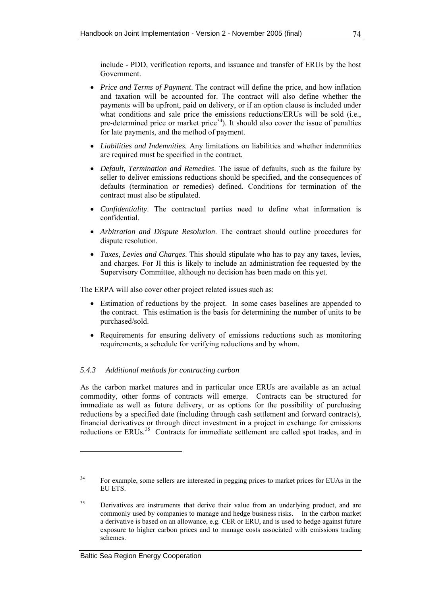include - PDD, verification reports, and issuance and transfer of ERUs by the host Government.

- *Price and Terms of Payment*. The contract will define the price, and how inflation and taxation will be accounted for. The contract will also define whether the payments will be upfront, paid on delivery, or if an option clause is included under what conditions and sale price the emissions reductions/ERUs will be sold (i.e., pre-determined price or market price $34$ ). It should also cover the issue of penalties for late payments, and the method of payment.
- *Liabilities and Indemnities.* Any limitations on liabilities and whether indemnities are required must be specified in the contract.
- *Default, Termination and Remedies*. The issue of defaults, such as the failure by seller to deliver emissions reductions should be specified, and the consequences of defaults (termination or remedies) defined. Conditions for termination of the contract must also be stipulated.
- *Confidentiality*. The contractual parties need to define what information is confidential.
- *Arbitration and Dispute Resolution*. The contract should outline procedures for dispute resolution.
- *Taxes, Levies and Charges*. This should stipulate who has to pay any taxes, levies, and charges. For JI this is likely to include an administration fee requested by the Supervisory Committee, although no decision has been made on this yet.

The ERPA will also cover other project related issues such as:

- Estimation of reductions by the project. In some cases baselines are appended to the contract. This estimation is the basis for determining the number of units to be purchased/sold.
- Requirements for ensuring delivery of emissions reductions such as monitoring requirements, a schedule for verifying reductions and by whom.

## *5.4.3 Additional methods for contracting carbon*

As the carbon market matures and in particular once ERUs are available as an actual commodity, other forms of contracts will emerge. Contracts can be structured for immediate as well as future delivery, or as options for the possibility of purchasing reductions by a specified date (including through cash settlement and forward contracts), financial derivatives or through direct investment in a project in exchange for emissions reductions or ERUs.<sup>[35](#page-85-0)</sup> Contracts for immediate settlement are called spot trades, and in

<span id="page-85-1"></span><sup>&</sup>lt;sup>34</sup> For example, some sellers are interested in pegging prices to market prices for EUAs in the EU ETS.

<span id="page-85-0"></span><sup>&</sup>lt;sup>35</sup> Derivatives are instruments that derive their value from an underlying product, and are commonly used by companies to manage and hedge business risks. In the carbon market a derivative is based on an allowance, e.g. CER or ERU, and is used to hedge against future exposure to higher carbon prices and to manage costs associated with emissions trading schemes.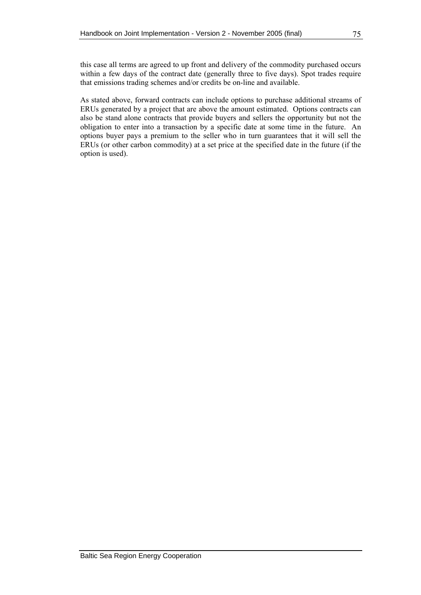this case all terms are agreed to up front and delivery of the commodity purchased occurs within a few days of the contract date (generally three to five days). Spot trades require that emissions trading schemes and/or credits be on-line and available.

As stated above, forward contracts can include options to purchase additional streams of ERUs generated by a project that are above the amount estimated. Options contracts can also be stand alone contracts that provide buyers and sellers the opportunity but not the obligation to enter into a transaction by a specific date at some time in the future. An options buyer pays a premium to the seller who in turn guarantees that it will sell the ERUs (or other carbon commodity) at a set price at the specified date in the future (if the option is used).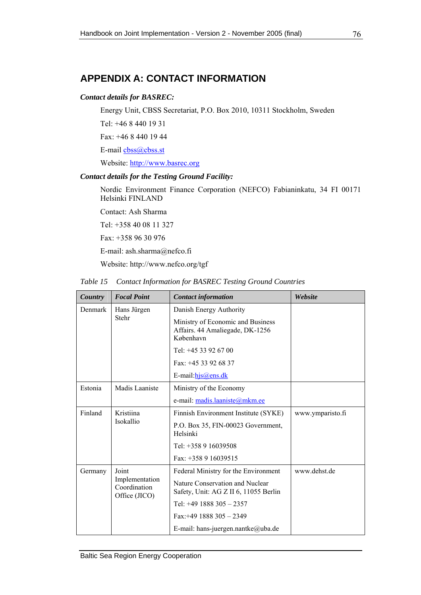# **APPENDIX A: CONTACT INFORMATION**

## *Contact details for BASREC:*

Energy Unit, CBSS Secretariat, P.O. Box 2010, 10311 Stockholm, Sweden

Tel: +46 8 440 19 31

Fax: +46 8 440 19 44

E-mail [cbss@cbss.st](mailto:cbss@cbss.st)

Website: [http://www.basrec.org](http://www.basrec.org/)

## *Contact details for the Testing Ground Facility:*

Nordic Environment Finance Corporation (NEFCO) Fabianinkatu, 34 FI 00171 Helsinki FINLAND

Contact: Ash Sharma

Tel: +358 40 08 11 327

Fax: +358 96 30 976

E-mail: ash.sharma@nefco.fi

Website: http://www.nefco.org/tgf

|  | Table 15 Contact Information for BASREC Testing Ground Countries |
|--|------------------------------------------------------------------|
|  |                                                                  |

| Country | <b>Focal Point</b>                              | <b>Contact information</b>                                                        | Website          |
|---------|-------------------------------------------------|-----------------------------------------------------------------------------------|------------------|
| Denmark | Hans Jürgen                                     | Danish Energy Authority                                                           |                  |
| Stehr   |                                                 | Ministry of Economic and Business<br>Affairs. 44 Amaliegade, DK-1256<br>København |                  |
|         |                                                 | Tel: $+4533926700$                                                                |                  |
|         |                                                 | Fax: +45 33 92 68 37                                                              |                  |
|         |                                                 | E-mail: $h$ js@ens.dk                                                             |                  |
| Estonia | Madis Laaniste                                  | Ministry of the Economy                                                           |                  |
|         |                                                 | e-mail: madis.laaniste@mkm.ee                                                     |                  |
| Finland | Kristiina                                       | Finnish Environment Institute (SYKE)                                              | www.ymparisto.fi |
|         | Isokallio                                       | P.O. Box 35, FIN-00023 Government,<br>Helsinki                                    |                  |
|         |                                                 | Tel: +358 9 16039508                                                              |                  |
|         |                                                 | Fax: +358 9 16039515                                                              |                  |
| Germany | Joint                                           | Federal Ministry for the Environment                                              | www.dehst.de     |
|         | Implementation<br>Coordination<br>Office (JICO) | Nature Conservation and Nuclear<br>Safety, Unit: AG Z II 6, 11055 Berlin          |                  |
|         |                                                 | Tel: $+49$ 1888 305 - 2357                                                        |                  |
|         |                                                 | $Fax: +49$ 1888 305 - 2349                                                        |                  |
|         |                                                 | E-mail: hans-juergen.nantke@uba.de                                                |                  |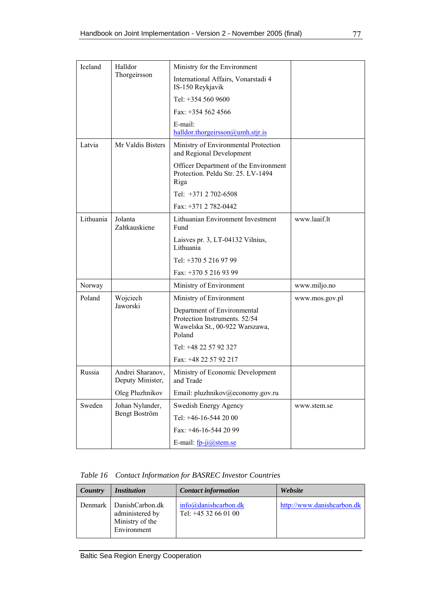| Iceland      | Halldor                              | Ministry for the Environment                                                                             |                |
|--------------|--------------------------------------|----------------------------------------------------------------------------------------------------------|----------------|
| Thorgeirsson |                                      | International Affairs, Vonarstadi 4<br>IS-150 Reykjavik                                                  |                |
|              |                                      | Tel: +354 560 9600                                                                                       |                |
|              |                                      | Fax: $+3545624566$                                                                                       |                |
|              |                                      | E-mail:<br>halldor.thorgeirsson@umh.stjr.is                                                              |                |
| Latvia       | Mr Valdis Bisters                    | Ministry of Environmental Protection<br>and Regional Development                                         |                |
|              |                                      | Officer Department of the Environment<br>Protection. Peldu Str. 25. LV-1494<br>Riga                      |                |
|              |                                      | Tel: +371 2 702-6508                                                                                     |                |
|              |                                      | Fax: $+371$ 2 782-0442                                                                                   |                |
| Lithuania    | Jolanta<br>Zaltkauskiene             | Lithuanian Environment Investment<br>Fund                                                                | www.laaif.lt   |
|              |                                      | Laisves pr. 3, LT-04132 Vilnius,<br>Lithuania                                                            |                |
|              |                                      | Tel: +370 5 216 97 99                                                                                    |                |
|              |                                      | Fax: +370 5 216 93 99                                                                                    |                |
| Norway       |                                      | Ministry of Environment                                                                                  | www.miljo.no   |
| Poland       | Wojciech                             | Ministry of Environment                                                                                  | www.mos.gov.pl |
|              | Jaworski                             | Department of Environmental<br>Protection Instruments. 52/54<br>Wawelska St., 00-922 Warszawa,<br>Poland |                |
|              |                                      | Tel: +48 22 57 92 327                                                                                    |                |
|              |                                      | Fax: +48 22 57 92 217                                                                                    |                |
| Russia       | Andrei Sharanov,<br>Deputy Minister, | Ministry of Economic Development<br>and Trade                                                            |                |
|              | Oleg Pluzhnikov                      | Email: pluzhnikov@economy.gov.ru                                                                         |                |
| Sweden       | Johan Nylander,                      | Swedish Energy Agency                                                                                    | www.stem.se    |
|              | Bengt Boström                        | Tel: +46-16-544 20 00                                                                                    |                |
|              |                                      | Fax: +46-16-544 20 99                                                                                    |                |
|              |                                      | E-mail: fp-ji@stem.se                                                                                    |                |

*Table 16 Contact Information for BASREC Investor Countries* 

| Country | <i><b>Institution</b></i>                                                    | <b>Contact information</b>                           | Website                    |
|---------|------------------------------------------------------------------------------|------------------------------------------------------|----------------------------|
|         | Denmark DanishCarbon.dk<br>administered by<br>Ministry of the<br>Environment | $info(\omega)$ danishcarbon.dk<br>Tel: $+4532660100$ | http://www.danishcarbon.dk |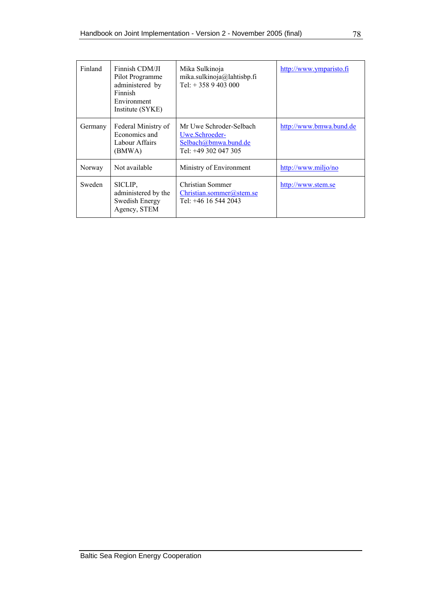| Finland | Finnish CDM/JI<br>Pilot Programme<br>administered by<br>Finnish<br>Environment<br>Institute (SYKE) | Mika Sulkinoja<br>mika.sulkinoja@lahtisbp.fi<br>Tel: $+3589403000$                        | http://www.ymparisto.fi |
|---------|----------------------------------------------------------------------------------------------------|-------------------------------------------------------------------------------------------|-------------------------|
| Germany | Federal Ministry of<br>Economics and<br>Labour Affairs<br>(BMWA)                                   | Mr Uwe Schroder-Selbach<br>Uwe.Schroeder-<br>Selbach@bmwa.bund.de<br>Tel: +49 302 047 305 | http://www.bmwa.bund.de |
| Norway  | Not available                                                                                      | Ministry of Environment                                                                   | http://www.miljo/no     |
| Sweden  | SICLIP.<br>administered by the<br>Swedish Energy<br>Agency, STEM                                   | Christian Sommer<br>Christian sommer( <i>a</i> ) stem.se<br>Tel: +46 16 544 2043          | http://www.stem.se      |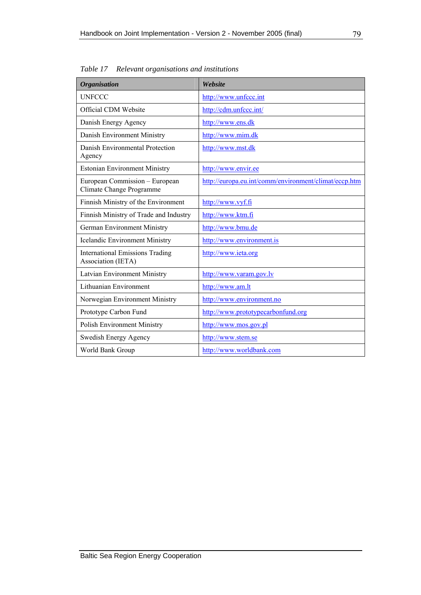| <b>Organisation</b>                                          | Website                                               |
|--------------------------------------------------------------|-------------------------------------------------------|
| <b>UNFCCC</b>                                                | http://www.unfccc.int                                 |
| Official CDM Website                                         | http://cdm.unfccc.int/                                |
| Danish Energy Agency                                         | http://www.ens.dk                                     |
| Danish Environment Ministry                                  | http://www.mim.dk                                     |
| Danish Environmental Protection<br>Agency                    | http://www.mst.dk                                     |
| <b>Estonian Environment Ministry</b>                         | http://www.envir.ee                                   |
| European Commission - European<br>Climate Change Programme   | http://europa.eu.int/comm/environment/climat/eccp.htm |
| Finnish Ministry of the Environment                          | http://www.vyf.fi                                     |
| Finnish Ministry of Trade and Industry                       | http://www.ktm.fi                                     |
| <b>German Environment Ministry</b>                           | http://www.bmu.de                                     |
| <b>Icelandic Environment Ministry</b>                        | http://www.environment.is                             |
| <b>International Emissions Trading</b><br>Association (IETA) | http://www.ieta.org                                   |
| Latvian Environment Ministry                                 | http://www.varam.gov.lv                               |
| Lithuanian Environment                                       | http://www.am.lt                                      |
| Norwegian Environment Ministry                               | http://www.environment.no                             |
| Prototype Carbon Fund                                        | http://www.prototypecarbonfund.org                    |
| Polish Environment Ministry                                  | http://www.mos.gov.pl                                 |
| Swedish Energy Agency                                        | http://www.stem.se                                    |
| World Bank Group                                             | http://www.worldbank.com                              |

*Table 17 Relevant organisations and institutions*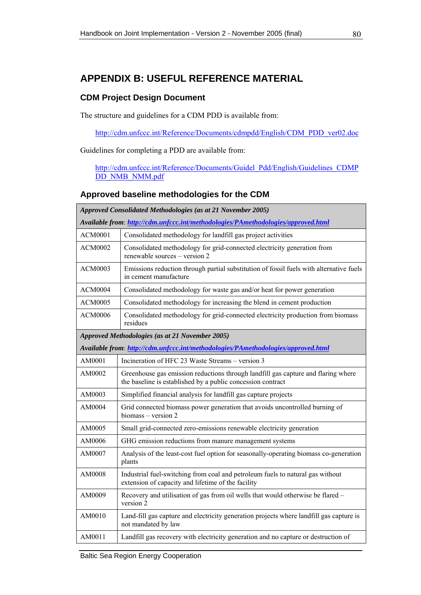# **APPENDIX B: USEFUL REFERENCE MATERIAL**

## **CDM Project Design Document**

The structure and guidelines for a CDM PDD is available from:

[http://cdm.unfccc.int/Reference/Documents/cdmpdd/English/CDM\\_PDD\\_ver02.doc](http://cdm.unfccc.int/Reference/Documents/cdmpdd/English/CDM_PDD_ver02.doc)

Guidelines for completing a PDD are available from:

[http://cdm.unfccc.int/Reference/Documents/Guidel\\_Pdd/English/Guidelines\\_CDMP](http://cdm.unfccc.int/Reference/Documents/Guidel_Pdd/English/Guidelines_CDMPDD_NMB_NMM.pdf) [DD\\_NMB\\_NMM.pdf](http://cdm.unfccc.int/Reference/Documents/Guidel_Pdd/English/Guidelines_CDMPDD_NMB_NMM.pdf)

## **Approved baseline methodologies for the CDM**

| Approved Consolidated Methodologies (as at 21 November 2005)                      |                                                                                                                                                  |  |  |
|-----------------------------------------------------------------------------------|--------------------------------------------------------------------------------------------------------------------------------------------------|--|--|
| Available from: http://cdm.unfccc.int/methodologies/PAmethodologies/approved.html |                                                                                                                                                  |  |  |
| <b>ACM0001</b>                                                                    | Consolidated methodology for landfill gas project activities                                                                                     |  |  |
| <b>ACM0002</b>                                                                    | Consolidated methodology for grid-connected electricity generation from<br>renewable sources - version 2                                         |  |  |
| <b>ACM0003</b>                                                                    | Emissions reduction through partial substitution of fossil fuels with alternative fuels<br>in cement manufacture                                 |  |  |
| <b>ACM0004</b>                                                                    | Consolidated methodology for waste gas and/or heat for power generation                                                                          |  |  |
| <b>ACM0005</b>                                                                    | Consolidated methodology for increasing the blend in cement production                                                                           |  |  |
| <b>ACM0006</b>                                                                    | Consolidated methodology for grid-connected electricity production from biomass<br>residues                                                      |  |  |
|                                                                                   | Approved Methodologies (as at 21 November 2005)                                                                                                  |  |  |
|                                                                                   | Available from: http://cdm.unfccc.int/methodologies/PAmethodologies/approved.html                                                                |  |  |
| AM0001                                                                            | Incineration of HFC 23 Waste Streams – version 3                                                                                                 |  |  |
| AM0002                                                                            | Greenhouse gas emission reductions through landfill gas capture and flaring where<br>the baseline is established by a public concession contract |  |  |
| AM0003                                                                            | Simplified financial analysis for landfill gas capture projects                                                                                  |  |  |
| AM0004                                                                            | Grid connected biomass power generation that avoids uncontrolled burning of<br>biomass - version 2                                               |  |  |
| AM0005                                                                            | Small grid-connected zero-emissions renewable electricity generation                                                                             |  |  |
| AM0006                                                                            | GHG emission reductions from manure management systems                                                                                           |  |  |
| AM0007                                                                            | Analysis of the least-cost fuel option for seasonally-operating biomass co-generation<br>plants                                                  |  |  |
| AM0008                                                                            | Industrial fuel-switching from coal and petroleum fuels to natural gas without<br>extension of capacity and lifetime of the facility             |  |  |
| AM0009                                                                            | Recovery and utilisation of gas from oil wells that would otherwise be flared -<br>version 2                                                     |  |  |
| AM0010                                                                            | Land-fill gas capture and electricity generation projects where landfill gas capture is<br>not mandated by law                                   |  |  |
| AM0011                                                                            | Landfill gas recovery with electricity generation and no capture or destruction of                                                               |  |  |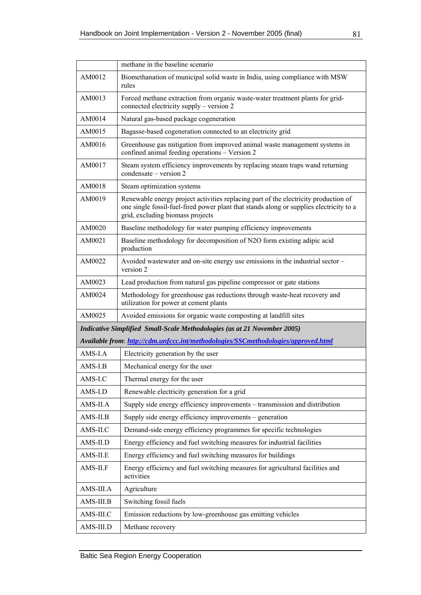|                                                                                     | methane in the baseline scenario                                                                                                                                                                                   |  |
|-------------------------------------------------------------------------------------|--------------------------------------------------------------------------------------------------------------------------------------------------------------------------------------------------------------------|--|
| AM0012                                                                              | Biomethanation of municipal solid waste in India, using compliance with MSW<br>rules                                                                                                                               |  |
| AM0013                                                                              | Forced methane extraction from organic waste-water treatment plants for grid-<br>connected electricity supply – version 2                                                                                          |  |
| AM0014                                                                              | Natural gas-based package cogeneration                                                                                                                                                                             |  |
| AM0015                                                                              | Bagasse-based cogeneration connected to an electricity grid                                                                                                                                                        |  |
| AM0016                                                                              | Greenhouse gas mitigation from improved animal waste management systems in<br>confined animal feeding operations - Version 2                                                                                       |  |
| AM0017                                                                              | Steam system efficiency improvements by replacing steam traps wand returning<br>condensate – version 2                                                                                                             |  |
| AM0018                                                                              | Steam optimization systems                                                                                                                                                                                         |  |
| AM0019                                                                              | Renewable energy project activities replacing part of the electricity production of<br>one single fossil-fuel-fired power plant that stands along or supplies electricity to a<br>grid, excluding biomass projects |  |
| AM0020                                                                              | Baseline methodology for water pumping efficiency improvements                                                                                                                                                     |  |
| AM0021                                                                              | Baseline methodology for decomposition of N2O form existing adipic acid<br>production                                                                                                                              |  |
| AM0022                                                                              | Avoided wastewater and on-site energy use emissions in the industrial sector -<br>version 2                                                                                                                        |  |
| AM0023                                                                              | Lead production from natural gas pipeline compressor or gate stations                                                                                                                                              |  |
| AM0024                                                                              | Methodology for greenhouse gas reductions through waste-heat recovery and<br>utilization for power at cement plants                                                                                                |  |
| AM0025                                                                              | Avoided emissions for organic waste composting at landfill sites                                                                                                                                                   |  |
|                                                                                     | Indicative Simplified Small-Scale Methodologies (as at 21 November 2005)                                                                                                                                           |  |
|                                                                                     | Available from: http://cdm.unfccc.int/methodologies/SSCmethodologies/approved.html                                                                                                                                 |  |
| AMS-I.A                                                                             | Electricity generation by the user                                                                                                                                                                                 |  |
| $AMS-I.B$                                                                           | Mechanical energy for the user                                                                                                                                                                                     |  |
| AMS-I.C                                                                             | Thermal energy for the user                                                                                                                                                                                        |  |
| AMS-I.D                                                                             | Renewable electricity generation for a grid                                                                                                                                                                        |  |
| AMS-II.A                                                                            | Supply side energy efficiency improvements - transmission and distribution                                                                                                                                         |  |
| $AMS-II.B$                                                                          | Supply side energy efficiency improvements - generation                                                                                                                                                            |  |
| AMS-II.C                                                                            | Demand-side energy efficiency programmes for specific technologies                                                                                                                                                 |  |
| Energy efficiency and fuel switching measures for industrial facilities<br>AMS-II.D |                                                                                                                                                                                                                    |  |
| AMS-II.E                                                                            | Energy efficiency and fuel switching measures for buildings                                                                                                                                                        |  |
| AMS-II.F                                                                            | Energy efficiency and fuel switching measures for agricultural facilities and<br>activities                                                                                                                        |  |
| AMS-III.A                                                                           | Agriculture                                                                                                                                                                                                        |  |
| AMS-III.B                                                                           | Switching fossil fuels                                                                                                                                                                                             |  |
| AMS-III.C                                                                           | Emission reductions by low-greenhouse gas emitting vehicles                                                                                                                                                        |  |
| AMS-III.D                                                                           | Methane recovery                                                                                                                                                                                                   |  |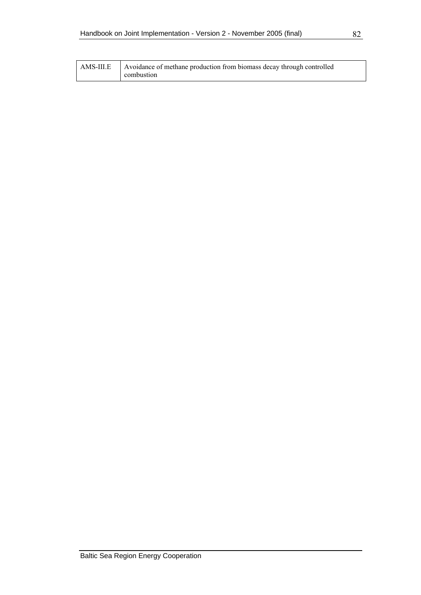| AMS-III.E | Avoidance of methane production from biomass decay through controlled |
|-----------|-----------------------------------------------------------------------|
|           | combustion                                                            |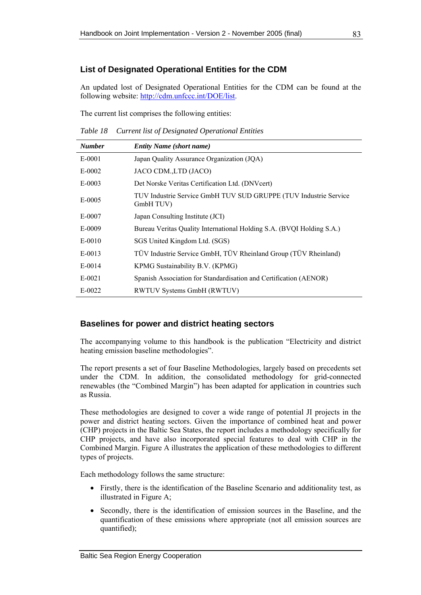## **List of Designated Operational Entities for the CDM**

An updated lost of Designated Operational Entities for the CDM can be found at the following website:<http://cdm.unfccc.int/DOE/list>.

The current list comprises the following entities:

*Table 18 Current list of Designated Operational Entities* 

| <b>Number</b> | <b>Entity Name (short name)</b>                                               |
|---------------|-------------------------------------------------------------------------------|
| E-0001        | Japan Quality Assurance Organization (JQA)                                    |
| E-0002        | JACO CDM., LTD (JACO)                                                         |
| $E-0003$      | Det Norske Veritas Certification Ltd. (DNVcert)                               |
| $E-0005$      | TUV Industrie Service GmbH TUV SUD GRUPPE (TUV Industrie Service<br>GmbH TUV) |
| E-0007        | Japan Consulting Institute (JCI)                                              |
| E-0009        | Bureau Veritas Quality International Holding S.A. (BVQI Holding S.A.)         |
| E-0010        | SGS United Kingdom Ltd. (SGS)                                                 |
| E-0013        | TÜV Industrie Service GmbH, TÜV Rheinland Group (TÜV Rheinland)               |
| $E-0014$      | KPMG Sustainability B.V. (KPMG)                                               |
| $E-0021$      | Spanish Association for Standardisation and Certification (AENOR)             |
| $E-0022$      | RWTUV Systems GmbH (RWTUV)                                                    |

## **Baselines for power and district heating sectors**

The accompanying volume to this handbook is the publication "Electricity and district heating emission baseline methodologies".

The report presents a set of four Baseline Methodologies, largely based on precedents set under the CDM. In addition, the consolidated methodology for grid-connected renewables (the "Combined Margin") has been adapted for application in countries such as Russia.

These methodologies are designed to cover a wide range of potential JI projects in the power and district heating sectors. Given the importance of combined heat and power (CHP) projects in the Baltic Sea States, the report includes a methodology specifically for CHP projects, and have also incorporated special features to deal with CHP in the Combined Margin. Figure A illustrates the application of these methodologies to different types of projects.

Each methodology follows the same structure:

- Firstly, there is the identification of the Baseline Scenario and additionality test, as illustrated in Figure A;
- Secondly, there is the identification of emission sources in the Baseline, and the quantification of these emissions where appropriate (not all emission sources are quantified);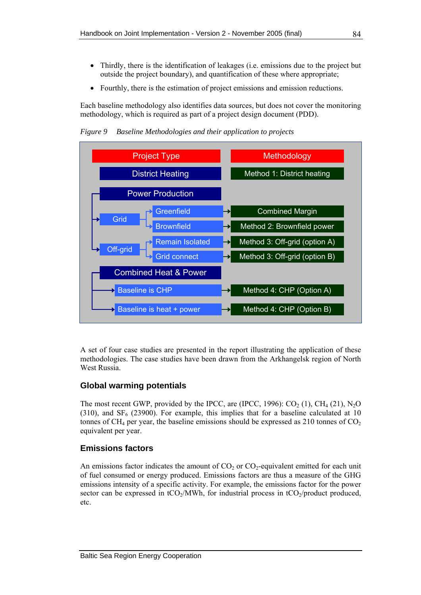- Thirdly, there is the identification of leakages (i.e. emissions due to the project but outside the project boundary), and quantification of these where appropriate;
- Fourthly, there is the estimation of project emissions and emission reductions.

Each baseline methodology also identifies data sources, but does not cover the monitoring methodology, which is required as part of a project design document (PDD).

*Figure 9 Baseline Methodologies and their application to projects* 



A set of four case studies are presented in the report illustrating the application of these methodologies. The case studies have been drawn from the Arkhangelsk region of North West Russia.

## **Global warming potentials**

The most recent GWP, provided by the IPCC, are (IPCC, 1996):  $CO<sub>2</sub>(1)$ ,  $CH<sub>4</sub>(21)$ ,  $N<sub>2</sub>O$ (310), and  $SF<sub>6</sub>$  (23900). For example, this implies that for a baseline calculated at 10 tonnes of CH<sub>4</sub> per year, the baseline emissions should be expressed as 210 tonnes of  $CO<sub>2</sub>$ equivalent per year.

## **Emissions factors**

An emissions factor indicates the amount of  $CO<sub>2</sub>$  or  $CO<sub>2</sub>$ -equivalent emitted for each unit of fuel consumed or energy produced. Emissions factors are thus a measure of the GHG emissions intensity of a specific activity. For example, the emissions factor for the power sector can be expressed in  $tCO<sub>2</sub>/MWh$ , for industrial process in  $tCO<sub>2</sub>/product$  produced, etc.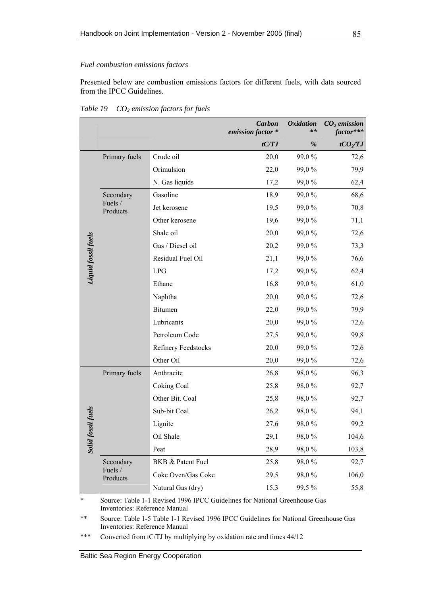#### <span id="page-96-0"></span>*Fuel combustion emissions factors*

Presented below are combustion emissions factors for different fuels, with data sourced from the IPCC Guidelines.

|                     |                     |                     | <b>Carbon</b><br>emission factor * | <b>Oxidation</b><br>** | $CO2$ emission<br>factor*** |
|---------------------|---------------------|---------------------|------------------------------------|------------------------|-----------------------------|
|                     |                     |                     | tC/TJ                              | %                      | $tCO_2/TJ$                  |
|                     | Primary fuels       | Crude oil           | 20,0                               | 99,0%                  | 72,6                        |
|                     |                     | Orimulsion          | 22,0                               | 99,0%                  | 79,9                        |
|                     |                     | N. Gas liquids      | 17,2                               | 99,0%                  | 62,4                        |
|                     | Secondary           | Gasoline            | 18,9                               | 99,0%                  | 68,6                        |
|                     | Fuels /<br>Products | Jet kerosene        | 19,5                               | 99,0%                  | 70,8                        |
|                     |                     | Other kerosene      | 19,6                               | 99,0%                  | 71,1                        |
|                     |                     | Shale oil           | 20,0                               | 99,0%                  | 72,6                        |
|                     |                     | Gas / Diesel oil    | 20,2                               | 99,0%                  | 73,3                        |
|                     |                     | Residual Fuel Oil   | 21,1                               | 99,0%                  | 76,6                        |
| Liquid fossil fuels |                     | <b>LPG</b>          | 17,2                               | 99,0%                  | 62,4                        |
|                     |                     | Ethane              | 16,8                               | 99,0%                  | 61,0                        |
|                     |                     | Naphtha             | 20,0                               | 99,0%                  | 72,6                        |
|                     |                     | Bitumen             | 22,0                               | 99,0%                  | 79,9                        |
|                     |                     | Lubricants          | 20,0                               | 99,0%                  | 72,6                        |
|                     |                     | Petroleum Code      | 27,5                               | 99,0%                  | 99,8                        |
|                     |                     | Refinery Feedstocks | 20,0                               | 99,0%                  | 72,6                        |
|                     |                     | Other Oil           | 20,0                               | 99,0%                  | 72,6                        |
|                     | Primary fuels       | Anthracite          | 26,8                               | 98,0%                  | 96,3                        |
|                     |                     | Coking Coal         | 25,8                               | 98,0%                  | 92,7                        |
|                     |                     | Other Bit. Coal     | 25,8                               | 98,0%                  | 92,7                        |
|                     |                     | Sub-bit Coal        | 26,2                               | 98,0%                  | 94,1                        |
| ssil fuels          |                     | Lignite             | 27,6                               | 98,0%                  | 99,2                        |
| Solid fos           |                     | Oil Shale           | 29,1                               | 98,0%                  | 104,6                       |
|                     |                     | Peat                | 28,9                               | 98,0%                  | 103,8                       |
|                     | Secondary           | BKB & Patent Fuel   | 25,8                               | 98,0%                  | 92,7                        |
|                     | Fuels /<br>Products | Coke Oven/Gas Coke  | 29,5                               | 98,0%                  | 106,0                       |
|                     |                     | Natural Gas (dry)   | 15,3                               | 99,5%                  | 55,8                        |

*Table 19 CO2 emission factors for fuels* 

Source: Table 1-1 Revised 1996 IPCC Guidelines for National Greenhouse Gas Inventories: Reference Manual

\*\* Source: Table 1-5 Table 1-1 Revised 1996 IPCC Guidelines for National Greenhouse Gas Inventories: Reference Manual

\*\*\* Converted from tC/TJ by multiplying by oxidation rate and times  $44/12$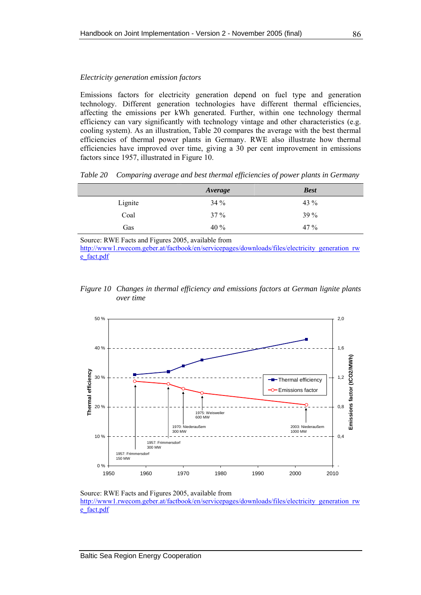#### <span id="page-97-0"></span>*Electricity generation emission factors*

Emissions factors for electricity generation depend on fuel type and generation technology. Different generation technologies have different thermal efficiencies, affecting the emissions per kWh generated. Further, within one technology thermal efficiency can vary significantly with technology vintage and other characteristics (e.g. cooling system). As an illustration, [Table 20](#page-97-0) compares the average with the best thermal efficiencies of thermal power plants in Germany. RWE also illustrate how thermal efficiencies have improved over time, giving a 30 per cent improvement in emissions factors since 1957, illustrated in [Figure 10](#page-97-0).

*Table 20 Comparing average and best thermal efficiencies of power plants in Germany* 

|         | Average | <b>Best</b> |
|---------|---------|-------------|
| Lignite | $34\%$  | 43 $%$      |
| Coal    | 37 %    | <b>39 %</b> |
| Gas     | 40 %    | $47\%$      |

Source: RWE Facts and Figures 2005, available from

[http://www1.rwecom.geber.at/factbook/en/servicepages/downloads/files/electricity\\_generation\\_rw](http://www1.rwecom.geber.at/factbook/en/servicepages/downloads/files/electricity_generation_rwe_fact.pdf) [e\\_fact.pdf](http://www1.rwecom.geber.at/factbook/en/servicepages/downloads/files/electricity_generation_rwe_fact.pdf)





Source: RWE Facts and Figures 2005, available from [http://www1.rwecom.geber.at/factbook/en/servicepages/downloads/files/electricity\\_generation\\_rw](http://www1.rwecom.geber.at/factbook/en/servicepages/downloads/files/electricity_generation_rwe_fact.pdf) [e\\_fact.pdf](http://www1.rwecom.geber.at/factbook/en/servicepages/downloads/files/electricity_generation_rwe_fact.pdf)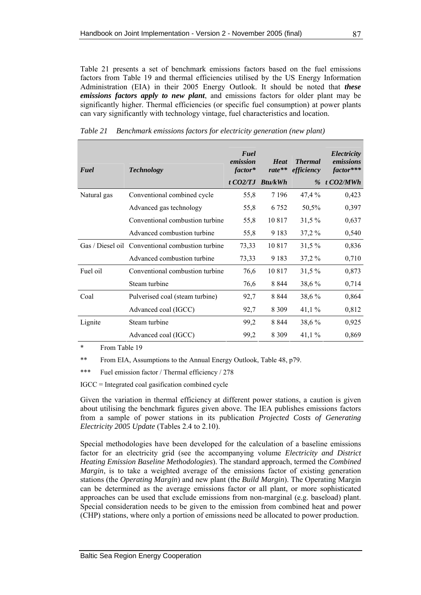<span id="page-98-0"></span>[Table 21](#page-98-0) presents a set of benchmark emissions factors based on the fuel emissions factors from [Table 19](#page-96-0) and thermal efficiencies utilised by the US Energy Information Administration (EIA) in their 2005 Energy Outlook. It should be noted that *these emissions factors apply to new plant*, and emissions factors for older plant may be significantly higher. Thermal efficiencies (or specific fuel consumption) at power plants can vary significantly with technology vintage, fuel characteristics and location.

| Fuel        | <b>Technology</b>                                | Fuel<br>emission<br>factor* | <b>Heat</b><br>rate** | <b>Thermal</b><br>efficiency | Electricity<br>emissions<br>factor*** |
|-------------|--------------------------------------------------|-----------------------------|-----------------------|------------------------------|---------------------------------------|
|             |                                                  | $t$ CO2/TJ                  | <b>Btu/kWh</b>        | $\%$                         | $t$ CO2/MWh                           |
| Natural gas | Conventional combined cycle                      | 55,8                        | 7 1 9 6               | 47,4 %                       | 0,423                                 |
|             | Advanced gas technology                          | 55,8                        | 6 7 5 2               | 50,5%                        | 0,397                                 |
|             | Conventional combustion turbine                  | 55,8                        | 10 817                | 31,5%                        | 0,637                                 |
|             | Advanced combustion turbine                      | 55,8                        | 9 1 8 3               | 37,2%                        | 0,540                                 |
|             | Gas / Diesel oil Conventional combustion turbine | 73,33                       | 10817                 | $31,5\%$                     | 0,836                                 |
|             | Advanced combustion turbine                      | 73,33                       | 9 1 8 3               | 37,2%                        | 0,710                                 |
| Fuel oil    | Conventional combustion turbine                  | 76,6                        | 10817                 | 31,5%                        | 0,873                                 |
|             | Steam turbine                                    | 76,6                        | 8 8 4 4               | 38,6%                        | 0,714                                 |
| Coal        | Pulverised coal (steam turbine)                  | 92,7                        | 8 8 4 4               | 38,6%                        | 0,864                                 |
|             | Advanced coal (IGCC)                             | 92,7                        | 8 3 0 9               | 41,1%                        | 0,812                                 |
| Lignite     | Steam turbine                                    | 99,2                        | 8 8 4 4               | 38,6%                        | 0,925                                 |
|             | Advanced coal (IGCC)                             | 99,2                        | 8 3 0 9               | 41,1%                        | 0,869                                 |

*Table 21 Benchmark emissions factors for electricity generation (new plant)* 

\* From [Table 19](#page-96-0)

\*\* From EIA, Assumptions to the Annual Energy Outlook, Table 48, p79.

\*\*\* Fuel emission factor / Thermal efficiency / 278

IGCC = Integrated coal gasification combined cycle

Given the variation in thermal efficiency at different power stations, a caution is given about utilising the benchmark figures given above. The IEA publishes emissions factors from a sample of power stations in its publication *Projected Costs of Generating Electricity 2005 Update* (Tables 2.4 to 2.10).

Special methodologies have been developed for the calculation of a baseline emissions factor for an electricity grid (see the accompanying volume *Electricity and District Heating Emission Baseline Methodologies*). The standard approach, termed the *Combined Margin*, is to take a weighted average of the emissions factor of existing generation stations (the *Operating Margin*) and new plant (the *Build Margin*). The Operating Margin can be determined as the average emissions factor or all plant, or more sophisticated approaches can be used that exclude emissions from non-marginal (e.g. baseload) plant. Special consideration needs to be given to the emission from combined heat and power (CHP) stations, where only a portion of emissions need be allocated to power production.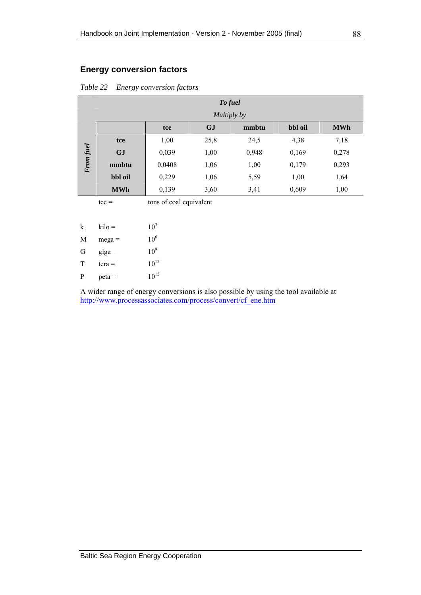## **Energy conversion factors**

|  |  | Table 22 Energy conversion factors |
|--|--|------------------------------------|
|--|--|------------------------------------|

|           |            |        | To fuel     |       |         |            |
|-----------|------------|--------|-------------|-------|---------|------------|
|           |            |        | Multiply by |       |         |            |
|           |            | tce    | <b>GJ</b>   | mmbtu | bbl oil | <b>MWh</b> |
| From fuel | tce        | 1,00   | 25,8        | 24,5  | 4,38    | 7,18       |
|           | <b>GJ</b>  | 0,039  | 1,00        | 0,948 | 0,169   | 0,278      |
|           | mmbtu      | 0,0408 | 1,06        | 1,00  | 0,179   | 0,293      |
|           | bbl oil    | 0,229  | 1,06        | 5,59  | 1,00    | 1,64       |
|           | <b>MWh</b> | 0,139  | 3,60        | 3,41  | 0,609   | 1,00       |
|           |            |        |             |       |         |            |

| k | $kilo =$ | 10 <sup>3</sup> |
|---|----------|-----------------|
| M | $mega =$ | 10 <sup>6</sup> |
| G | $giga =$ | 10 <sup>9</sup> |
| T | $tera =$ | $10^{12}$       |
| P | $peta =$ | $10^{15}$       |

A wider range of energy conversions is also possible by using the tool available at [http://www.processassociates.com/process/convert/cf\\_ene.htm](http://www.processassociates.com/process/convert/cf_ene.htm)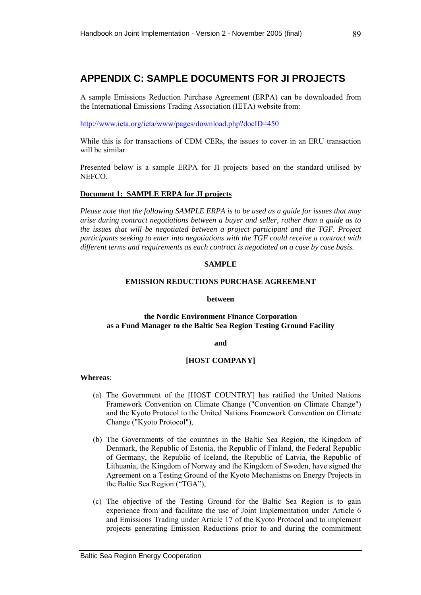# **APPENDIX C: SAMPLE DOCUMENTS FOR JI PROJECTS**

A sample Emissions Reduction Purchase Agreement (ERPA) can be downloaded from the International Emissions Trading Association (IETA) website from:

<http://www.ieta.org/ieta/www/pages/download.php?docID=450>

While this is for transactions of CDM CERs, the issues to cover in an ERU transaction will be similar.

Presented below is a sample ERPA for JI projects based on the standard utilised by NEFCO.

### **Document 1: SAMPLE ERPA for JI projects**

*Please note that the following SAMPLE ERPA is to be used as a guide for issues that may arise during contract negotiations between a buyer and seller, rather than a guide as to the issues that will be negotiated between a project participant and the TGF. Project participants seeking to enter into negotiations with the TGF could receive a contract with different terms and requirements as each contract is negotiated on a case by case basis.* 

#### **SAMPLE**

#### **EMISSION REDUCTIONS PURCHASE AGREEMENT**

#### **between**

### **the Nordic Environment Finance Corporation as a Fund Manager to the Baltic Sea Region Testing Ground Facility**

**and** 

## **[HOST COMPANY]**

#### **Whereas**:

- (a) The Government of the [HOST COUNTRY] has ratified the United Nations Framework Convention on Climate Change ("Convention on Climate Change") and the Kyoto Protocol to the United Nations Framework Convention on Climate Change ("Kyoto Protocol"),
- (b) The Governments of the countries in the Baltic Sea Region, the Kingdom of Denmark, the Republic of Estonia, the Republic of Finland, the Federal Republic of Germany, the Republic of Iceland, the Republic of Latvia, the Republic of Lithuania, the Kingdom of Norway and the Kingdom of Sweden, have signed the Agreement on a Testing Ground of the Kyoto Mechanisms on Energy Projects in the Baltic Sea Region ("TGA"),
- (c) The objective of the Testing Ground for the Baltic Sea Region is to gain experience from and facilitate the use of Joint Implementation under Article 6 and Emissions Trading under Article 17 of the Kyoto Protocol and to implement projects generating Emission Reductions prior to and during the commitment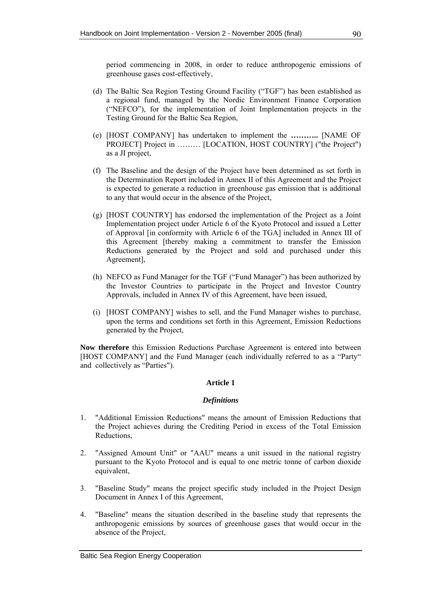period commencing in 2008, in order to reduce anthropogenic emissions of greenhouse gases cost-effectively,

- (d) The Baltic Sea Region Testing Ground Facility ("TGF") has been established as a regional fund, managed by the Nordic Environment Finance Corporation ("NEFCO"), for the implementation of Joint Implementation projects in the Testing Ground for the Baltic Sea Region,
- (e) [HOST COMPANY] has undertaken to implement the **………..** [NAME OF PROJECT] Project in ……… [LOCATION, HOST COUNTRY] ("the Project") as a JI project,
- (f) The Baseline and the design of the Project have been determined as set forth in the Determination Report included in Annex II of this Agreement and the Project is expected to generate a reduction in greenhouse gas emission that is additional to any that would occur in the absence of the Project,
- (g) [HOST COUNTRY] has endorsed the implementation of the Project as a Joint Implementation project under Article 6 of the Kyoto Protocol and issued a Letter of Approval [in conformity with Article 6 of the TGA] included in Annex III of this Agreement [thereby making a commitment to transfer the Emission Reductions generated by the Project and sold and purchased under this Agreement],
- (h) NEFCO as Fund Manager for the TGF ("Fund Manager") has been authorized by the Investor Countries to participate in the Project and Investor Country Approvals, included in Annex IV of this Agreement, have been issued,
- (i) [HOST COMPANY] wishes to sell, and the Fund Manager wishes to purchase, upon the terms and conditions set forth in this Agreement, Emission Reductions generated by the Project,

**Now therefore** this Emission Reductions Purchase Agreement is entered into between [HOST COMPANY] and the Fund Manager (each individually referred to as a "Party" and collectively as "Parties").

## **Article 1**

## *Definitions*

- 1. "Additional Emission Reductions" means the amount of Emission Reductions that the Project achieves during the Crediting Period in excess of the Total Emission Reductions,
- 2. "Assigned Amount Unit" or "AAU" means a unit issued in the national registry pursuant to the Kyoto Protocol and is equal to one metric tonne of carbon dioxide equivalent,
- 3. "Baseline Study" means the project specific study included in the Project Design Document in Annex I of this Agreement,
- 4. "Baseline" means the situation described in the baseline study that represents the anthropogenic emissions by sources of greenhouse gases that would occur in the absence of the Project,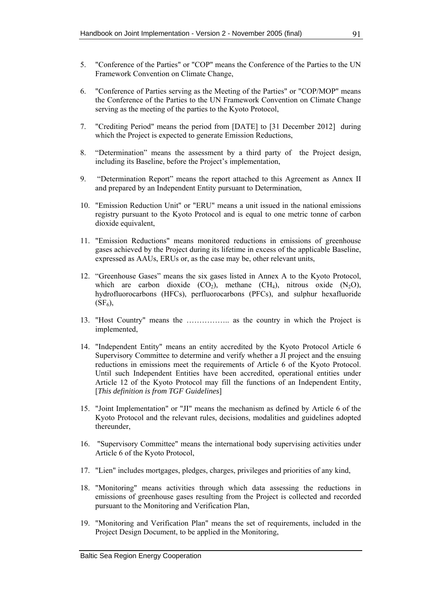- 5. "Conference of the Parties" or "COP" means the Conference of the Parties to the UN Framework Convention on Climate Change,
- 6. "Conference of Parties serving as the Meeting of the Parties" or "COP/MOP" means the Conference of the Parties to the UN Framework Convention on Climate Change serving as the meeting of the parties to the Kyoto Protocol,
- 7. "Crediting Period" means the period from [DATE] to [31 December 2012] during which the Project is expected to generate Emission Reductions,
- 8. "Determination" means the assessment by a third party of the Project design, including its Baseline, before the Project's implementation,
- 9. "Determination Report" means the report attached to this Agreement as Annex II and prepared by an Independent Entity pursuant to Determination,
- 10. "Emission Reduction Unit" or "ERU" means a unit issued in the national emissions registry pursuant to the Kyoto Protocol and is equal to one metric tonne of carbon dioxide equivalent,
- 11. "Emission Reductions" means monitored reductions in emissions of greenhouse gases achieved by the Project during its lifetime in excess of the applicable Baseline, expressed as AAUs, ERUs or, as the case may be, other relevant units,
- 12. "Greenhouse Gases" means the six gases listed in Annex A to the Kyoto Protocol, which are carbon dioxide  $(CO_2)$ , methane  $(CH_4)$ , nitrous oxide  $(N_2O)$ , hydrofluorocarbons (HFCs), perfluorocarbons (PFCs), and sulphur hexafluoride  $(SF_6)$ ,
- 13. "Host Country" means the …………….. as the country in which the Project is implemented,
- 14. "Independent Entity" means an entity accredited by the Kyoto Protocol Article 6 Supervisory Committee to determine and verify whether a JI project and the ensuing reductions in emissions meet the requirements of Article 6 of the Kyoto Protocol. Until such Independent Entities have been accredited, operational entities under Article 12 of the Kyoto Protocol may fill the functions of an Independent Entity, [*This definition is from TGF Guidelines*]
- 15. "Joint Implementation" or "JI" means the mechanism as defined by Article 6 of the Kyoto Protocol and the relevant rules, decisions, modalities and guidelines adopted thereunder,
- 16. "Supervisory Committee" means the international body supervising activities under Article 6 of the Kyoto Protocol,
- 17. "Lien" includes mortgages, pledges, charges, privileges and priorities of any kind,
- 18. "Monitoring" means activities through which data assessing the reductions in emissions of greenhouse gases resulting from the Project is collected and recorded pursuant to the Monitoring and Verification Plan,
- 19. "Monitoring and Verification Plan" means the set of requirements, included in the Project Design Document, to be applied in the Monitoring,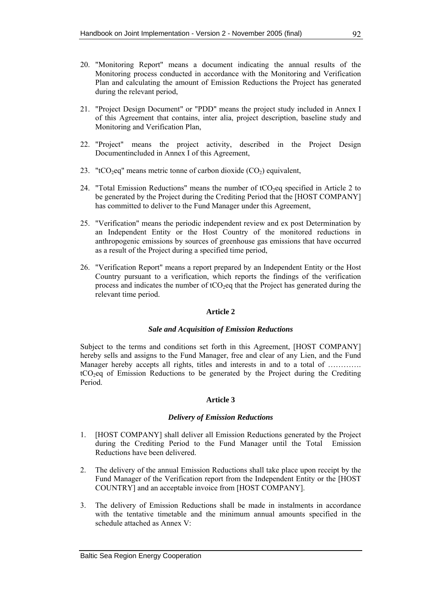- 20. "Monitoring Report" means a document indicating the annual results of the Monitoring process conducted in accordance with the Monitoring and Verification Plan and calculating the amount of Emission Reductions the Project has generated during the relevant period,
- 21. "Project Design Document" or "PDD" means the project study included in Annex I of this Agreement that contains, inter alia, project description, baseline study and Monitoring and Verification Plan,
- 22. "Project" means the project activity, described in the Project Design Documentincluded in Annex I of this Agreement,
- 23. "tCO<sub>2</sub>eq" means metric tonne of carbon dioxide  $(CO<sub>2</sub>)$  equivalent,
- 24. "Total Emission Reductions" means the number of  $tCO<sub>2</sub>$ eq specified in Article 2 to be generated by the Project during the Crediting Period that the [HOST COMPANY] has committed to deliver to the Fund Manager under this Agreement,
- 25. "Verification" means the periodic independent review and ex post Determination by an Independent Entity or the Host Country of the monitored reductions in anthropogenic emissions by sources of greenhouse gas emissions that have occurred as a result of the Project during a specified time period,
- 26. "Verification Report" means a report prepared by an Independent Entity or the Host Country pursuant to a verification, which reports the findings of the verification process and indicates the number of  $tCO<sub>2</sub>$ eq that the Project has generated during the relevant time period.

## **Article 2**

## *Sale and Acquisition of Emission Reductions*

Subject to the terms and conditions set forth in this Agreement, [HOST COMPANY] hereby sells and assigns to the Fund Manager, free and clear of any Lien, and the Fund Manager hereby accepts all rights, titles and interests in and to a total of …………. tCO2eq of Emission Reductions to be generated by the Project during the Crediting Period.

## **Article 3**

## *Delivery of Emission Reductions*

- 1. [HOST COMPANY] shall deliver all Emission Reductions generated by the Project during the Crediting Period to the Fund Manager until the Total Emission Reductions have been delivered.
- 2. The delivery of the annual Emission Reductions shall take place upon receipt by the Fund Manager of the Verification report from the Independent Entity or the [HOST COUNTRY] and an acceptable invoice from [HOST COMPANY].
- 3. The delivery of Emission Reductions shall be made in instalments in accordance with the tentative timetable and the minimum annual amounts specified in the schedule attached as Annex V: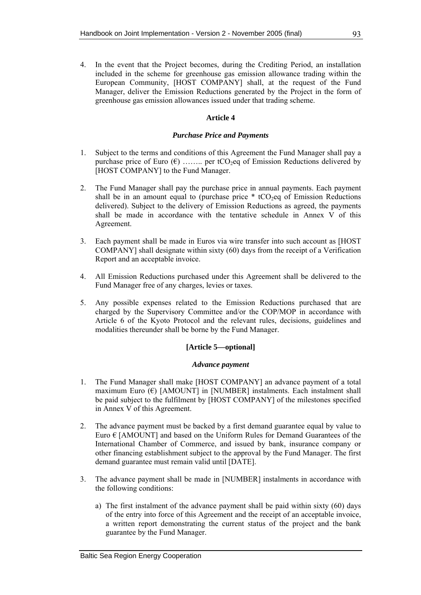4. In the event that the Project becomes, during the Crediting Period, an installation included in the scheme for greenhouse gas emission allowance trading within the European Community, [HOST COMPANY] shall, at the request of the Fund Manager, deliver the Emission Reductions generated by the Project in the form of greenhouse gas emission allowances issued under that trading scheme.

## **Article 4**

### *Purchase Price and Payments*

- 1. Subject to the terms and conditions of this Agreement the Fund Manager shall pay a purchase price of Euro  $(\epsilon)$  …….. per tCO<sub>2</sub>eq of Emission Reductions delivered by [HOST COMPANY] to the Fund Manager.
- 2. The Fund Manager shall pay the purchase price in annual payments. Each payment shall be in an amount equal to (purchase price  $*$  tCO<sub>2</sub>eq of Emission Reductions delivered). Subject to the delivery of Emission Reductions as agreed, the payments shall be made in accordance with the tentative schedule in Annex V of this Agreement.
- 3. Each payment shall be made in Euros via wire transfer into such account as [HOST COMPANY] shall designate within sixty (60) days from the receipt of a Verification Report and an acceptable invoice.
- 4. All Emission Reductions purchased under this Agreement shall be delivered to the Fund Manager free of any charges, levies or taxes.
- 5. Any possible expenses related to the Emission Reductions purchased that are charged by the Supervisory Committee and/or the COP/MOP in accordance with Article 6 of the Kyoto Protocol and the relevant rules, decisions, guidelines and modalities thereunder shall be borne by the Fund Manager.

## **[Article 5—optional]**

#### *Advance payment*

- 1. The Fund Manager shall make [HOST COMPANY] an advance payment of a total maximum Euro  $(\epsilon)$  [AMOUNT] in [NUMBER] instalments. Each instalment shall be paid subject to the fulfilment by [HOST COMPANY] of the milestones specified in Annex V of this Agreement.
- 2. The advance payment must be backed by a first demand guarantee equal by value to Euro  $\epsilon$  [AMOUNT] and based on the Uniform Rules for Demand Guarantees of the International Chamber of Commerce, and issued by bank, insurance company or other financing establishment subject to the approval by the Fund Manager. The first demand guarantee must remain valid until [DATE].
- 3. The advance payment shall be made in [NUMBER] instalments in accordance with the following conditions:
	- a) The first instalment of the advance payment shall be paid within sixty (60) days of the entry into force of this Agreement and the receipt of an acceptable invoice, a written report demonstrating the current status of the project and the bank guarantee by the Fund Manager.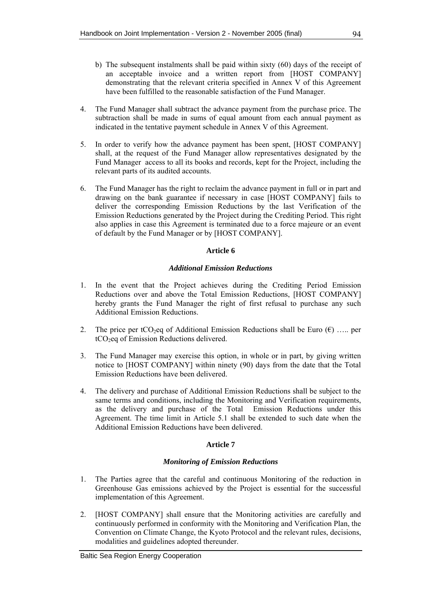- b) The subsequent instalments shall be paid within sixty (60) days of the receipt of an acceptable invoice and a written report from [HOST COMPANY] demonstrating that the relevant criteria specified in Annex V of this Agreement have been fulfilled to the reasonable satisfaction of the Fund Manager.
- 4. The Fund Manager shall subtract the advance payment from the purchase price. The subtraction shall be made in sums of equal amount from each annual payment as indicated in the tentative payment schedule in Annex V of this Agreement.
- 5. In order to verify how the advance payment has been spent, [HOST COMPANY] shall, at the request of the Fund Manager allow representatives designated by the Fund Manager access to all its books and records, kept for the Project, including the relevant parts of its audited accounts.
- 6. The Fund Manager has the right to reclaim the advance payment in full or in part and drawing on the bank guarantee if necessary in case [HOST COMPANY] fails to deliver the corresponding Emission Reductions by the last Verification of the Emission Reductions generated by the Project during the Crediting Period. This right also applies in case this Agreement is terminated due to a force majeure or an event of default by the Fund Manager or by [HOST COMPANY].

## **Article 6**

### *Additional Emission Reductions*

- 1. In the event that the Project achieves during the Crediting Period Emission Reductions over and above the Total Emission Reductions, [HOST COMPANY] hereby grants the Fund Manager the right of first refusal to purchase any such Additional Emission Reductions.
- 2. The price per tCO<sub>2</sub>eq of Additional Emission Reductions shall be Euro  $(\epsilon)$  ..... per tCO<sub>2</sub>eq of Emission Reductions delivered.
- 3. The Fund Manager may exercise this option, in whole or in part, by giving written notice to [HOST COMPANY] within ninety (90) days from the date that the Total Emission Reductions have been delivered.
- 4. The delivery and purchase of Additional Emission Reductions shall be subject to the same terms and conditions, including the Monitoring and Verification requirements, as the delivery and purchase of the Total Emission Reductions under this Agreement. The time limit in Article 5.1 shall be extended to such date when the Additional Emission Reductions have been delivered.

## **Article 7**

#### *Monitoring of Emission Reductions*

- 1. The Parties agree that the careful and continuous Monitoring of the reduction in Greenhouse Gas emissions achieved by the Project is essential for the successful implementation of this Agreement.
- 2. [HOST COMPANY] shall ensure that the Monitoring activities are carefully and continuously performed in conformity with the Monitoring and Verification Plan, the Convention on Climate Change, the Kyoto Protocol and the relevant rules, decisions, modalities and guidelines adopted thereunder.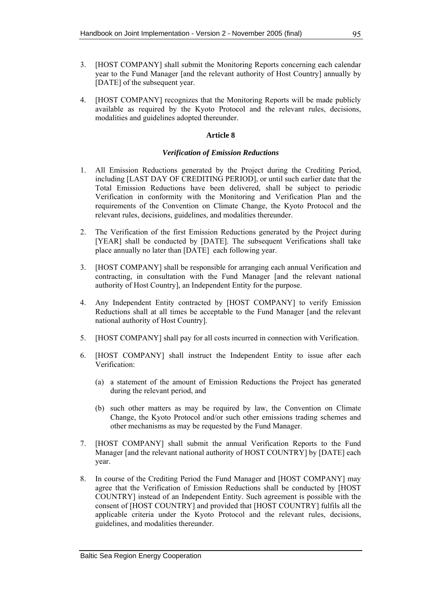- 3. [HOST COMPANY] shall submit the Monitoring Reports concerning each calendar year to the Fund Manager [and the relevant authority of Host Country] annually by [DATE] of the subsequent year.
- 4. [HOST COMPANY] recognizes that the Monitoring Reports will be made publicly available as required by the Kyoto Protocol and the relevant rules, decisions, modalities and guidelines adopted thereunder.

#### **Article 8**

### *Verification of Emission Reductions*

- 1. All Emission Reductions generated by the Project during the Crediting Period, including [LAST DAY OF CREDITING PERIOD], or until such earlier date that the Total Emission Reductions have been delivered, shall be subject to periodic Verification in conformity with the Monitoring and Verification Plan and the requirements of the Convention on Climate Change, the Kyoto Protocol and the relevant rules, decisions, guidelines, and modalities thereunder.
- 2. The Verification of the first Emission Reductions generated by the Project during [YEAR] shall be conducted by [DATE]. The subsequent Verifications shall take place annually no later than [DATE] each following year.
- 3. [HOST COMPANY] shall be responsible for arranging each annual Verification and contracting, in consultation with the Fund Manager [and the relevant national authority of Host Country], an Independent Entity for the purpose.
- 4. Any Independent Entity contracted by [HOST COMPANY] to verify Emission Reductions shall at all times be acceptable to the Fund Manager [and the relevant national authority of Host Country].
- 5. [HOST COMPANY] shall pay for all costs incurred in connection with Verification.
- 6. [HOST COMPANY] shall instruct the Independent Entity to issue after each Verification:
	- (a) a statement of the amount of Emission Reductions the Project has generated during the relevant period, and
	- (b) such other matters as may be required by law, the Convention on Climate Change, the Kyoto Protocol and/or such other emissions trading schemes and other mechanisms as may be requested by the Fund Manager.
- 7. [HOST COMPANY] shall submit the annual Verification Reports to the Fund Manager [and the relevant national authority of HOST COUNTRY] by [DATE] each year.
- 8. In course of the Crediting Period the Fund Manager and [HOST COMPANY] may agree that the Verification of Emission Reductions shall be conducted by [HOST COUNTRY] instead of an Independent Entity. Such agreement is possible with the consent of [HOST COUNTRY] and provided that [HOST COUNTRY] fulfils all the applicable criteria under the Kyoto Protocol and the relevant rules, decisions, guidelines, and modalities thereunder.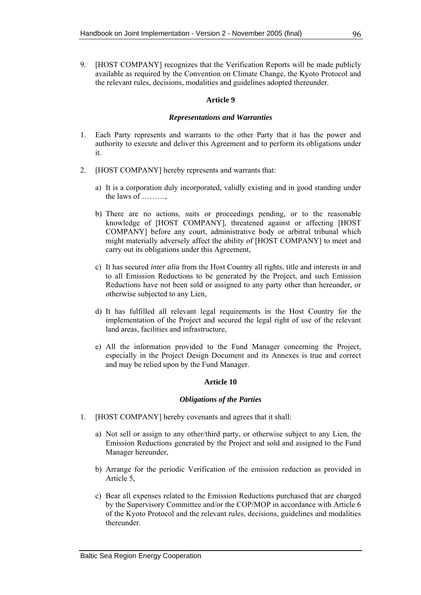9. [HOST COMPANY] recognizes that the Verification Reports will be made publicly available as required by the Convention on Climate Change, the Kyoto Protocol and the relevant rules, decisions, modalities and guidelines adopted thereunder.

### **Article 9**

#### *Representations and Warranties*

- 1. Each Party represents and warrants to the other Party that it has the power and authority to execute and deliver this Agreement and to perform its obligations under it.
- 2. [HOST COMPANY] hereby represents and warrants that:
	- a) It is a corporation duly incorporated, validly existing and in good standing under the laws of ………,
	- b) There are no actions, suits or proceedings pending, or to the reasonable knowledge of [HOST COMPANY], threatened against or affecting [HOST COMPANY] before any court, administrative body or arbitral tribunal which might materially adversely affect the ability of [HOST COMPANY] to meet and carry out its obligations under this Agreement,
	- c) It has secured *inter alia* from the Host Country all rights, title and interests in and to all Emission Reductions to be generated by the Project, and such Emission Reductions have not been sold or assigned to any party other than hereunder, or otherwise subjected to any Lien,
	- d) It has fulfilled all relevant legal requirements in the Host Country for the implementation of the Project and secured the legal right of use of the relevant land areas, facilities and infrastructure,
	- e) All the information provided to the Fund Manager concerning the Project, especially in the Project Design Document and its Annexes is true and correct and may be relied upon by the Fund Manager.

## **Article 10**

#### *Obligations of the Parties*

- 1. [HOST COMPANY] hereby covenants and agrees that it shall:
	- a) Not sell or assign to any other/third party, or otherwise subject to any Lien, the Emission Reductions generated by the Project and sold and assigned to the Fund Manager hereunder,
	- b) Arrange for the periodic Verification of the emission reduction as provided in Article 5,
	- c) Bear all expenses related to the Emission Reductions purchased that are charged by the Supervisory Committee and/or the COP/MOP in accordance with Article 6 of the Kyoto Protocol and the relevant rules, decisions, guidelines and modalities thereunder.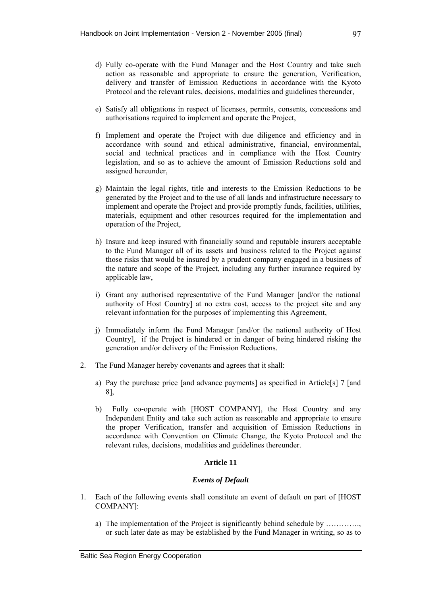- d) Fully co-operate with the Fund Manager and the Host Country and take such action as reasonable and appropriate to ensure the generation, Verification, delivery and transfer of Emission Reductions in accordance with the Kyoto Protocol and the relevant rules, decisions, modalities and guidelines thereunder,
- e) Satisfy all obligations in respect of licenses, permits, consents, concessions and authorisations required to implement and operate the Project,
- f) Implement and operate the Project with due diligence and efficiency and in accordance with sound and ethical administrative, financial, environmental, social and technical practices and in compliance with the Host Country legislation, and so as to achieve the amount of Emission Reductions sold and assigned hereunder,
- g) Maintain the legal rights, title and interests to the Emission Reductions to be generated by the Project and to the use of all lands and infrastructure necessary to implement and operate the Project and provide promptly funds, facilities, utilities, materials, equipment and other resources required for the implementation and operation of the Project,
- h) Insure and keep insured with financially sound and reputable insurers acceptable to the Fund Manager all of its assets and business related to the Project against those risks that would be insured by a prudent company engaged in a business of the nature and scope of the Project, including any further insurance required by applicable law,
- i) Grant any authorised representative of the Fund Manager [and/or the national authority of Host Country] at no extra cost, access to the project site and any relevant information for the purposes of implementing this Agreement,
- j) Immediately inform the Fund Manager [and/or the national authority of Host Country], if the Project is hindered or in danger of being hindered risking the generation and/or delivery of the Emission Reductions.
- 2. The Fund Manager hereby covenants and agrees that it shall:
	- a) Pay the purchase price [and advance payments] as specified in Article[s] 7 [and 8],
	- b) Fully co-operate with [HOST COMPANY], the Host Country and any Independent Entity and take such action as reasonable and appropriate to ensure the proper Verification, transfer and acquisition of Emission Reductions in accordance with Convention on Climate Change, the Kyoto Protocol and the relevant rules, decisions, modalities and guidelines thereunder.

#### *Events of Default*

- 1. Each of the following events shall constitute an event of default on part of [HOST COMPANY]:
	- a) The implementation of the Project is significantly behind schedule by …………., or such later date as may be established by the Fund Manager in writing, so as to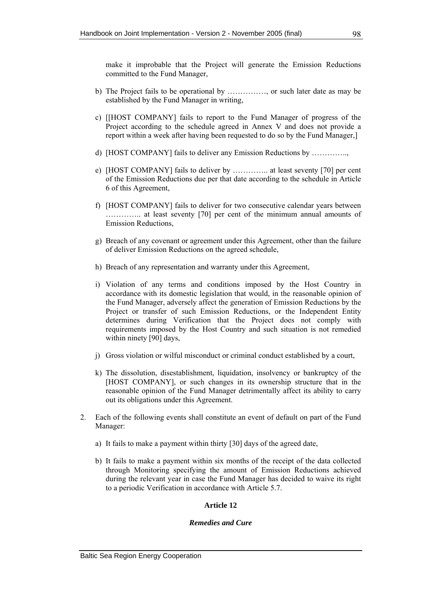make it improbable that the Project will generate the Emission Reductions committed to the Fund Manager,

- b) The Project fails to be operational by ……………, or such later date as may be established by the Fund Manager in writing,
- c) [[HOST COMPANY] fails to report to the Fund Manager of progress of the Project according to the schedule agreed in Annex V and does not provide a report within a week after having been requested to do so by the Fund Manager,]
- d) [HOST COMPANY] fails to deliver any Emission Reductions by …………..,
- e) [HOST COMPANY] fails to deliver by ………….. at least seventy [70] per cent of the Emission Reductions due per that date according to the schedule in Article 6 of this Agreement,
- f) [HOST COMPANY] fails to deliver for two consecutive calendar years between ………….. at least seventy [70] per cent of the minimum annual amounts of Emission Reductions,
- g) Breach of any covenant or agreement under this Agreement, other than the failure of deliver Emission Reductions on the agreed schedule,
- h) Breach of any representation and warranty under this Agreement,
- i) Violation of any terms and conditions imposed by the Host Country in accordance with its domestic legislation that would, in the reasonable opinion of the Fund Manager, adversely affect the generation of Emission Reductions by the Project or transfer of such Emission Reductions, or the Independent Entity determines during Verification that the Project does not comply with requirements imposed by the Host Country and such situation is not remedied within ninety [90] days,
- j) Gross violation or wilful misconduct or criminal conduct established by a court,
- k) The dissolution, disestablishment, liquidation, insolvency or bankruptcy of the [HOST COMPANY], or such changes in its ownership structure that in the reasonable opinion of the Fund Manager detrimentally affect its ability to carry out its obligations under this Agreement.
- 2. Each of the following events shall constitute an event of default on part of the Fund Manager:
	- a) It fails to make a payment within thirty [30] days of the agreed date,
	- b) It fails to make a payment within six months of the receipt of the data collected through Monitoring specifying the amount of Emission Reductions achieved during the relevant year in case the Fund Manager has decided to waive its right to a periodic Verification in accordance with Article 5.7.

# **Article 12**

### *Remedies and Cure*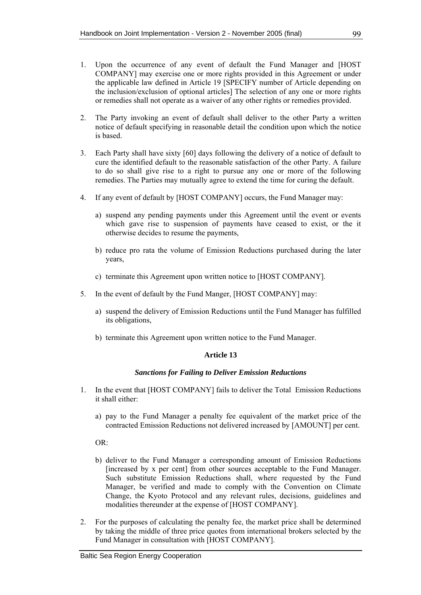- 1. Upon the occurrence of any event of default the Fund Manager and [HOST COMPANY] may exercise one or more rights provided in this Agreement or under the applicable law defined in Article 19 [SPECIFY number of Article depending on the inclusion/exclusion of optional articles] The selection of any one or more rights or remedies shall not operate as a waiver of any other rights or remedies provided.
- 2. The Party invoking an event of default shall deliver to the other Party a written notice of default specifying in reasonable detail the condition upon which the notice is based.
- 3. Each Party shall have sixty [60] days following the delivery of a notice of default to cure the identified default to the reasonable satisfaction of the other Party. A failure to do so shall give rise to a right to pursue any one or more of the following remedies. The Parties may mutually agree to extend the time for curing the default.
- 4. If any event of default by [HOST COMPANY] occurs, the Fund Manager may:
	- a) suspend any pending payments under this Agreement until the event or events which gave rise to suspension of payments have ceased to exist, or the it otherwise decides to resume the payments,
	- b) reduce pro rata the volume of Emission Reductions purchased during the later years,
	- c) terminate this Agreement upon written notice to [HOST COMPANY].
- 5. In the event of default by the Fund Manger, [HOST COMPANY] may:
	- a) suspend the delivery of Emission Reductions until the Fund Manager has fulfilled its obligations,
	- b) terminate this Agreement upon written notice to the Fund Manager.

#### *Sanctions for Failing to Deliver Emission Reductions*

- 1. In the event that [HOST COMPANY] fails to deliver the Total Emission Reductions it shall either:
	- a) pay to the Fund Manager a penalty fee equivalent of the market price of the contracted Emission Reductions not delivered increased by [AMOUNT] per cent.

 $OR^+$ 

- b) deliver to the Fund Manager a corresponding amount of Emission Reductions [increased by x per cent] from other sources acceptable to the Fund Manager. Such substitute Emission Reductions shall, where requested by the Fund Manager, be verified and made to comply with the Convention on Climate Change, the Kyoto Protocol and any relevant rules, decisions, guidelines and modalities thereunder at the expense of [HOST COMPANY].
- 2. For the purposes of calculating the penalty fee, the market price shall be determined by taking the middle of three price quotes from international brokers selected by the Fund Manager in consultation with [HOST COMPANY].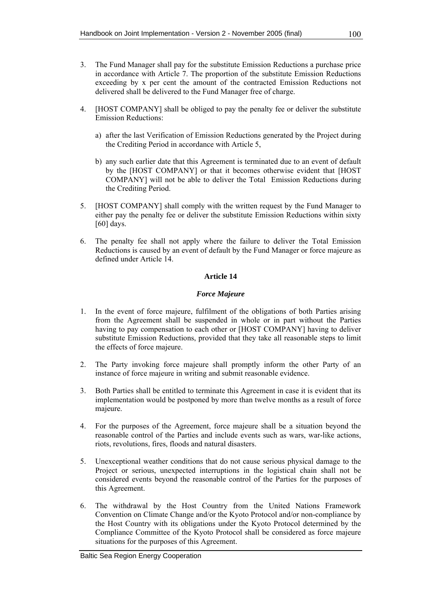- 3. The Fund Manager shall pay for the substitute Emission Reductions a purchase price in accordance with Article 7. The proportion of the substitute Emission Reductions exceeding by x per cent the amount of the contracted Emission Reductions not delivered shall be delivered to the Fund Manager free of charge.
- 4. [HOST COMPANY] shall be obliged to pay the penalty fee or deliver the substitute Emission Reductions:
	- a) after the last Verification of Emission Reductions generated by the Project during the Crediting Period in accordance with Article 5,
	- b) any such earlier date that this Agreement is terminated due to an event of default by the [HOST COMPANY] or that it becomes otherwise evident that [HOST COMPANY] will not be able to deliver the Total Emission Reductions during the Crediting Period.
- 5. [HOST COMPANY] shall comply with the written request by the Fund Manager to either pay the penalty fee or deliver the substitute Emission Reductions within sixty [60] days.
- 6. The penalty fee shall not apply where the failure to deliver the Total Emission Reductions is caused by an event of default by the Fund Manager or force majeure as defined under Article 14.

## *Force Majeure*

- 1. In the event of force majeure, fulfilment of the obligations of both Parties arising from the Agreement shall be suspended in whole or in part without the Parties having to pay compensation to each other or [HOST COMPANY] having to deliver substitute Emission Reductions, provided that they take all reasonable steps to limit the effects of force majeure.
- 2. The Party invoking force majeure shall promptly inform the other Party of an instance of force majeure in writing and submit reasonable evidence.
- 3. Both Parties shall be entitled to terminate this Agreement in case it is evident that its implementation would be postponed by more than twelve months as a result of force majeure.
- 4. For the purposes of the Agreement, force majeure shall be a situation beyond the reasonable control of the Parties and include events such as wars, war-like actions, riots, revolutions, fires, floods and natural disasters.
- 5. Unexceptional weather conditions that do not cause serious physical damage to the Project or serious, unexpected interruptions in the logistical chain shall not be considered events beyond the reasonable control of the Parties for the purposes of this Agreement.
- 6. The withdrawal by the Host Country from the United Nations Framework Convention on Climate Change and/or the Kyoto Protocol and/or non-compliance by the Host Country with its obligations under the Kyoto Protocol determined by the Compliance Committee of the Kyoto Protocol shall be considered as force majeure situations for the purposes of this Agreement.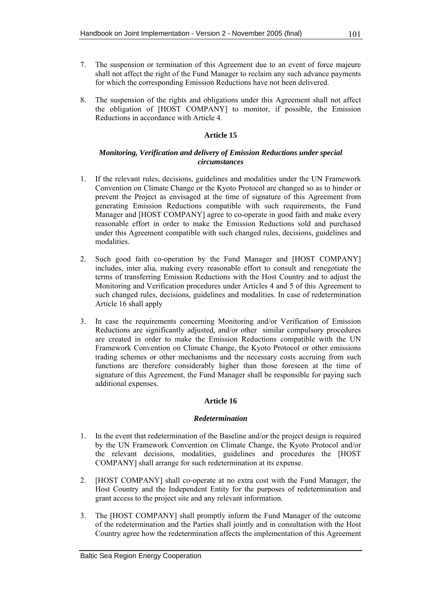- 7. The suspension or termination of this Agreement due to an event of force majeure shall not affect the right of the Fund Manager to reclaim any such advance payments for which the corresponding Emission Reductions have not been delivered.
- 8. The suspension of the rights and obligations under this Agreement shall not affect the obligation of [HOST COMPANY] to monitor, if possible, the Emission Reductions in accordance with Article 4.

## *Monitoring, Verification and delivery of Emission Reductions under special circumstances*

- 1. If the relevant rules, decisions, guidelines and modalities under the UN Framework Convention on Climate Change or the Kyoto Protocol are changed so as to hinder or prevent the Project as envisaged at the time of signature of this Agreement from generating Emission Reductions compatible with such requirements, the Fund Manager and [HOST COMPANY] agree to co-operate in good faith and make every reasonable effort in order to make the Emission Reductions sold and purchased under this Agreement compatible with such changed rules, decisions, guidelines and modalities.
- 2. Such good faith co-operation by the Fund Manager and [HOST COMPANY] includes, inter alia, making every reasonable effort to consult and renegotiate the terms of transferring Emission Reductions with the Host Country and to adjust the Monitoring and Verification procedures under Articles 4 and 5 of this Agreement to such changed rules, decisions, guidelines and modalities. In case of redetermination Article 16 shall apply
- 3. In case the requirements concerning Monitoring and/or Verification of Emission Reductions are significantly adjusted, and/or other similar compulsory procedures are created in order to make the Emission Reductions compatible with the UN Framework Convention on Climate Change, the Kyoto Protocol or other emissions trading schemes or other mechanisms and the necessary costs accruing from such functions are therefore considerably higher than those foreseen at the time of signature of this Agreement, the Fund Manager shall be responsible for paying such additional expenses.

# **Article 16**

#### *Redetermination*

- 1. In the event that redetermination of the Baseline and/or the project design is required by the UN Framework Convention on Climate Change, the Kyoto Protocol and/or the relevant decisions, modalities, guidelines and procedures the [HOST COMPANY] shall arrange for such redetermination at its expense.
- 2. [HOST COMPANY] shall co-operate at no extra cost with the Fund Manager, the Host Country and the Independent Entity for the purposes of redetermination and grant access to the project site and any relevant information.
- 3. The [HOST COMPANY] shall promptly inform the Fund Manager of the outcome of the redetermination and the Parties shall jointly and in consultation with the Host Country agree how the redetermination affects the implementation of this Agreement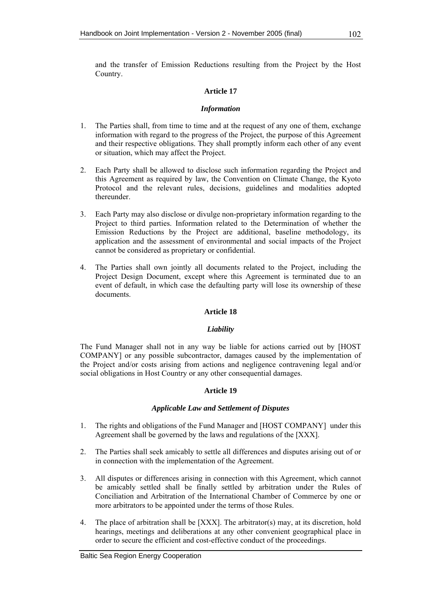and the transfer of Emission Reductions resulting from the Project by the Host Country.

# **Article 17**

## *Information*

- 1. The Parties shall, from time to time and at the request of any one of them, exchange information with regard to the progress of the Project, the purpose of this Agreement and their respective obligations. They shall promptly inform each other of any event or situation, which may affect the Project.
- 2. Each Party shall be allowed to disclose such information regarding the Project and this Agreement as required by law, the Convention on Climate Change, the Kyoto Protocol and the relevant rules, decisions, guidelines and modalities adopted thereunder.
- 3. Each Party may also disclose or divulge non-proprietary information regarding to the Project to third parties. Information related to the Determination of whether the Emission Reductions by the Project are additional, baseline methodology, its application and the assessment of environmental and social impacts of the Project cannot be considered as proprietary or confidential.
- 4. The Parties shall own jointly all documents related to the Project, including the Project Design Document, except where this Agreement is terminated due to an event of default, in which case the defaulting party will lose its ownership of these documents.

# **Article 18**

# *Liability*

The Fund Manager shall not in any way be liable for actions carried out by [HOST COMPANY] or any possible subcontractor, damages caused by the implementation of the Project and/or costs arising from actions and negligence contravening legal and/or social obligations in Host Country or any other consequential damages.

# **Article 19**

#### *Applicable Law and Settlement of Disputes*

- 1. The rights and obligations of the Fund Manager and [HOST COMPANY] under this Agreement shall be governed by the laws and regulations of the [XXX].
- 2. The Parties shall seek amicably to settle all differences and disputes arising out of or in connection with the implementation of the Agreement.
- 3. All disputes or differences arising in connection with this Agreement, which cannot be amicably settled shall be finally settled by arbitration under the Rules of Conciliation and Arbitration of the International Chamber of Commerce by one or more arbitrators to be appointed under the terms of those Rules.
- 4. The place of arbitration shall be [XXX]. The arbitrator(s) may, at its discretion, hold hearings, meetings and deliberations at any other convenient geographical place in order to secure the efficient and cost-effective conduct of the proceedings.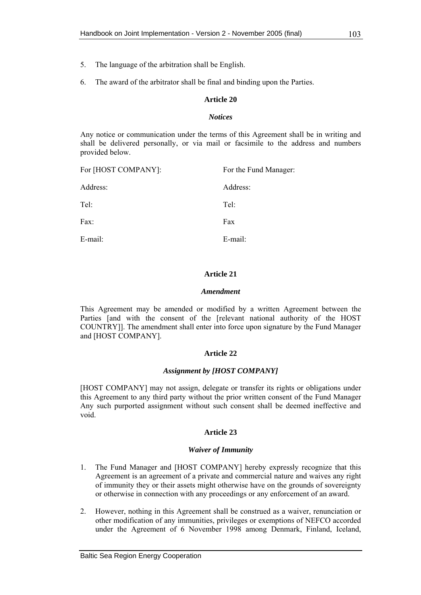- 5. The language of the arbitration shall be English.
- 6. The award of the arbitrator shall be final and binding upon the Parties.

#### *Notices*

Any notice or communication under the terms of this Agreement shall be in writing and shall be delivered personally, or via mail or facsimile to the address and numbers provided below.

| For [HOST COMPANY]: | For the Fund Manager: |
|---------------------|-----------------------|
| Address:            | Address:              |
| Tel:                | Tel:                  |
| Fax:                | Fax                   |
| E-mail:             | E-mail:               |

#### **Article 21**

#### *Amendment*

This Agreement may be amended or modified by a written Agreement between the Parties [and with the consent of the [relevant national authority of the HOST COUNTRY]]. The amendment shall enter into force upon signature by the Fund Manager and [HOST COMPANY].

#### **Article 22**

#### *Assignment by [HOST COMPANY]*

[HOST COMPANY] may not assign, delegate or transfer its rights or obligations under this Agreement to any third party without the prior written consent of the Fund Manager Any such purported assignment without such consent shall be deemed ineffective and void.

#### **Article 23**

#### *Waiver of Immunity*

- 1. The Fund Manager and [HOST COMPANY] hereby expressly recognize that this Agreement is an agreement of a private and commercial nature and waives any right of immunity they or their assets might otherwise have on the grounds of sovereignty or otherwise in connection with any proceedings or any enforcement of an award.
- 2. However, nothing in this Agreement shall be construed as a waiver, renunciation or other modification of any immunities, privileges or exemptions of NEFCO accorded under the Agreement of 6 November 1998 among Denmark, Finland, Iceland,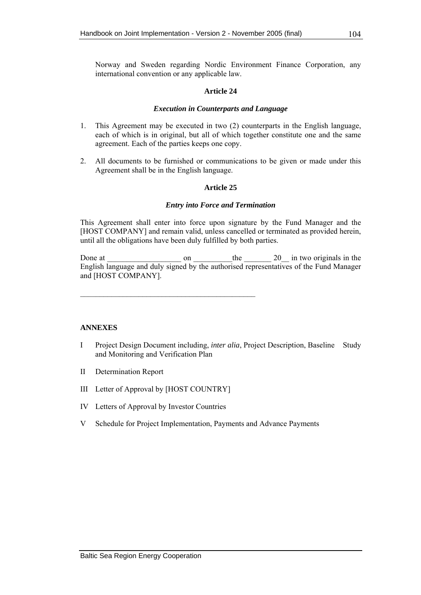## *Execution in Counterparts and Language*

- 1. This Agreement may be executed in two (2) counterparts in the English language, each of which is in original, but all of which together constitute one and the same agreement. Each of the parties keeps one copy.
- 2. All documents to be furnished or communications to be given or made under this Agreement shall be in the English language.

# **Article 25**

## *Entry into Force and Termination*

This Agreement shall enter into force upon signature by the Fund Manager and the [HOST COMPANY] and remain valid, unless cancelled or terminated as provided herein, until all the obligations have been duly fulfilled by both parties.

Done at \_\_\_\_\_\_\_\_\_\_\_\_\_\_\_\_\_\_\_ on \_\_\_\_\_\_\_\_\_\_the \_\_\_\_\_\_\_ 20\_\_ in two originals in the English language and duly signed by the authorised representatives of the Fund Manager and [HOST COMPANY].

# **ANNEXES**

- I Project Design Document including, *inter alia*, Project Description, Baseline Study and Monitoring and Verification Plan
- II Determination Report
- III Letter of Approval by [HOST COUNTRY]

\_\_\_\_\_\_\_\_\_\_\_\_\_\_\_\_\_\_\_\_\_\_\_\_\_\_\_\_\_\_\_\_\_\_\_\_\_\_\_\_\_\_\_\_\_

- IV Letters of Approval by Investor Countries
- V Schedule for Project Implementation, Payments and Advance Payments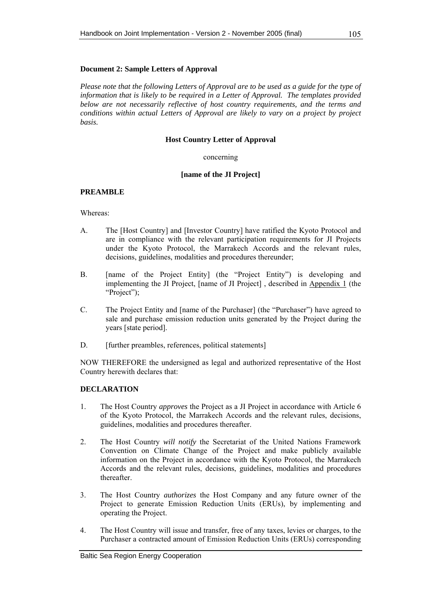# **Document 2: Sample Letters of Approval**

*Please note that the following Letters of Approval are to be used as a guide for the type of information that is likely to be required in a Letter of Approval. The templates provided below are not necessarily reflective of host country requirements, and the terms and conditions within actual Letters of Approval are likely to vary on a project by project basis.* 

### **Host Country Letter of Approval**

## concerning

## **[name of the JI Project]**

# **PREAMBLE**

## Whereas:

- A. The [Host Country] and [Investor Country] have ratified the Kyoto Protocol and are in compliance with the relevant participation requirements for JI Projects under the Kyoto Protocol, the Marrakech Accords and the relevant rules, decisions, guidelines, modalities and procedures thereunder;
- B. [name of the Project Entity] (the "Project Entity") is developing and implementing the JI Project, [name of JI Project] , described in Appendix 1 (the "Project");
- C. The Project Entity and [name of the Purchaser] (the "Purchaser") have agreed to sale and purchase emission reduction units generated by the Project during the years [state period].
- D. [further preambles, references, political statements]

NOW THEREFORE the undersigned as legal and authorized representative of the Host Country herewith declares that:

# **DECLARATION**

- 1. The Host Country *approves* the Project as a JI Project in accordance with Article 6 of the Kyoto Protocol, the Marrakech Accords and the relevant rules, decisions, guidelines, modalities and procedures thereafter.
- 2. The Host Country *will notify* the Secretariat of the United Nations Framework Convention on Climate Change of the Project and make publicly available information on the Project in accordance with the Kyoto Protocol, the Marrakech Accords and the relevant rules, decisions, guidelines, modalities and procedures thereafter.
- 3. The Host Country *authorizes* the Host Company and any future owner of the Project to generate Emission Reduction Units (ERUs), by implementing and operating the Project.
- 4. The Host Country will issue and transfer, free of any taxes, levies or charges, to the Purchaser a contracted amount of Emission Reduction Units (ERUs) corresponding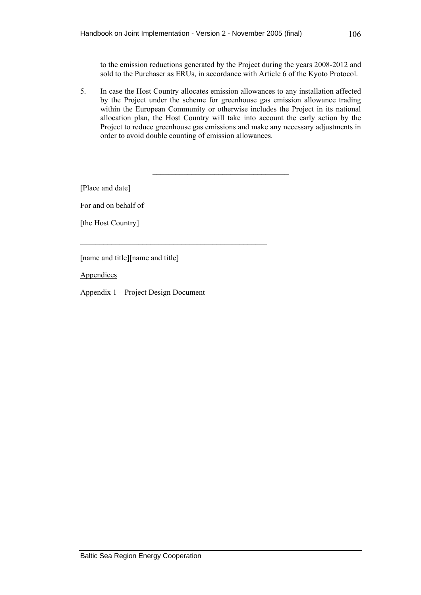to the emission reductions generated by the Project during the years 2008-2012 and sold to the Purchaser as ERUs, in accordance with Article 6 of the Kyoto Protocol.

5. In case the Host Country allocates emission allowances to any installation affected by the Project under the scheme for greenhouse gas emission allowance trading within the European Community or otherwise includes the Project in its national allocation plan, the Host Country will take into account the early action by the Project to reduce greenhouse gas emissions and make any necessary adjustments in order to avoid double counting of emission allowances.

 $\mathcal{L}_\text{max}$ 

[Place and date]

For and on behalf of

[the Host Country]

[name and title] [name and title]

**Appendices** 

Appendix 1 – Project Design Document

 $\mathcal{L}_\text{max}$  and the contract of the contract of the contract of the contract of the contract of the contract of the contract of the contract of the contract of the contract of the contract of the contract of the contrac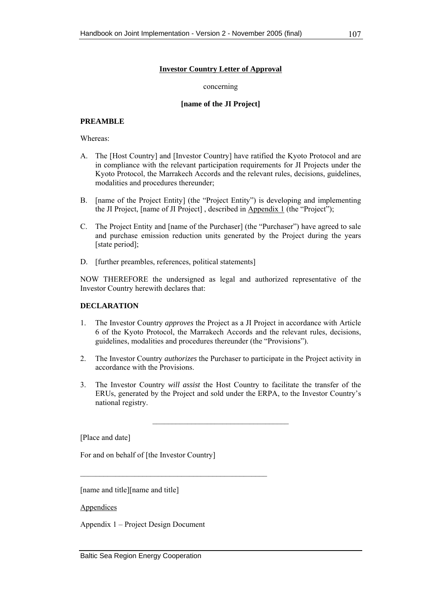# **Investor Country Letter of Approval**

#### concerning

## **[name of the JI Project]**

# **PREAMBLE**

Whereas:

- A. The [Host Country] and [Investor Country] have ratified the Kyoto Protocol and are in compliance with the relevant participation requirements for JI Projects under the Kyoto Protocol, the Marrakech Accords and the relevant rules, decisions, guidelines, modalities and procedures thereunder;
- B. [name of the Project Entity] (the "Project Entity") is developing and implementing the JI Project, [name of JI Project] , described in Appendix 1 (the "Project");
- C. The Project Entity and [name of the Purchaser] (the "Purchaser") have agreed to sale and purchase emission reduction units generated by the Project during the years [state period]:
- D. [further preambles, references, political statements]

NOW THEREFORE the undersigned as legal and authorized representative of the Investor Country herewith declares that:

# **DECLARATION**

- 1. The Investor Country *approves* the Project as a JI Project in accordance with Article 6 of the Kyoto Protocol, the Marrakech Accords and the relevant rules, decisions, guidelines, modalities and procedures thereunder (the "Provisions").
- 2. The Investor Country *authorizes* the Purchaser to participate in the Project activity in accordance with the Provisions.
- 3. The Investor Country *will assist* the Host Country to facilitate the transfer of the ERUs, generated by the Project and sold under the ERPA, to the Investor Country's national registry.

 $\mathcal{L}_\text{max}$  , where  $\mathcal{L}_\text{max}$  and  $\mathcal{L}_\text{max}$ 

[Place and date]

For and on behalf of [the Investor Country]

 $\mathcal{L}_\text{max}$  and the contract of the contract of the contract of the contract of the contract of the contract of the contract of the contract of the contract of the contract of the contract of the contract of the contrac

[name and title] [name and title]

Appendices

Appendix 1 – Project Design Document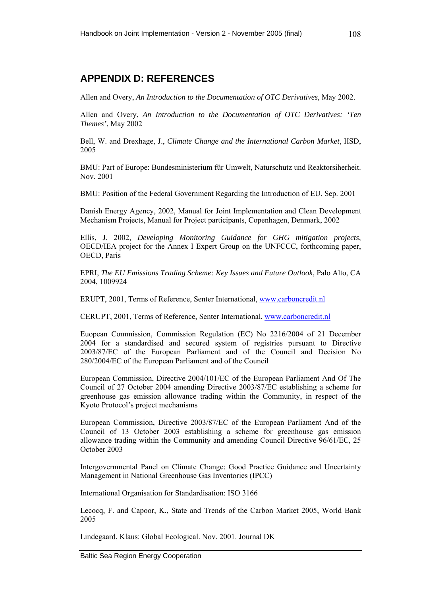# **APPENDIX D: REFERENCES**

Allen and Overy, *An Introduction to the Documentation of OTC Derivatives*, May 2002.

Allen and Overy, *An Introduction to the Documentation of OTC Derivatives: 'Ten Themes'*, May 2002

Bell, W. and Drexhage, J., *Climate Change and the International Carbon Market*, IISD, 2005

BMU: Part of Europe: Bundesministerium für Umwelt, Naturschutz und Reaktorsiherheit. Nov. 2001

BMU: Position of the Federal Government Regarding the Introduction of EU. Sep. 2001

Danish Energy Agency, 2002, Manual for Joint Implementation and Clean Development Mechanism Projects, Manual for Project participants, Copenhagen, Denmark, 2002

Ellis, J. 2002, *Developing Monitoring Guidance for GHG mitigation projects*, OECD/IEA project for the Annex I Expert Group on the UNFCCC, forthcoming paper, OECD, Paris

EPRI, *The EU Emissions Trading Scheme: Key Issues and Future Outlook*, Palo Alto, CA 2004, 1009924

ERUPT, 2001, Terms of Reference, Senter International, [www.carboncredit.nl](http://www.carboncredit.nl/)

CERUPT, 2001, Terms of Reference, Senter International, [www.carboncredit.nl](http://www.carboncredit.nl/)

Euopean Commission, Commission Regulation (EC) No 2216/2004 of 21 December 2004 for a standardised and secured system of registries pursuant to Directive 2003/87/EC of the European Parliament and of the Council and Decision No 280/2004/EC of the European Parliament and of the Council

European Commission, Directive 2004/101/EC of the European Parliament And Of The Council of 27 October 2004 amending Directive 2003/87/EC establishing a scheme for greenhouse gas emission allowance trading within the Community, in respect of the Kyoto Protocol's project mechanisms

European Commission, Directive 2003/87/EC of the European Parliament And of the Council of 13 October 2003 establishing a scheme for greenhouse gas emission allowance trading within the Community and amending Council Directive 96/61/EC, 25 October 2003

Intergovernmental Panel on Climate Change: Good Practice Guidance and Uncertainty Management in National Greenhouse Gas Inventories (IPCC)

International Organisation for Standardisation: ISO 3166

Lecocq, F. and Capoor, K., State and Trends of the Carbon Market 2005, World Bank 2005

Lindegaard, Klaus: Global Ecological. Nov. 2001. Journal DK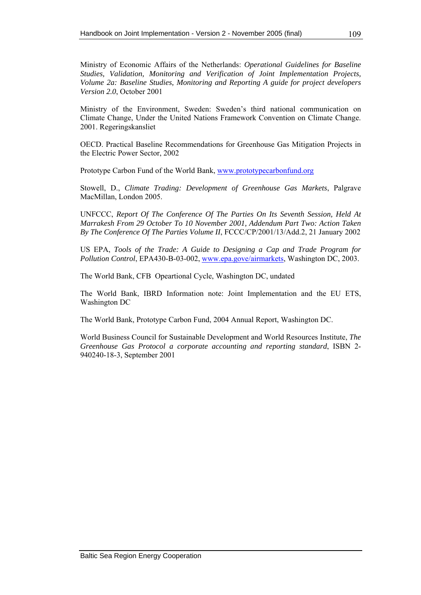Ministry of the Environment, Sweden: Sweden's third national communication on Climate Change, Under the United Nations Framework Convention on Climate Change. 2001. Regeringskansliet

OECD. Practical Baseline Recommendations for Greenhouse Gas Mitigation Projects in the Electric Power Sector, 2002

Prototype Carbon Fund of the World Bank, [www.prototypecarbonfund.org](http://www.prototypecarbonfund.org/)

Stowell, D., *Climate Trading: Development of Greenhouse Gas Markets*, Palgrave MacMillan, London 2005.

UNFCCC, *Report Of The Conference Of The Parties On Its Seventh Session, Held At Marrakesh From 29 October To 10 November 2001, Addendum Part Two: Action Taken By The Conference Of The Parties Volume II*, FCCC/CP/2001/13/Add.2, 21 January 2002

US EPA, *Tools of the Trade: A Guide to Designing a Cap and Trade Program for Pollution Control*, EPA430-B-03-002, [www.epa.gove/airmarkets,](http://www.epa.gove/airmarkets) Washington DC, 2003.

The World Bank, CFB Opeartional Cycle, Washington DC, undated

The World Bank, IBRD Information note: Joint Implementation and the EU ETS, Washington DC

The World Bank, Prototype Carbon Fund, 2004 Annual Report, Washington DC.

World Business Council for Sustainable Development and World Resources Institute, *The Greenhouse Gas Protocol a corporate accounting and reporting standard*, ISBN 2- 940240-18-3, September 2001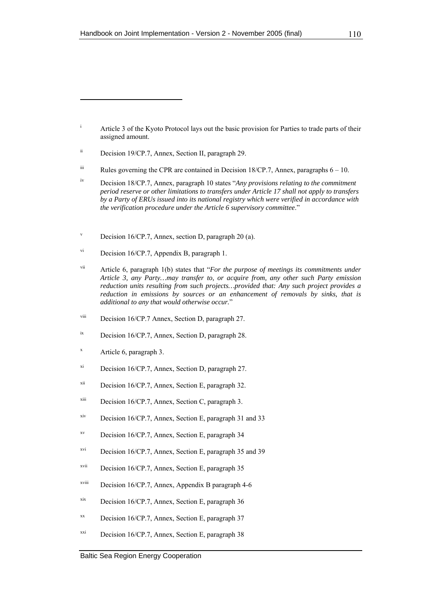x Article 6, paragraph 3.

- xi Decision 16/CP.7, Annex, Section D, paragraph 27.
- xii Decision 16/CP.7, Annex, Section E, paragraph 32.
- $x^{iii}$  Decision 16/CP.7, Annex, Section C, paragraph 3.
- xiv Decision 16/CP.7, Annex, Section E, paragraph 31 and 33
- xv Decision 16/CP.7, Annex, Section E, paragraph 34
- xvi Decision 16/CP.7, Annex, Section E, paragraph 35 and 39
- xvii Decision 16/CP.7, Annex, Section E, paragraph 35
- xviii Decision 16/CP.7, Annex, Appendix B paragraph 4-6
- xix Decision 16/CP.7, Annex, Section E, paragraph 36
- $x^2$  Decision 16/CP.7, Annex, Section E, paragraph 37
- $xxi$  Decision 16/CP.7, Annex, Section E, paragraph 38

i Article 3 of the Kyoto Protocol lays out the basic provision for Parties to trade parts of their assigned amount.

ii Decision 19/CP.7, Annex, Section II, paragraph 29.

 $\ddot{\text{ii}}$  Rules governing the CPR are contained in Decision 18/CP.7, Annex, paragraphs  $6 - 10$ .

iv Decision 18/CP.7, Annex, paragraph 10 states "*Any provisions relating to the commitment period reserve or other limitations to transfers under Article 17 shall not apply to transfers by a Party of ERUs issued into its national registry which were verified in accordance with the verification procedure under the Article 6 supervisory committee*."

v Decision 16/CP.7, Annex, section D, paragraph 20 (a).

vi Decision 16/CP.7, Appendix B, paragraph 1.

vii Article 6, paragraph 1(b) states that "*For the purpose of meetings its commitments under Article 3, any Party…may transfer to, or acquire from, any other such Party emission reduction units resulting from such projects…provided that: Any such project provides a reduction in emissions by sources or an enhancement of removals by sinks, that is additional to any that would otherwise occur.*"

viii Decision 16/CP.7 Annex, Section D, paragraph 27.

<sup>&</sup>lt;sup>ix</sup> Decision 16/CP.7, Annex, Section D, paragraph 28.